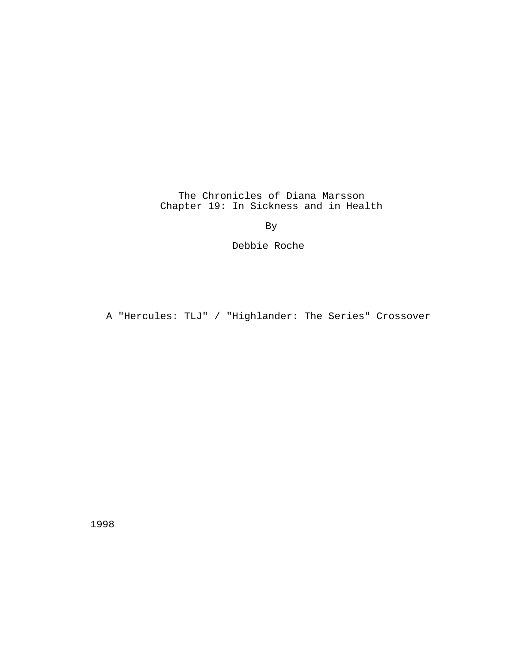The Chronicles of Diana Marsson Chapter 19: In Sickness and in Health

By

Debbie Roche

A "Hercules: TLJ" / "Highlander: The Series" Crossover

1998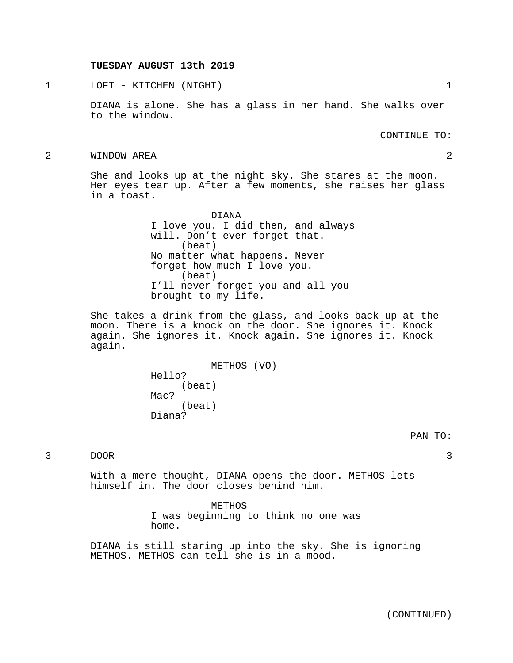## **TUESDAY AUGUST 13th 2019**

1 LOFT - KITCHEN (NIGHT) 1

DIANA is alone. She has a glass in her hand. She walks over to the window.

CONTINUE TO:

2 WINDOW AREA 2

She and looks up at the night sky. She stares at the moon. Her eyes tear up. After a few moments, she raises her glass in a toast.

> DIANA I love you. I did then, and always will. Don't ever forget that. (beat) No matter what happens. Never forget how much I love you. (beat) I'll never forget you and all you brought to my life.

She takes a drink from the glass, and looks back up at the moon. There is a knock on the door. She ignores it. Knock again. She ignores it. Knock again. She ignores it. Knock again.

> METHOS (VO) Hello? (beat) Mac? (beat) Diana?

3 DOOR 3

With a mere thought, DIANA opens the door. METHOS lets himself in. The door closes behind him.

> METHOS I was beginning to think no one was home.

DIANA is still staring up into the sky. She is ignoring METHOS. METHOS can tell she is in a mood.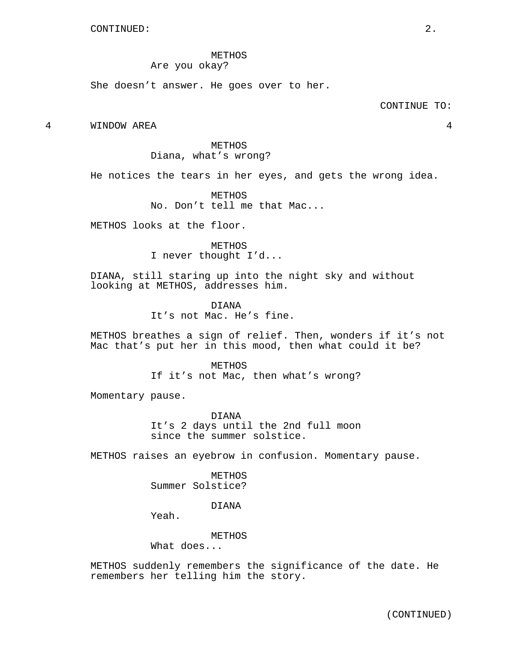METHOS Are you okay?

She doesn't answer. He goes over to her.

4 WINDOW AREA 4

METHOS Diana, what's wrong?

He notices the tears in her eyes, and gets the wrong idea.

METHOS No. Don't tell me that Mac...

METHOS looks at the floor.

METHOS I never thought I'd...

DIANA, still staring up into the night sky and without looking at METHOS, addresses him.

> DIANA It's not Mac. He's fine.

METHOS breathes a sign of relief. Then, wonders if it's not Mac that's put her in this mood, then what could it be?

> METHOS If it's not Mac, then what's wrong?

Momentary pause.

DIANA It's 2 days until the 2nd full moon since the summer solstice.

METHOS raises an eyebrow in confusion. Momentary pause.

**METHOS** Summer Solstice?

## DIANA

Yeah.

METHOS

What does...

METHOS suddenly remembers the significance of the date. He remembers her telling him the story.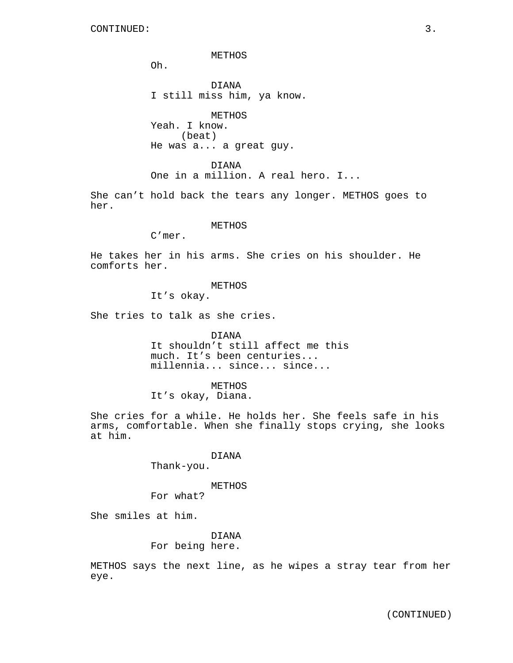METHOS

Oh.

DIANA I still miss him, ya know.

METHOS Yeah. I know. (beat) He was a... a great guy.

DIANA One in a million. A real hero. I...

She can't hold back the tears any longer. METHOS goes to her.

## METHOS

C'mer.

He takes her in his arms. She cries on his shoulder. He comforts her.

## METHOS

It's okay.

She tries to talk as she cries.

DIANA It shouldn't still affect me this much. It's been centuries... millennia... since... since...

METHOS It's okay, Diana.

She cries for a while. He holds her. She feels safe in his arms, comfortable. When she finally stops crying, she looks at him.

> DIANA Thank-you.

#### METHOS

For what?

She smiles at him.

DIANA For being here.

METHOS says the next line, as he wipes a stray tear from her eye.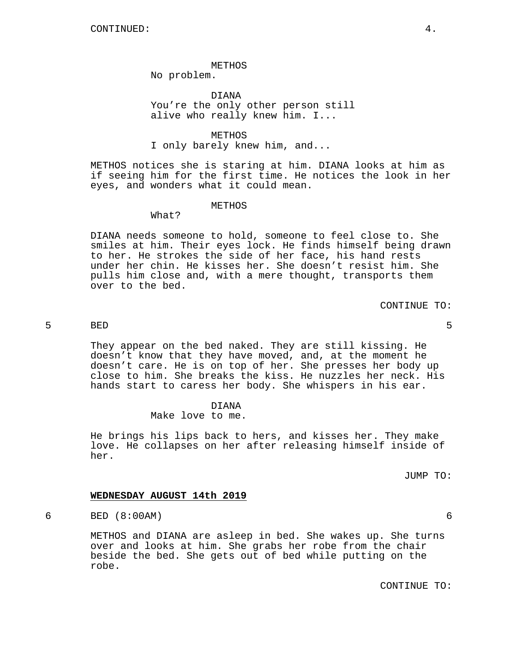### METHOS

No problem.

DIANA You're the only other person still alive who really knew him. I...

### METHOS

### I only barely knew him, and...

METHOS notices she is staring at him. DIANA looks at him as if seeing him for the first time. He notices the look in her eyes, and wonders what it could mean.

#### METHOS

# What?

DIANA needs someone to hold, someone to feel close to. She smiles at him. Their eyes lock. He finds himself being drawn to her. He strokes the side of her face, his hand rests under her chin. He kisses her. She doesn't resist him. She pulls him close and, with a mere thought, transports them over to the bed.

CONTINUE TO:

## 5 BED 5

They appear on the bed naked. They are still kissing. He doesn't know that they have moved, and, at the moment he doesn't care. He is on top of her. She presses her body up close to him. She breaks the kiss. He nuzzles her neck. His hands start to caress her body. She whispers in his ear.

#### DIANA

Make love to me.

He brings his lips back to hers, and kisses her. They make love. He collapses on her after releasing himself inside of her.

JUMP TO:

## **WEDNESDAY AUGUST 14th 2019**

6 BED (8:00AM) 6

METHOS and DIANA are asleep in bed. She wakes up. She turns over and looks at him. She grabs her robe from the chair beside the bed. She gets out of bed while putting on the robe.

CONTINUE TO: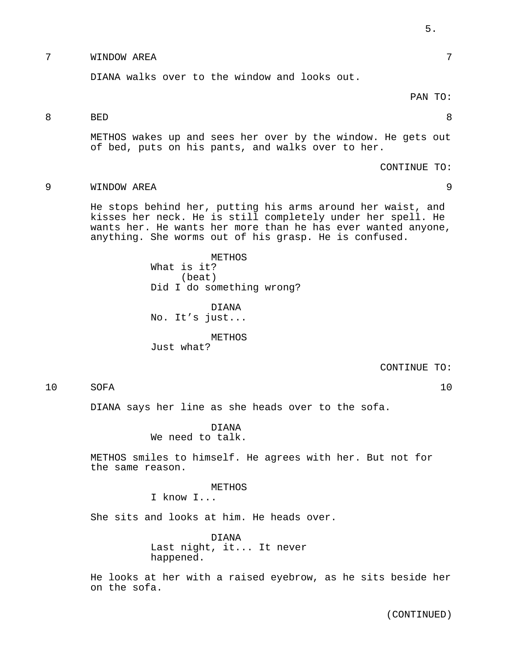# 7 WINDOW AREA 7

DIANA walks over to the window and looks out.

## PAN TO:

## 8 BED 8

METHOS wakes up and sees her over by the window. He gets out of bed, puts on his pants, and walks over to her.

CONTINUE TO:

9 WINDOW AREA 9

He stops behind her, putting his arms around her waist, and kisses her neck. He is still completely under her spell. He wants her. He wants her more than he has ever wanted anyone, anything. She worms out of his grasp. He is confused.

> METHOS What is it? (beat) Did I do something wrong?

DIANA No. It's just...

METHOS Just what?

CONTINUE TO:

10 SOFA 10

DIANA says her line as she heads over to the sofa.

DIANA We need to talk.

METHOS smiles to himself. He agrees with her. But not for the same reason.

METHOS

I know I...

She sits and looks at him. He heads over.

DIANA Last night, it... It never happened.

He looks at her with a raised eyebrow, as he sits beside her on the sofa.

(CONTINUED)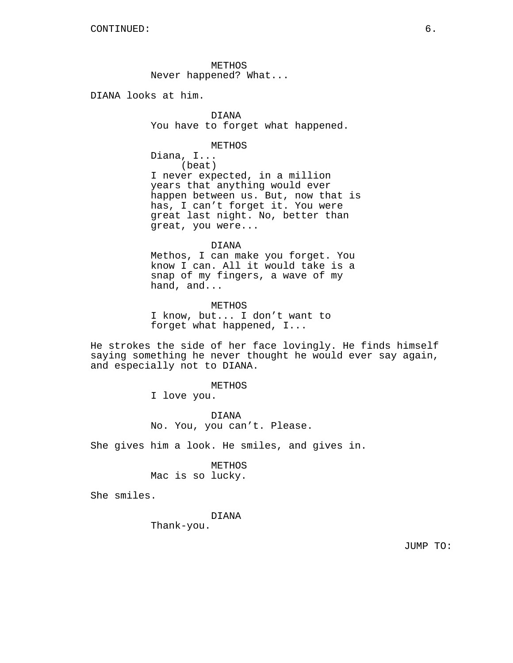METHOS Never happened? What...

DIANA looks at him.

DIANA You have to forget what happened.

METHOS

Diana, I... (beat) I never expected, in a million years that anything would ever happen between us. But, now that is has, I can't forget it. You were great last night. No, better than great, you were...

#### DIANA

Methos, I can make you forget. You know I can. All it would take is a snap of my fingers, a wave of my hand, and...

METHOS I know, but... I don't want to forget what happened, I...

He strokes the side of her face lovingly. He finds himself saying something he never thought he would ever say again, and especially not to DIANA.

> METHOS I love you.

DIANA No. You, you can't. Please.

She gives him a look. He smiles, and gives in.

#### METHOS

Mac is so lucky.

She smiles.

DIANA

Thank-you.

JUMP TO: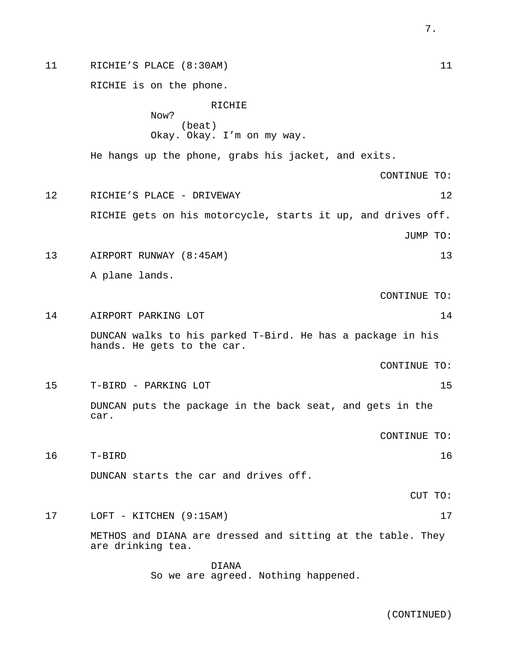11 RICHIE'S PLACE (8:30AM) 11 RICHIE is on the phone. RICHIE Now? (beat) Okay. Okay. I'm on my way. He hangs up the phone, grabs his jacket, and exits. CONTINUE TO: 12 RICHIE'S PLACE - DRIVEWAY 12 RICHIE gets on his motorcycle, starts it up, and drives off. JUMP TO: 13 AIRPORT RUNWAY (8:45AM) 13 A plane lands. CONTINUE TO: 14 AIRPORT PARKING LOT DUNCAN walks to his parked T-Bird. He has a package in his hands. He gets to the car. CONTINUE TO: 15 T-BIRD - PARKING LOT 15 DUNCAN puts the package in the back seat, and gets in the car. CONTINUE TO: 16 T-BIRD 16 DUNCAN starts the car and drives off. CUT TO: 17 LOFT - KITCHEN (9:15AM) 17 METHOS and DIANA are dressed and sitting at the table. They are drinking tea. DIANA

So we are agreed. Nothing happened.

(CONTINUED)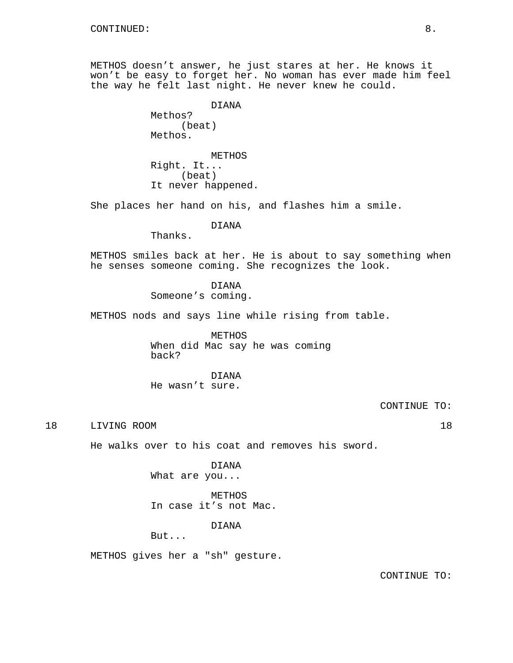METHOS doesn't answer, he just stares at her. He knows it won't be easy to forget her. No woman has ever made him feel the way he felt last night. He never knew he could.

> DIANA Methos? (beat) Methos.

METHOS Right. It... (beat) It never happened.

She places her hand on his, and flashes him a smile.

## DIANA

Thanks.

METHOS smiles back at her. He is about to say something when he senses someone coming. She recognizes the look.

DIANA

Someone's coming.

METHOS nods and says line while rising from table.

METHOS When did Mac say he was coming back?

DIANA He wasn't sure.

CONTINUE TO:

18 LIVING ROOM 18

He walks over to his coat and removes his sword.

DIANA What are you...

METHOS In case it's not Mac.

DIANA

But...

METHOS gives her a "sh" gesture.

CONTINUE TO: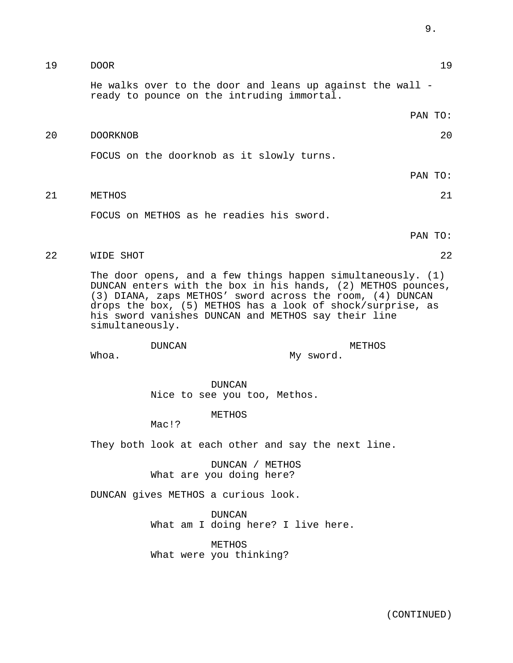| 20 | 20<br><b>DOORKNOB</b>                                                                                                                                                                                                                                                                                                              |               |                                                     |
|----|------------------------------------------------------------------------------------------------------------------------------------------------------------------------------------------------------------------------------------------------------------------------------------------------------------------------------------|---------------|-----------------------------------------------------|
|    |                                                                                                                                                                                                                                                                                                                                    |               | FOCUS on the doorknob as it slowly turns.           |
|    |                                                                                                                                                                                                                                                                                                                                    |               | PAN TO:                                             |
| 21 | METHOS                                                                                                                                                                                                                                                                                                                             |               | 21                                                  |
|    |                                                                                                                                                                                                                                                                                                                                    |               | FOCUS on METHOS as he readies his sword.            |
|    |                                                                                                                                                                                                                                                                                                                                    |               | PAN TO:                                             |
| 22 | WIDE SHOT                                                                                                                                                                                                                                                                                                                          |               | 22                                                  |
|    | The door opens, and a few things happen simultaneously. $(1)$<br>DUNCAN enters with the box in his hands, (2) METHOS pounces,<br>(3) DIANA, zaps METHOS' sword across the room, (4) DUNCAN<br>drops the box, (5) METHOS has a look of shock/surprise, as<br>his sword vanishes DUNCAN and METHOS say their line<br>simultaneously. |               |                                                     |
|    | Whoa.                                                                                                                                                                                                                                                                                                                              | <b>DUNCAN</b> | METHOS<br>My sword.                                 |
|    |                                                                                                                                                                                                                                                                                                                                    |               | <b>DUNCAN</b><br>Nice to see you too, Methos.       |
|    |                                                                                                                                                                                                                                                                                                                                    | Mac!?         | METHOS                                              |
|    |                                                                                                                                                                                                                                                                                                                                    |               | They both look at each other and say the next line. |
|    |                                                                                                                                                                                                                                                                                                                                    |               | DUNCAN / METHOS<br>What are you doing here?         |
|    | DUNCAN gives METHOS a curious look.                                                                                                                                                                                                                                                                                                |               |                                                     |
|    |                                                                                                                                                                                                                                                                                                                                    |               | <b>DUNCAN</b><br>What am I doing here? I live here. |
|    |                                                                                                                                                                                                                                                                                                                                    |               | METHOS<br>What were you thinking?                   |
|    |                                                                                                                                                                                                                                                                                                                                    |               |                                                     |

19 DOOR 19

ready to pounce on the intruding immortal.

He walks over to the door and leans up against the wall -

(CONTINUED)

9.

PAN TO: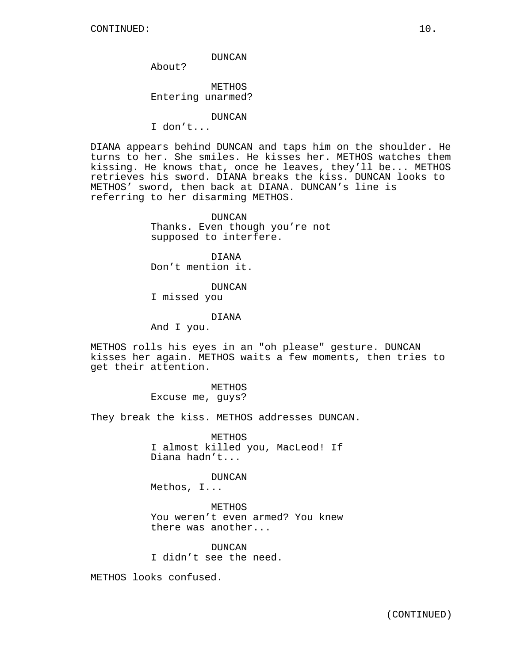## DUNCAN

About?

METHOS Entering unarmed?

#### DUNCAN

I don't...

DIANA appears behind DUNCAN and taps him on the shoulder. He turns to her. She smiles. He kisses her. METHOS watches them kissing. He knows that, once he leaves, they'll be... METHOS retrieves his sword. DIANA breaks the kiss. DUNCAN looks to METHOS' sword, then back at DIANA. DUNCAN's line is referring to her disarming METHOS.

> DUNCAN Thanks. Even though you're not supposed to interfere.

DIANA Don't mention it.

DUNCAN

I missed you

DIANA

And I you.

METHOS rolls his eyes in an "oh please" gesture. DUNCAN kisses her again. METHOS waits a few moments, then tries to get their attention.

> METHOS Excuse me, guys?

They break the kiss. METHOS addresses DUNCAN.

METHOS I almost killed you, MacLeod! If Diana hadn't...

DUNCAN Methos, I...

METHOS You weren't even armed? You knew there was another...

DUNCAN I didn't see the need.

METHOS looks confused.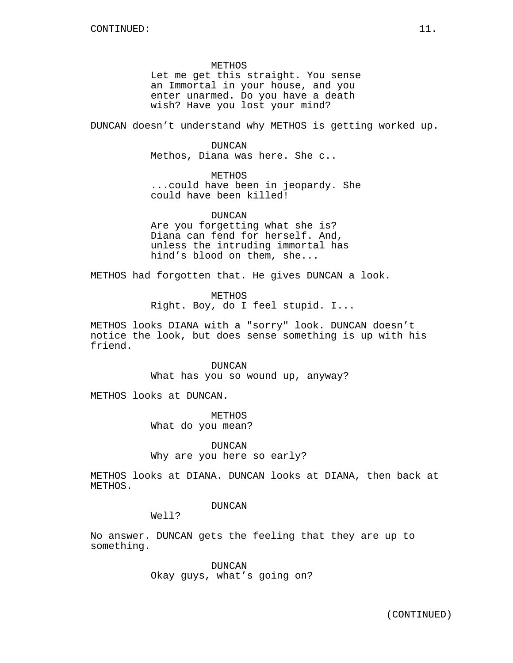METHOS Let me get this straight. You sense an Immortal in your house, and you enter unarmed. Do you have a death wish? Have you lost your mind?

DUNCAN doesn't understand why METHOS is getting worked up.

DUNCAN

Methos, Diana was here. She c..

METHOS ...could have been in jeopardy. She could have been killed!

DUNCAN Are you forgetting what she is? Diana can fend for herself. And, unless the intruding immortal has hind's blood on them, she...

METHOS had forgotten that. He gives DUNCAN a look.

METHOS Right. Boy, do I feel stupid. I...

METHOS looks DIANA with a "sorry" look. DUNCAN doesn't notice the look, but does sense something is up with his friend.

> DUNCAN What has you so wound up, anyway?

METHOS looks at DUNCAN.

METHOS What do you mean?

DUNCAN

Why are you here so early?

METHOS looks at DIANA. DUNCAN looks at DIANA, then back at METHOS.

## DUNCAN

Well?

No answer. DUNCAN gets the feeling that they are up to something.

> DUNCAN Okay guys, what's going on?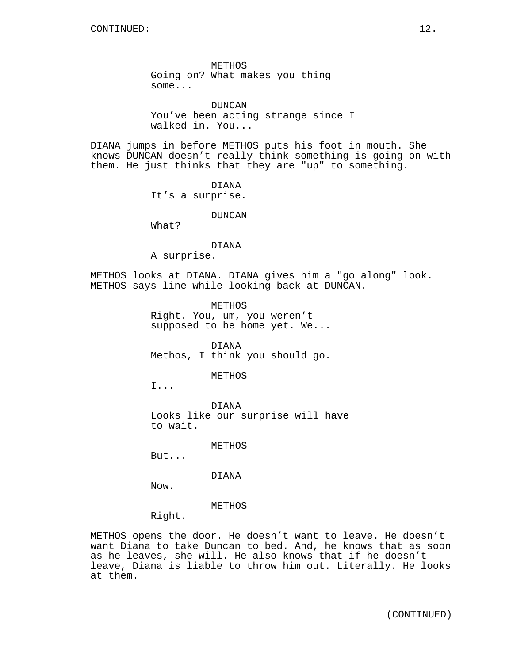METHOS Going on? What makes you thing some...

DUNCAN You've been acting strange since I walked in. You...

DIANA jumps in before METHOS puts his foot in mouth. She knows DUNCAN doesn't really think something is going on with them. He just thinks that they are "up" to something.

> DIANA It's a surprise.

> > DUNCAN

What?

#### DIANA

A surprise.

METHOS looks at DIANA. DIANA gives him a "go along" look. METHOS says line while looking back at DUNCAN.

> METHOS Right. You, um, you weren't supposed to be home yet. We...

> DIANA Methos, I think you should go.

> > METHOS

I...

DIANA Looks like our surprise will have to wait.

METHOS

But...

DIANA

Now.

METHOS

Right.

METHOS opens the door. He doesn't want to leave. He doesn't want Diana to take Duncan to bed. And, he knows that as soon as he leaves, she will. He also knows that if he doesn't leave, Diana is liable to throw him out. Literally. He looks at them.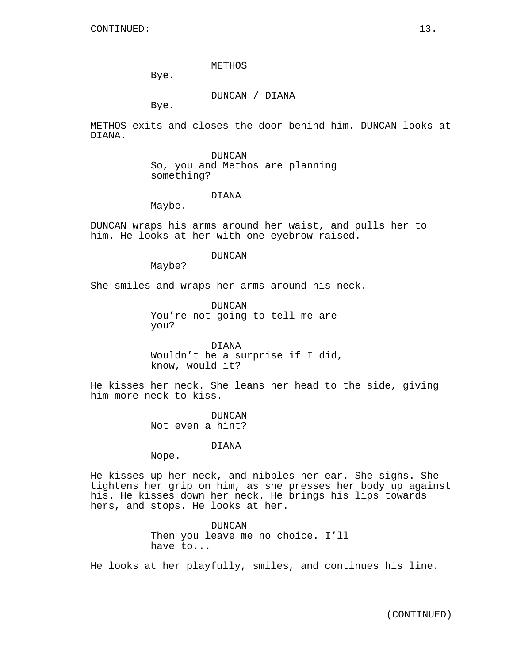METHOS

Bye.

DUNCAN / DIANA

Bye.

METHOS exits and closes the door behind him. DUNCAN looks at DIANA.

> DUNCAN So, you and Methos are planning something?

## DIANA

Maybe.

DUNCAN wraps his arms around her waist, and pulls her to him. He looks at her with one eyebrow raised.

#### DUNCAN

Maybe?

She smiles and wraps her arms around his neck.

DUNCAN You're not going to tell me are you?

DIANA Wouldn't be a surprise if I did, know, would it?

He kisses her neck. She leans her head to the side, giving him more neck to kiss.

> DUNCAN Not even a hint?

### DIANA

Nope.

He kisses up her neck, and nibbles her ear. She sighs. She tightens her grip on him, as she presses her body up against his. He kisses down her neck. He brings his lips towards hers, and stops. He looks at her.

> DUNCAN Then you leave me no choice. I'll have to...

He looks at her playfully, smiles, and continues his line.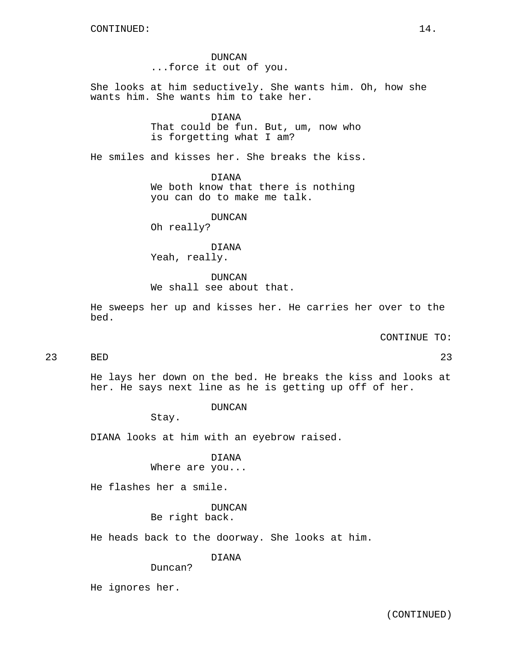DUNCAN ...force it out of you.

She looks at him seductively. She wants him. Oh, how she wants him. She wants him to take her.

## DIANA

That could be fun. But, um, now who is forgetting what I am?

He smiles and kisses her. She breaks the kiss.

DIANA

We both know that there is nothing you can do to make me talk.

DUNCAN

Oh really?

DIANA Yeah, really.

DUNCAN We shall see about that.

He sweeps her up and kisses her. He carries her over to the bed.

CONTINUE TO:

# 23 BED 23

He lays her down on the bed. He breaks the kiss and looks at her. He says next line as he is getting up off of her.

DUNCAN

Stay.

DIANA looks at him with an eyebrow raised.

DIANA

Where are you...

He flashes her a smile.

DUNCAN

Be right back.

He heads back to the doorway. She looks at him.

DIANA

Duncan?

He ignores her.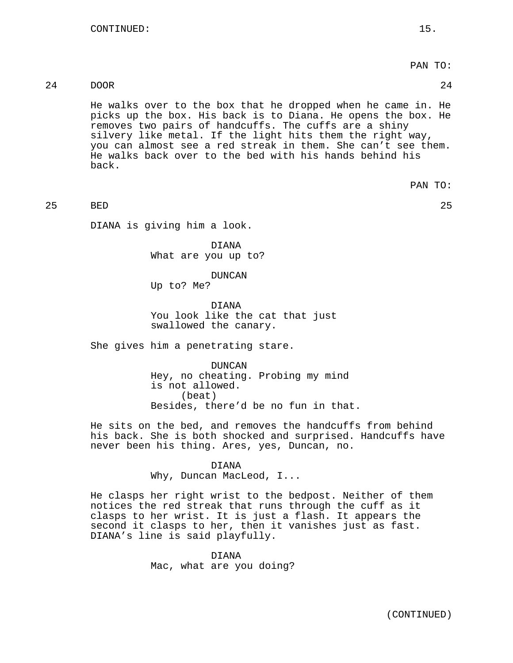PAN TO:

## 24 DOOR 24

He walks over to the box that he dropped when he came in. He picks up the box. His back is to Diana. He opens the box. He removes two pairs of handcuffs. The cuffs are a shiny silvery like metal. If the light hits them the right way, you can almost see a red streak in them. She can't see them. He walks back over to the bed with his hands behind his back.

PAN TO:

25 BED 25

DIANA is giving him a look.

DIANA What are you up to?

DUNCAN Up to? Me?

DIANA You look like the cat that just swallowed the canary.

She gives him a penetrating stare.

DUNCAN Hey, no cheating. Probing my mind is not allowed. (beat) Besides, there'd be no fun in that.

He sits on the bed, and removes the handcuffs from behind his back. She is both shocked and surprised. Handcuffs have never been his thing. Ares, yes, Duncan, no.

#### DIANA

Why, Duncan MacLeod, I...

He clasps her right wrist to the bedpost. Neither of them notices the red streak that runs through the cuff as it clasps to her wrist. It is just a flash. It appears the second it clasps to her, then it vanishes just as fast. DIANA's line is said playfully.

> DIANA Mac, what are you doing?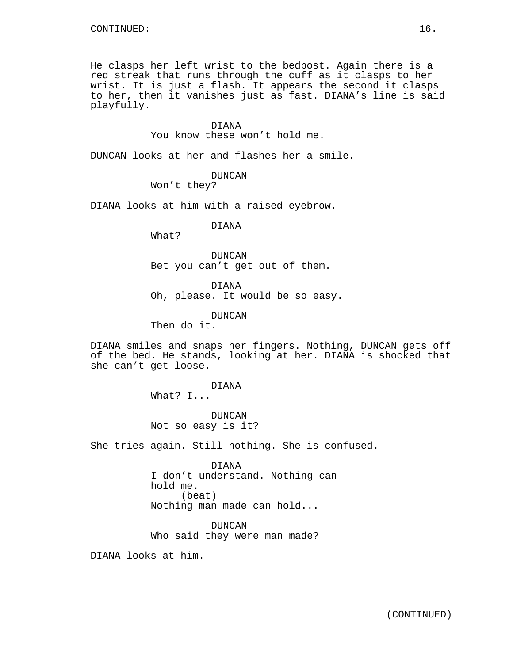He clasps her left wrist to the bedpost. Again there is a red streak that runs through the cuff as it clasps to her wrist. It is just a flash. It appears the second it clasps to her, then it vanishes just as fast. DIANA's line is said playfully.

### DIANA

You know these won't hold me.

DUNCAN looks at her and flashes her a smile.

DUNCAN

Won't they?

DIANA looks at him with a raised eyebrow.

DIANA

What?

DUNCAN Bet you can't get out of them.

DIANA Oh, please. It would be so easy.

DUNCAN

Then do it.

DIANA smiles and snaps her fingers. Nothing, DUNCAN gets off of the bed. He stands, looking at her. DIANA is shocked that she can't get loose.

> DIANA What? I...

DUNCAN Not so easy is it?

She tries again. Still nothing. She is confused.

DIANA I don't understand. Nothing can hold me. (beat) Nothing man made can hold...

DUNCAN Who said they were man made?

DIANA looks at him.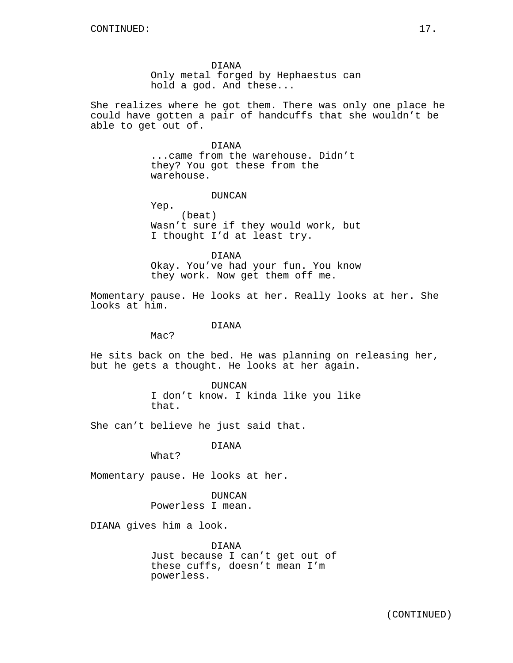DIANA

Only metal forged by Hephaestus can hold a god. And these...

She realizes where he got them. There was only one place he could have gotten a pair of handcuffs that she wouldn't be able to get out of.

> DIANA ...came from the warehouse. Didn't they? You got these from the warehouse.

#### DUNCAN

Yep. (beat) Wasn't sure if they would work, but I thought I'd at least try.

DIANA Okay. You've had your fun. You know they work. Now get them off me.

Momentary pause. He looks at her. Really looks at her. She looks at him.

#### DIANA

Mac?

He sits back on the bed. He was planning on releasing her, but he gets a thought. He looks at her again.

> DUNCAN I don't know. I kinda like you like that.

She can't believe he just said that.

## DIANA

What?

Momentary pause. He looks at her.

DUNCAN Powerless I mean.

DIANA gives him a look.

DIANA Just because I can't get out of these cuffs, doesn't mean I'm powerless.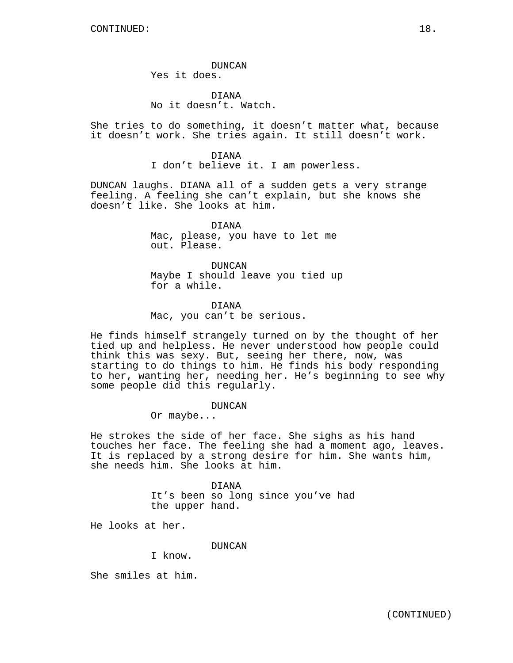DUNCAN Yes it does.

DIANA No it doesn't. Watch.

She tries to do something, it doesn't matter what, because it doesn't work. She tries again. It still doesn't work.

> DIANA I don't believe it. I am powerless.

DUNCAN laughs. DIANA all of a sudden gets a very strange feeling. A feeling she can't explain, but she knows she doesn't like. She looks at him.

> DIANA Mac, please, you have to let me out. Please.

DUNCAN Maybe I should leave you tied up for a while.

## DIANA

Mac, you can't be serious.

He finds himself strangely turned on by the thought of her tied up and helpless. He never understood how people could think this was sexy. But, seeing her there, now, was starting to do things to him. He finds his body responding to her, wanting her, needing her. He's beginning to see why some people did this regularly.

DUNCAN

Or maybe...

He strokes the side of her face. She sighs as his hand touches her face. The feeling she had a moment ago, leaves. It is replaced by a strong desire for him. She wants him, she needs him. She looks at him.

> DIANA It's been so long since you've had the upper hand.

He looks at her.

DUNCAN

I know.

She smiles at him.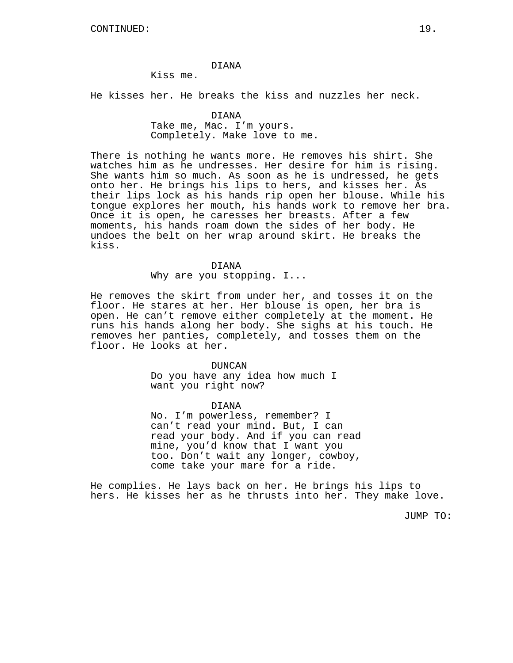#### DIANA

Kiss me.

He kisses her. He breaks the kiss and nuzzles her neck.

## DIANA

Take me, Mac. I'm yours. Completely. Make love to me.

There is nothing he wants more. He removes his shirt. She watches him as he undresses. Her desire for him is rising. She wants him so much. As soon as he is undressed, he gets onto her. He brings his lips to hers, and kisses her. As their lips lock as his hands rip open her blouse. While his tongue explores her mouth, his hands work to remove her bra. Once it is open, he caresses her breasts. After a few moments, his hands roam down the sides of her body. He undoes the belt on her wrap around skirt. He breaks the kiss.

#### DIANA

Why are you stopping. I...

He removes the skirt from under her, and tosses it on the floor. He stares at her. Her blouse is open, her bra is open. He can't remove either completely at the moment. He runs his hands along her body. She sighs at his touch. He removes her panties, completely, and tosses them on the floor. He looks at her.

## DUNCAN

Do you have any idea how much I want you right now?

DIANA No. I'm powerless, remember? I can't read your mind. But, I can read your body. And if you can read mine, you'd know that I want you too. Don't wait any longer, cowboy, come take your mare for a ride.

He complies. He lays back on her. He brings his lips to hers. He kisses her as he thrusts into her. They make love.

JUMP TO: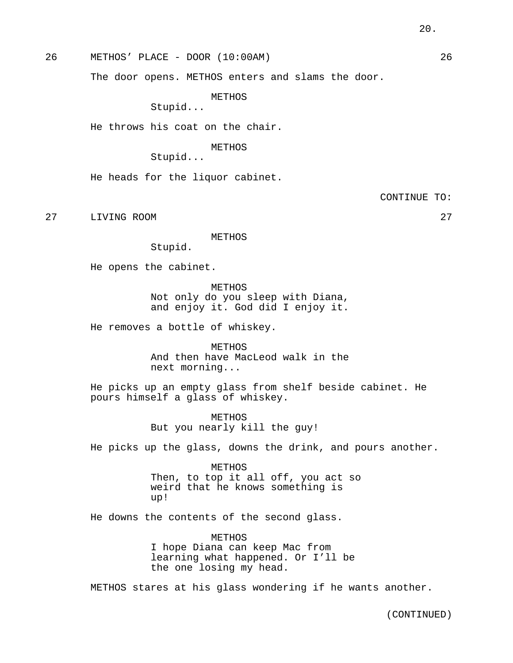26 METHOS' PLACE - DOOR (10:00AM) 26

The door opens. METHOS enters and slams the door.

METHOS

Stupid...

He throws his coat on the chair.

METHOS

Stupid...

He heads for the liquor cabinet.

CONTINUE TO:

27 LIVING ROOM 27

METHOS

Stupid.

He opens the cabinet.

METHOS Not only do you sleep with Diana, and enjoy it. God did I enjoy it.

He removes a bottle of whiskey.

**METHOS** And then have MacLeod walk in the next morning...

He picks up an empty glass from shelf beside cabinet. He pours himself a glass of whiskey.

> METHOS But you nearly kill the guy!

He picks up the glass, downs the drink, and pours another.

METHOS Then, to top it all off, you act so weird that he knows something is up!

He downs the contents of the second glass.

METHOS I hope Diana can keep Mac from learning what happened. Or I'll be the one losing my head.

METHOS stares at his glass wondering if he wants another.

(CONTINUED)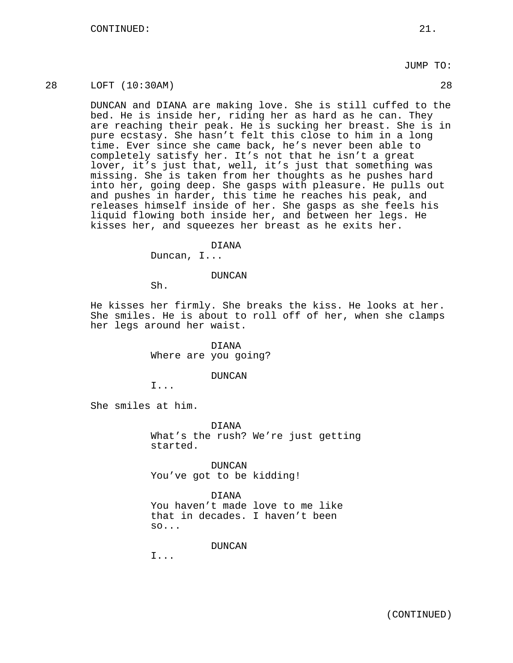## JUMP TO:

## 28 LOFT (10:30AM) 28

DUNCAN and DIANA are making love. She is still cuffed to the bed. He is inside her, riding her as hard as he can. They are reaching their peak. He is sucking her breast. She is in pure ecstasy. She hasn't felt this close to him in a long time. Ever since she came back, he's never been able to completely satisfy her. It's not that he isn't a great lover, it's just that, well, it's just that something was missing. She is taken from her thoughts as he pushes hard into her, going deep. She gasps with pleasure. He pulls out and pushes in harder, this time he reaches his peak, and releases himself inside of her. She gasps as she feels his liquid flowing both inside her, and between her legs. He kisses her, and squeezes her breast as he exits her.

#### DIANA

Duncan, I...

DUNCAN

Sh.

He kisses her firmly. She breaks the kiss. He looks at her. She smiles. He is about to roll off of her, when she clamps her legs around her waist.

> DIANA Where are you going?

## DUNCAN

I...

She smiles at him.

DIANA

What's the rush? We're just getting started.

DUNCAN You've got to be kidding!

DIANA

You haven't made love to me like that in decades. I haven't been so...

DUNCAN

I...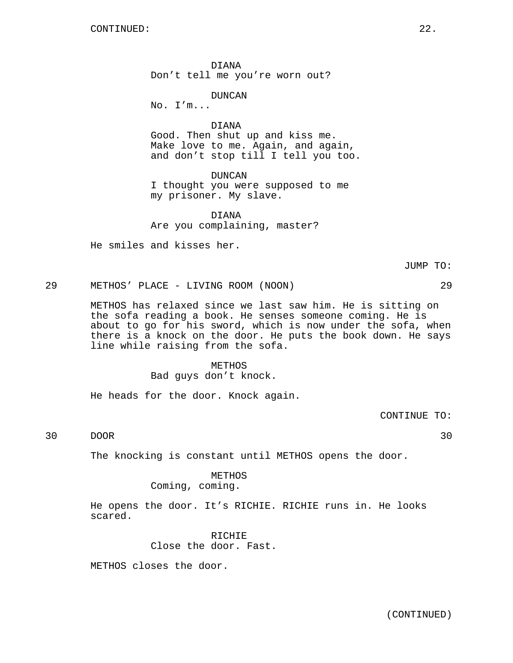DIANA Don't tell me you're worn out?

DUNCAN

No. I'm...

DIANA Good. Then shut up and kiss me. Make love to me. Again, and again, and don't stop till I tell you too.

DUNCAN I thought you were supposed to me my prisoner. My slave.

DIANA Are you complaining, master?

He smiles and kisses her.

29 METHOS' PLACE - LIVING ROOM (NOON) 29 METHOS has relaxed since we last saw him. He is sitting on the sofa reading a book. He senses someone coming. He is about to go for his sword, which is now under the sofa, when there is a knock on the door. He puts the book down. He says

> METHOS Bad guys don't knock.

He heads for the door. Knock again.

line while raising from the sofa.

CONTINUE TO:

30 DOOR 30

The knocking is constant until METHOS opens the door.

METHOS Coming, coming.

He opens the door. It's RICHIE. RICHIE runs in. He looks scared.

> RICHIE Close the door. Fast.

METHOS closes the door.

JUMP TO: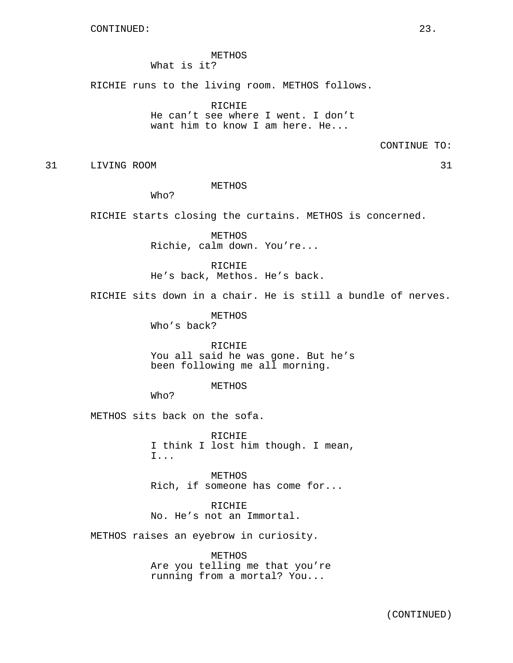METHOS What is it?

RICHIE runs to the living room. METHOS follows.

RICHIE He can't see where I went. I don't want him to know I am here. He...

CONTINUE TO:

31 LIVING ROOM 31

METHOS

Who?

RICHIE starts closing the curtains. METHOS is concerned.

METHOS Richie, calm down. You're...

RICHIE He's back, Methos. He's back.

RICHIE sits down in a chair. He is still a bundle of nerves.

METHOS

Who's back?

RICHIE You all said he was gone. But he's been following me all morning.

METHOS

Who?

METHOS sits back on the sofa.

RICHIE I think I lost him though. I mean, I...

METHOS Rich, if someone has come for...

RICHIE No. He's not an Immortal.

METHOS raises an eyebrow in curiosity.

METHOS Are you telling me that you're running from a mortal? You...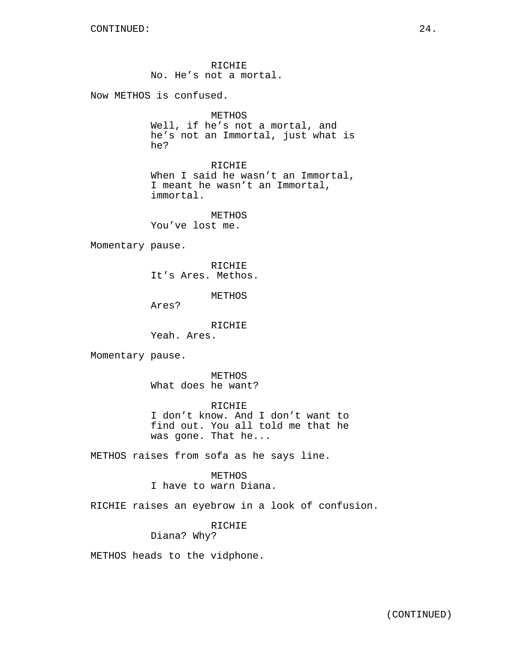RICHIE No. He's not a mortal.

Now METHOS is confused.

```
METHOS
```
Well, if he's not a mortal, and he's not an Immortal, just what is he?

RICHIE

When I said he wasn't an Immortal, I meant he wasn't an Immortal, immortal.

METHOS You've lost me.

Momentary pause.

RICHIE It's Ares. Methos.

METHOS

Ares?

RICHIE Yeah. Ares.

Momentary pause.

METHOS What does he want?

RICHIE I don't know. And I don't want to find out. You all told me that he was gone. That he...

METHOS raises from sofa as he says line.

## METHOS

I have to warn Diana.

RICHIE raises an eyebrow in a look of confusion.

RICHIE Diana? Why?

METHOS heads to the vidphone.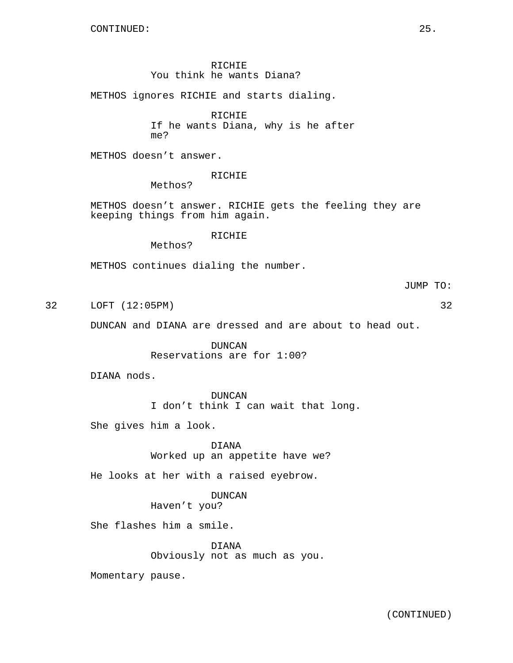RICHIE You think he wants Diana?

METHOS ignores RICHIE and starts dialing.

RICHIE

If he wants Diana, why is he after me?

METHOS doesn't answer.

RICHIE

Methos?

METHOS doesn't answer. RICHIE gets the feeling they are keeping things from him again.

RICHIE

Methos?

METHOS continues dialing the number.

JUMP TO:

32 LOFT (12:05PM) 32

DUNCAN and DIANA are dressed and are about to head out.

DUNCAN Reservations are for 1:00?

DIANA nods.

DUNCAN I don't think I can wait that long.

She gives him a look.

DIANA Worked up an appetite have we?

He looks at her with a raised eyebrow.

DUNCAN Haven't you?

She flashes him a smile.

DIANA Obviously not as much as you.

Momentary pause.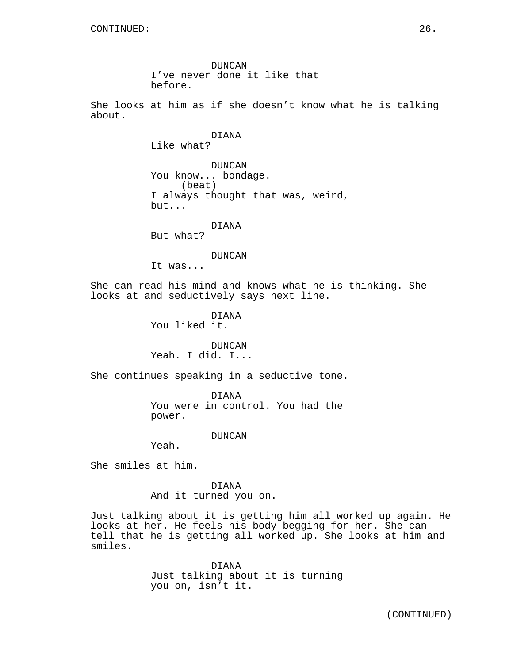DUNCAN I've never done it like that before.

She looks at him as if she doesn't know what he is talking about.

DIANA

Like what?

DUNCAN You know... bondage. (beat) I always thought that was, weird, but...

DIANA

But what?

#### DUNCAN

It was...

She can read his mind and knows what he is thinking. She looks at and seductively says next line.

> DIANA You liked it.

DUNCAN Yeah. I did. I...

She continues speaking in a seductive tone.

DIANA You were in control. You had the power.

#### DUNCAN

Yeah.

She smiles at him.

DIANA And it turned you on.

Just talking about it is getting him all worked up again. He looks at her. He feels his body begging for her. She can tell that he is getting all worked up. She looks at him and smiles.

> DIANA Just talking about it is turning you on, isn't it.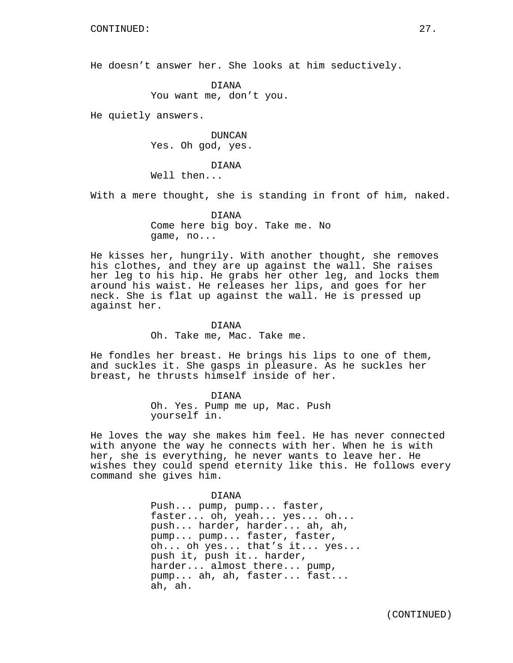He doesn't answer her. She looks at him seductively.

DIANA You want me, don't you.

He quietly answers.

DUNCAN Yes. Oh god, yes.

DIANA Well then...

With a mere thought, she is standing in front of him, naked.

DIANA Come here big boy. Take me. No game, no...

He kisses her, hungrily. With another thought, she removes his clothes, and they are up against the wall. She raises her leg to his hip. He grabs her other leg, and locks them around his waist. He releases her lips, and goes for her neck. She is flat up against the wall. He is pressed up against her.

> DIANA Oh. Take me, Mac. Take me.

He fondles her breast. He brings his lips to one of them, and suckles it. She gasps in pleasure. As he suckles her breast, he thrusts himself inside of her.

> DIANA Oh. Yes. Pump me up, Mac. Push yourself in.

He loves the way she makes him feel. He has never connected with anyone the way he connects with her. When he is with her, she is everything, he never wants to leave her. He wishes they could spend eternity like this. He follows every command she gives him.

DIANA

Push... pump, pump... faster, faster... oh, yeah... yes... oh... push... harder, harder... ah, ah, pump... pump... faster, faster, oh... oh yes... that's it... yes... push it, push it.. harder, harder... almost there... pump, pump... ah, ah, faster... fast... ah, ah.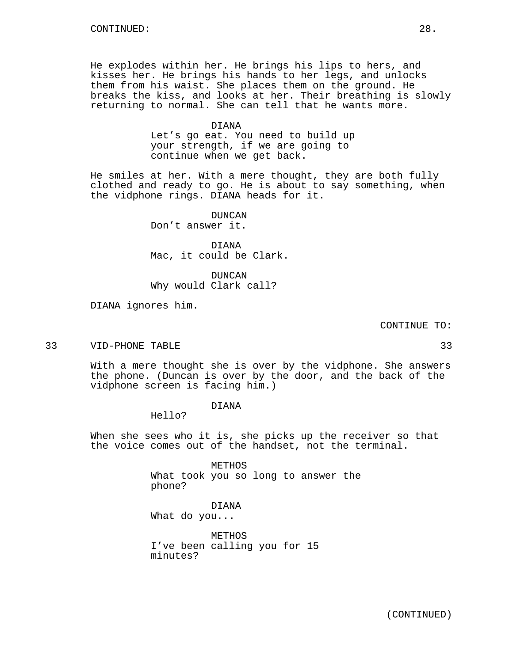He explodes within her. He brings his lips to hers, and kisses her. He brings his hands to her legs, and unlocks them from his waist. She places them on the ground. He breaks the kiss, and looks at her. Their breathing is slowly returning to normal. She can tell that he wants more.

> DIANA Let's go eat. You need to build up your strength, if we are going to continue when we get back.

He smiles at her. With a mere thought, they are both fully clothed and ready to go. He is about to say something, when the vidphone rings. DIANA heads for it.

DUNCAN

Don't answer it.

DIANA Mac, it could be Clark.

DUNCAN Why would Clark call?

DIANA ignores him.

CONTINUE TO:

33 VID-PHONE TABLE 33

With a mere thought she is over by the vidphone. She answers the phone. (Duncan is over by the door, and the back of the vidphone screen is facing him.)

DIANA

Hello?

When she sees who it is, she picks up the receiver so that the voice comes out of the handset, not the terminal.

> METHOS What took you so long to answer the phone?

DIANA What do you...

METHOS I've been calling you for 15 minutes?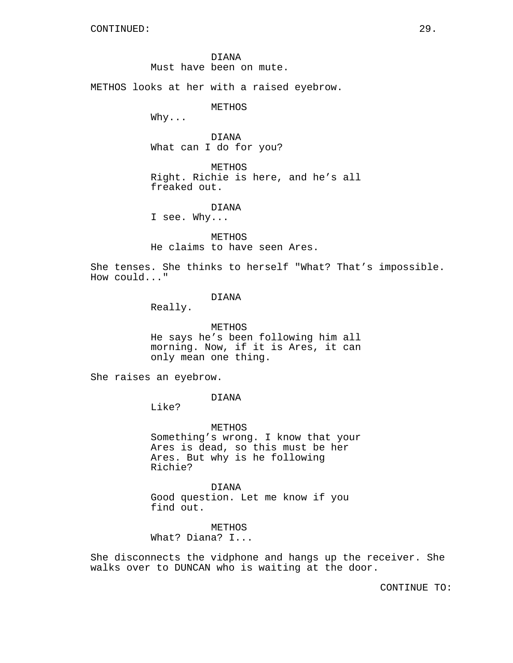DIANA Must have been on mute.

METHOS looks at her with a raised eyebrow.

METHOS

 $W$ hy. $\ldots$ 

DIANA What can I do for you?

METHOS Right. Richie is here, and he's all freaked out.

DIANA I see. Why...

METHOS He claims to have seen Ares.

She tenses. She thinks to herself "What? That's impossible. How could..."

### DIANA

Really.

METHOS He says he's been following him all morning. Now, if it is Ares, it can only mean one thing.

She raises an eyebrow.

DIANA

Like?

METHOS Something's wrong. I know that your Ares is dead, so this must be her Ares. But why is he following Richie?

DIANA Good question. Let me know if you find out.

METHOS What? Diana? I...

She disconnects the vidphone and hangs up the receiver. She walks over to DUNCAN who is waiting at the door.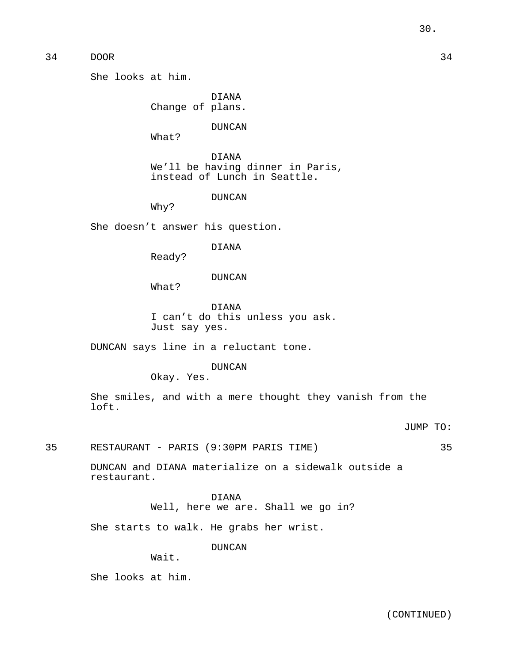She looks at him.

DIANA Change of plans.

DUNCAN

What?

DIANA We'll be having dinner in Paris, instead of Lunch in Seattle.

DUNCAN

Why?

She doesn't answer his question.

DIANA

Ready?

## DUNCAN

What?

DIANA I can't do this unless you ask. Just say yes.

DUNCAN says line in a reluctant tone.

## DUNCAN

Okay. Yes.

She smiles, and with a mere thought they vanish from the loft.

JUMP TO:

35 RESTAURANT - PARIS (9:30PM PARIS TIME) 35

DUNCAN and DIANA materialize on a sidewalk outside a restaurant.

> DIANA Well, here we are. Shall we go in?

She starts to walk. He grabs her wrist.

DUNCAN

Wait.

She looks at him.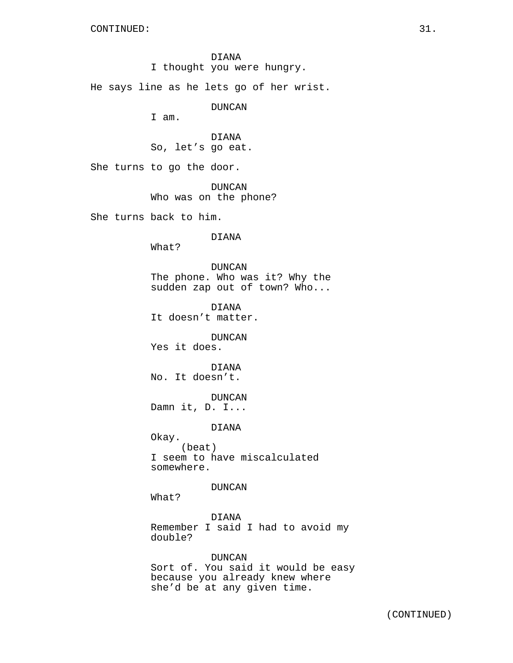DIANA I thought you were hungry. He says line as he lets go of her wrist. DUNCAN I am. DIANA So, let's go eat. She turns to go the door. DUNCAN Who was on the phone? She turns back to him. DIANA What? DUNCAN The phone. Who was it? Why the sudden zap out of town? Who... DIANA It doesn't matter. DUNCAN Yes it does. DIANA No. It doesn't. DUNCAN Damn it, D. I... DIANA Okay. (beat) I seem to have miscalculated somewhere. DUNCAN What? DIANA Remember I said I had to avoid my double? DUNCAN Sort of. You said it would be easy because you already knew where

she'd be at any given time.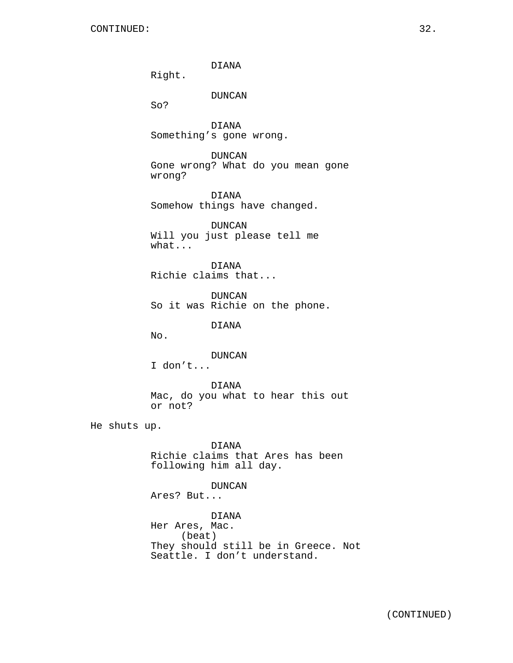DIANA

Right.

DUNCAN

So?

DIANA Something's gone wrong.

DUNCAN Gone wrong? What do you mean gone wrong?

DIANA Somehow things have changed.

DUNCAN Will you just please tell me what...

DIANA Richie claims that...

DUNCAN So it was Richie on the phone.

DIANA

No.

DUNCAN

I don't...

DIANA Mac, do you what to hear this out or not?

He shuts up.

DIANA Richie claims that Ares has been following him all day.

## DUNCAN

Ares? But...

DIANA Her Ares, Mac. (beat) They should still be in Greece. Not Seattle. I don't understand.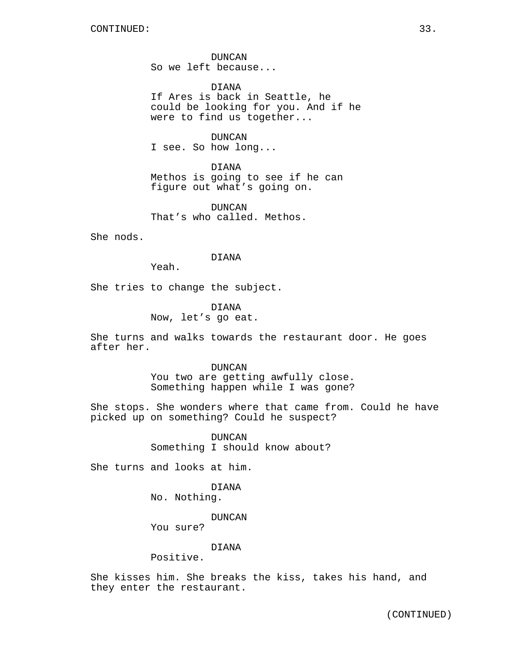DUNCAN So we left because...

DIANA If Ares is back in Seattle, he could be looking for you. And if he were to find us together...

DUNCAN I see. So how long...

DIANA Methos is going to see if he can figure out what's going on.

DUNCAN That's who called. Methos.

She nods.

## DIANA

Yeah.

She tries to change the subject.

DIANA Now, let's go eat.

She turns and walks towards the restaurant door. He goes after her.

#### DUNCAN

You two are getting awfully close. Something happen while I was gone?

She stops. She wonders where that came from. Could he have picked up on something? Could he suspect?

> DUNCAN Something I should know about?

She turns and looks at him.

DIANA

No. Nothing.

DUNCAN

You sure?

## DIANA

Positive.

She kisses him. She breaks the kiss, takes his hand, and they enter the restaurant.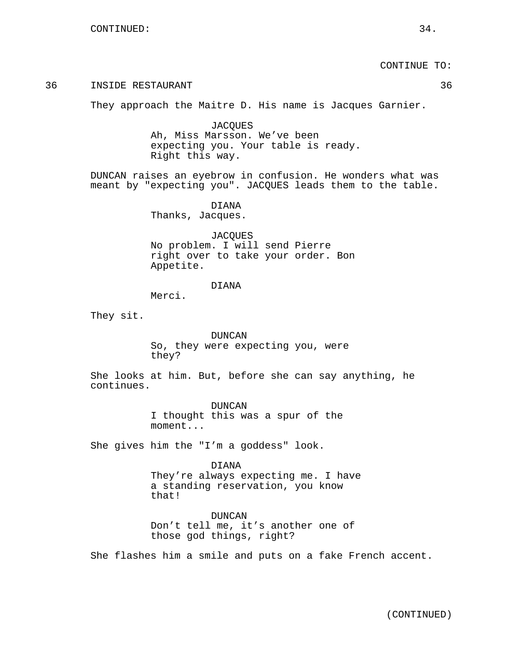CONTINUE TO:

## 36 INSIDE RESTAURANT 36

They approach the Maitre D. His name is Jacques Garnier.

**JACOUES** Ah, Miss Marsson. We've been expecting you. Your table is ready. Right this way.

DUNCAN raises an eyebrow in confusion. He wonders what was meant by "expecting you". JACQUES leads them to the table.

> DIANA Thanks, Jacques.

**JACOUES** No problem. I will send Pierre right over to take your order. Bon Appetite.

## DIANA

Merci.

They sit.

DUNCAN So, they were expecting you, were they?

She looks at him. But, before she can say anything, he continues.

> DUNCAN I thought this was a spur of the moment...

She gives him the "I'm a goddess" look.

DIANA They're always expecting me. I have a standing reservation, you know that!

DUNCAN Don't tell me, it's another one of those god things, right?

She flashes him a smile and puts on a fake French accent.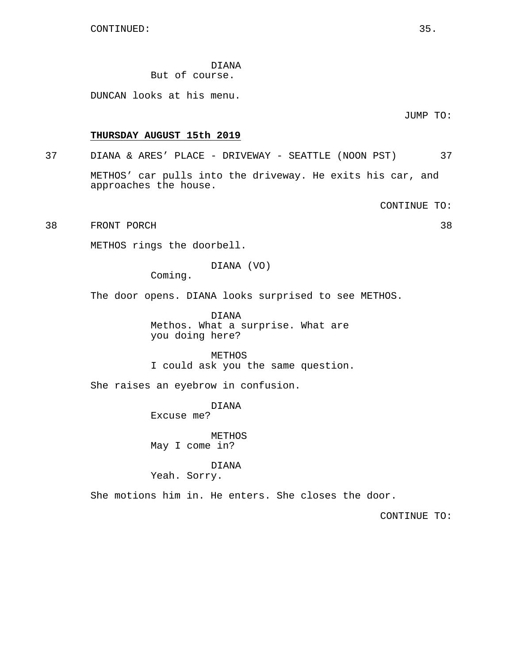DIANA But of course.

DUNCAN looks at his menu.

JUMP TO:

## **THURSDAY AUGUST 15th 2019**

# 37 DIANA & ARES' PLACE - DRIVEWAY - SEATTLE (NOON PST) 37

METHOS' car pulls into the driveway. He exits his car, and approaches the house.

CONTINUE TO:

38 FRONT PORCH 38

METHOS rings the doorbell.

DIANA (VO)

Coming.

The door opens. DIANA looks surprised to see METHOS.

DIANA Methos. What a surprise. What are you doing here?

METHOS I could ask you the same question.

She raises an eyebrow in confusion.

DIANA Excuse me?

METHOS May I come in?

DIANA Yeah. Sorry.

She motions him in. He enters. She closes the door.

CONTINUE TO: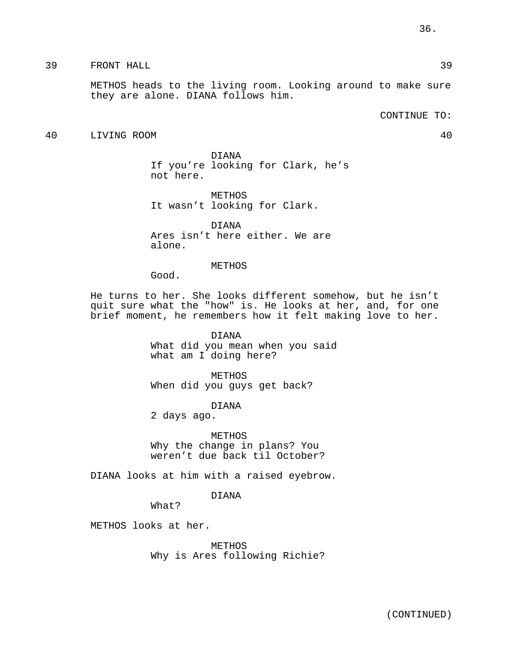# 39 FRONT HALL 39

METHOS heads to the living room. Looking around to make sure they are alone. DIANA follows him.

CONTINUE TO:

# 40 LIVING ROOM 40

DIANA If you're looking for Clark, he's not here.

METHOS It wasn't looking for Clark.

DIANA Ares isn't here either. We are alone.

# METHOS

Good.

He turns to her. She looks different somehow, but he isn't quit sure what the "how" is. He looks at her, and, for one brief moment, he remembers how it felt making love to her.

> DIANA What did you mean when you said what am I doing here?

METHOS When did you guys get back?

DIANA

2 days ago.

METHOS Why the change in plans? You weren't due back til October?

DIANA looks at him with a raised eyebrow.

DIANA

What?

METHOS looks at her.

METHOS Why is Ares following Richie?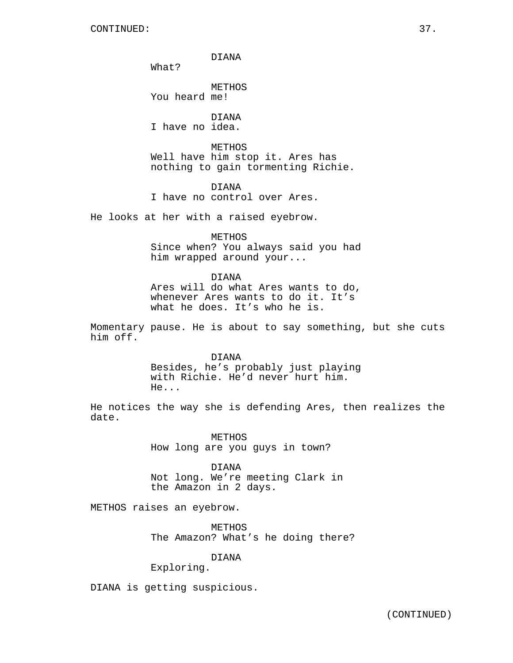DIANA

What?

METHOS You heard me!

DIANA I have no idea.

METHOS Well have him stop it. Ares has nothing to gain tormenting Richie.

DIANA I have no control over Ares.

He looks at her with a raised eyebrow.

METHOS Since when? You always said you had him wrapped around your...

DIANA Ares will do what Ares wants to do, whenever Ares wants to do it. It's what he does. It's who he is.

Momentary pause. He is about to say something, but she cuts him off.

> DIANA Besides, he's probably just playing with Richie. He'd never hurt him. He...

He notices the way she is defending Ares, then realizes the date.

> METHOS How long are you guys in town?

DIANA Not long. We're meeting Clark in the Amazon in 2 days.

METHOS raises an eyebrow.

METHOS The Amazon? What's he doing there?

DIANA

Exploring.

DIANA is getting suspicious.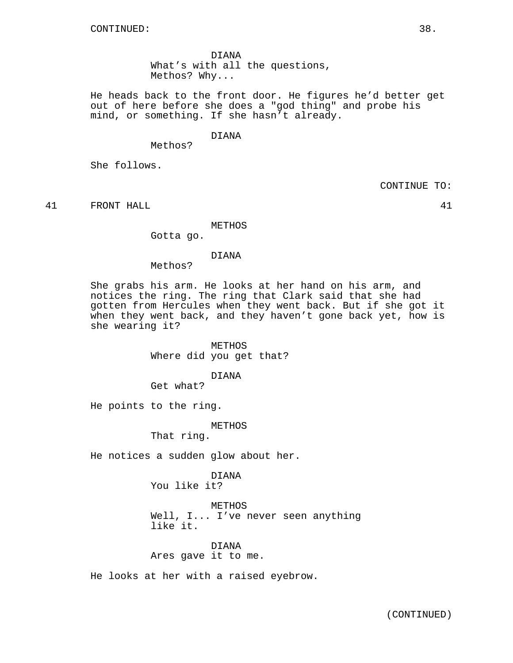DIANA What's with all the questions, Methos? Why...

He heads back to the front door. He figures he'd better get out of here before she does a "god thing" and probe his mind, or something. If she hasn't already.

# DIANA

Methos?

She follows.

CONTINUE TO:

41 FRONT HALL 41

METHOS

Gotta go.

#### DIANA

Methos?

She grabs his arm. He looks at her hand on his arm, and notices the ring. The ring that Clark said that she had gotten from Hercules when they went back. But if she got it when they went back, and they haven't gone back yet, how is she wearing it?

> METHOS Where did you get that?

> > DIANA

Get what?

He points to the ring.

METHOS

That ring.

He notices a sudden glow about her.

DIANA You like it?

METHOS Well, I... I've never seen anything like it.

DIANA Ares gave it to me.

He looks at her with a raised eyebrow.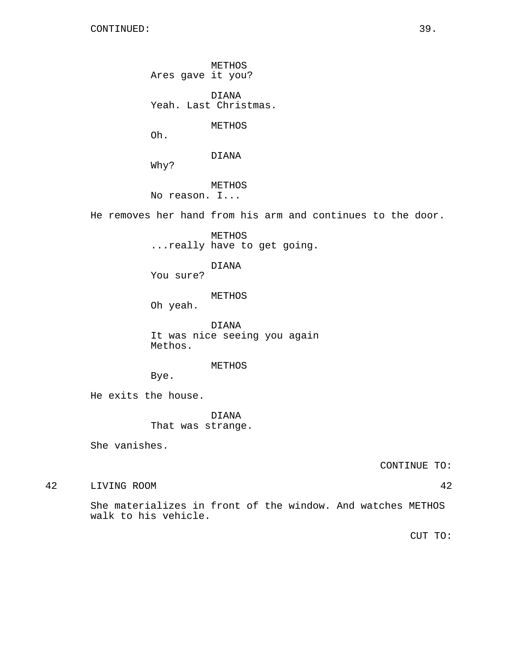METHOS Ares gave it you?

DIANA Yeah. Last Christmas.

METHOS

Oh.

DIANA

Why?

METHOS No reason. I...

He removes her hand from his arm and continues to the door.

METHOS ...really have to get going.

DIANA

You sure?

METHOS

Oh yeah.

DIANA It was nice seeing you again Methos.

METHOS

Bye.

He exits the house.

DIANA That was strange.

She vanishes.

CONTINUE TO:

42 LIVING ROOM 42

She materializes in front of the window. And watches METHOS walk to his vehicle.

CUT TO: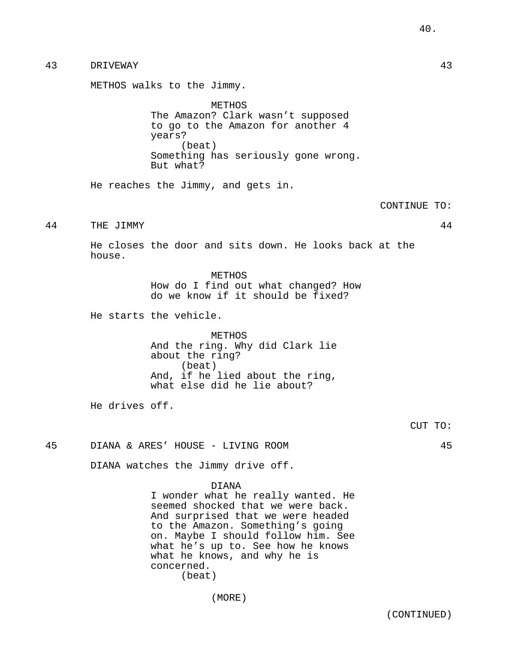# 43 DRIVEWAY 43

METHOS walks to the Jimmy.

METHOS The Amazon? Clark wasn't supposed to go to the Amazon for another 4 years? (beat) Something has seriously gone wrong. But what?

He reaches the Jimmy, and gets in.

CONTINUE TO:

44 THE JIMMY 44

He closes the door and sits down. He looks back at the house.

> METHOS How do I find out what changed? How do we know if it should be fixed?

He starts the vehicle.

METHOS And the ring. Why did Clark lie about the ring? (beat) And, if he lied about the ring, what else did he lie about?

He drives off.

CUT TO:

45 DIANA & ARES' HOUSE - LIVING ROOM 45

DIANA watches the Jimmy drive off.

DIANA

I wonder what he really wanted. He seemed shocked that we were back. And surprised that we were headed to the Amazon. Something's going on. Maybe I should follow him. See what he's up to. See how he knows what he knows, and why he is concerned. (beat)

(MORE)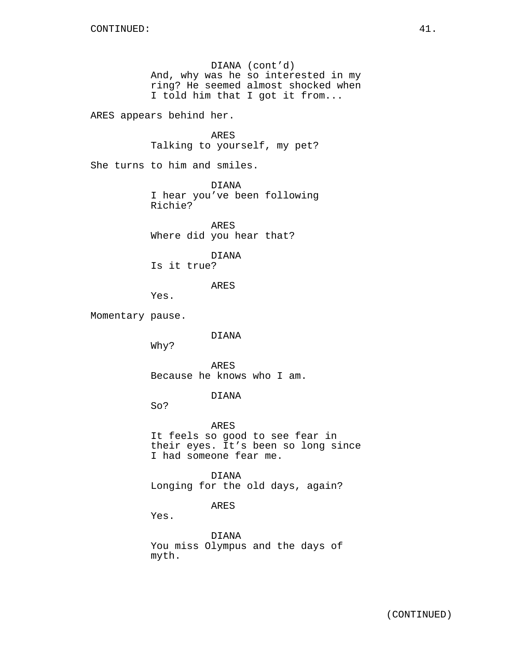DIANA (cont'd) And, why was he so interested in my ring? He seemed almost shocked when I told him that I got it from...

ARES appears behind her.

ARES Talking to yourself, my pet?

She turns to him and smiles.

DIANA I hear you've been following Richie?

ARES Where did you hear that?

DIANA Is it true?

ARES

Yes.

Momentary pause.

DIANA

Why?

ARES Because he knows who I am.

DIANA

So?

ARES It feels so good to see fear in their eyes. It's been so long since I had someone fear me.

DIANA Longing for the old days, again?

ARES

Yes.

DIANA You miss Olympus and the days of myth.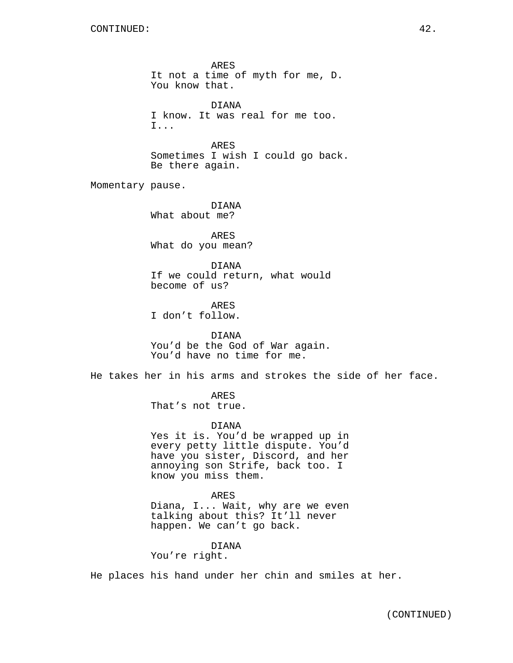ARES It not a time of myth for me, D. You know that. DIANA I know. It was real for me too. I... ARES Sometimes I wish I could go back. Be there again. Momentary pause. DIANA What about me? ARES What do you mean? DIANA If we could return, what would become of us? ARES I don't follow. DIANA You'd be the God of War again. You'd have no time for me. He takes her in his arms and strokes the side of her face. ARES That's not true. DIANA Yes it is. You'd be wrapped up in every petty little dispute. You'd have you sister, Discord, and her annoying son Strife, back too. I know you miss them. ARES Diana, I... Wait, why are we even talking about this? It'll never happen. We can't go back. DIANA You're right.

He places his hand under her chin and smiles at her.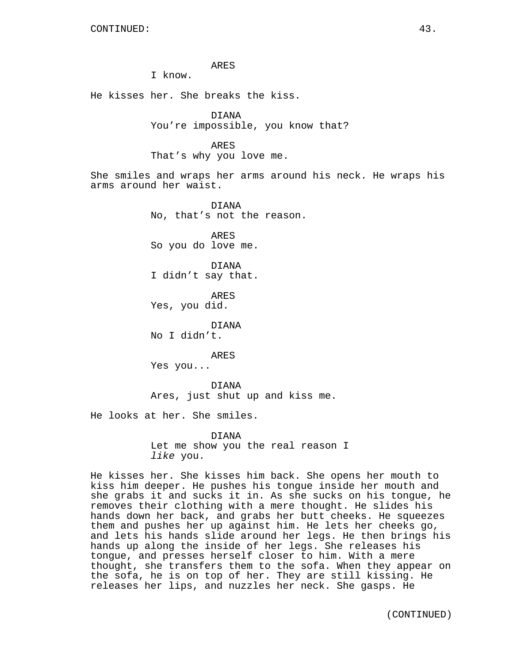ARES

I know.

He kisses her. She breaks the kiss.

DIANA You're impossible, you know that?

ARES That's why you love me.

She smiles and wraps her arms around his neck. He wraps his arms around her waist.

> DIANA No, that's not the reason.

ARES So you do love me.

DIANA I didn't say that.

ARES Yes, you did.

DIANA No I didn't.

ARES

Yes you...

DIANA Ares, just shut up and kiss me.

He looks at her. She smiles.

DIANA Let me show you the real reason I like you.

He kisses her. She kisses him back. She opens her mouth to kiss him deeper. He pushes his tongue inside her mouth and she grabs it and sucks it in. As she sucks on his tongue, he removes their clothing with a mere thought. He slides his hands down her back, and grabs her butt cheeks. He squeezes them and pushes her up against him. He lets her cheeks go, and lets his hands slide around her legs. He then brings his hands up along the inside of her legs. She releases his tongue, and presses herself closer to him. With a mere thought, she transfers them to the sofa. When they appear on the sofa, he is on top of her. They are still kissing. He releases her lips, and nuzzles her neck. She gasps. He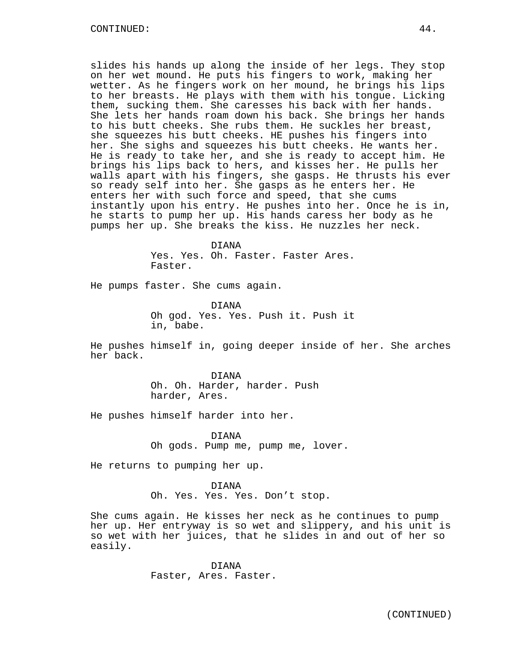slides his hands up along the inside of her legs. They stop on her wet mound. He puts his fingers to work, making her wetter. As he fingers work on her mound, he brings his lips to her breasts. He plays with them with his tongue. Licking them, sucking them. She caresses his back with her hands. She lets her hands roam down his back. She brings her hands to his butt cheeks. She rubs them. He suckles her breast, she squeezes his butt cheeks. HE pushes his fingers into her. She sighs and squeezes his butt cheeks. He wants her. He is ready to take her, and she is ready to accept him. He brings his lips back to hers, and kisses her. He pulls her walls apart with his fingers, she gasps. He thrusts his ever so ready self into her. She gasps as he enters her. He enters her with such force and speed, that she cums instantly upon his entry. He pushes into her. Once he is in, he starts to pump her up. His hands caress her body as he pumps her up. She breaks the kiss. He nuzzles her neck.

> DIANA Yes. Yes. Oh. Faster. Faster Ares.

Faster.

He pumps faster. She cums again.

DIANA Oh god. Yes. Yes. Push it. Push it in, babe.

He pushes himself in, going deeper inside of her. She arches her back.

> DIANA Oh. Oh. Harder, harder. Push harder, Ares.

He pushes himself harder into her.

DIANA Oh gods. Pump me, pump me, lover.

He returns to pumping her up.

DIANA Oh. Yes. Yes. Yes. Don't stop.

She cums again. He kisses her neck as he continues to pump her up. Her entryway is so wet and slippery, and his unit is so wet with her juices, that he slides in and out of her so easily.

> DIANA Faster, Ares. Faster.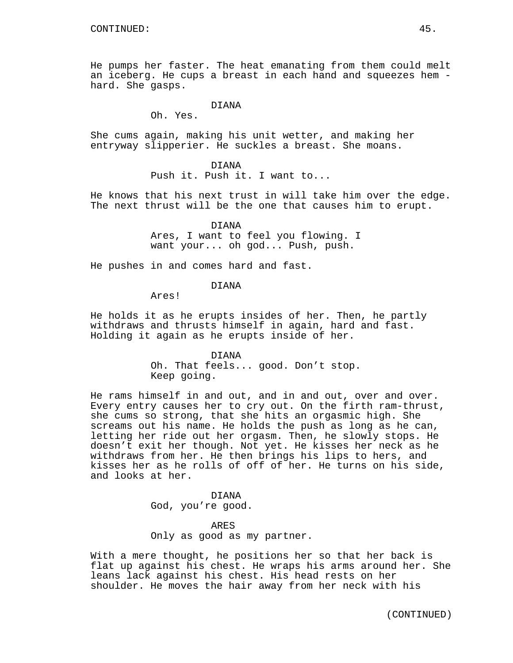He pumps her faster. The heat emanating from them could melt an iceberg. He cups a breast in each hand and squeezes hem hard. She gasps.

## DIANA

Oh. Yes.

She cums again, making his unit wetter, and making her entryway slipperier. He suckles a breast. She moans.

> DIANA Push it. Push it. I want to...

He knows that his next trust in will take him over the edge. The next thrust will be the one that causes him to erupt.

> DIANA Ares, I want to feel you flowing. I want your... oh god... Push, push.

He pushes in and comes hard and fast.

DIANA

Ares!

He holds it as he erupts insides of her. Then, he partly withdraws and thrusts himself in again, hard and fast. Holding it again as he erupts inside of her.

> DIANA Oh. That feels... good. Don't stop. Keep going.

He rams himself in and out, and in and out, over and over. Every entry causes her to cry out. On the firth ram-thrust, she cums so strong, that she hits an orgasmic high. She screams out his name. He holds the push as long as he can, letting her ride out her orgasm. Then, he slowly stops. He doesn't exit her though. Not yet. He kisses her neck as he withdraws from her. He then brings his lips to hers, and kisses her as he rolls of off of her. He turns on his side, and looks at her.

> DIANA God, you're good.

ARES Only as good as my partner.

With a mere thought, he positions her so that her back is flat up against his chest. He wraps his arms around her. She leans lack against his chest. His head rests on her shoulder. He moves the hair away from her neck with his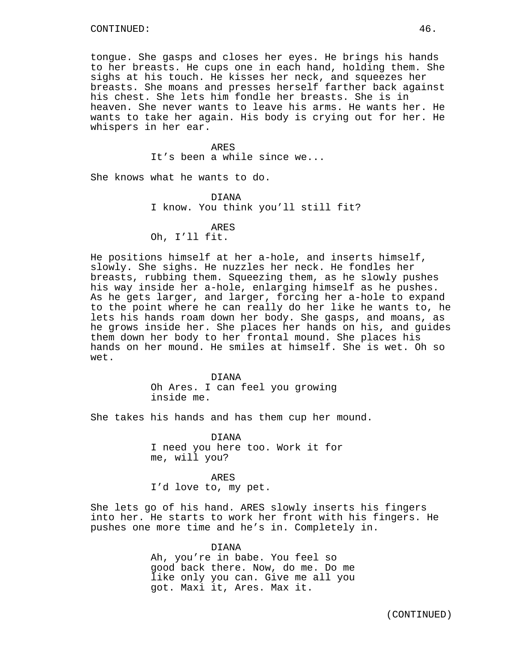tongue. She gasps and closes her eyes. He brings his hands to her breasts. He cups one in each hand, holding them. She sighs at his touch. He kisses her neck, and squeezes her breasts. She moans and presses herself farther back against his chest. She lets him fondle her breasts. She is in heaven. She never wants to leave his arms. He wants her. He wants to take her again. His body is crying out for her. He whispers in her ear.

# ARES

It's been a while since we...

She knows what he wants to do.

DIANA I know. You think you'll still fit?

## ARES

# Oh, I'll fit.

He positions himself at her a-hole, and inserts himself, slowly. She sighs. He nuzzles her neck. He fondles her breasts, rubbing them. Squeezing them, as he slowly pushes his way inside her a-hole, enlarging himself as he pushes. As he gets larger, and larger, forcing her a-hole to expand to the point where he can really do her like he wants to, he lets his hands roam down her body. She gasps, and moans, as he grows inside her. She places her hands on his, and guides them down her body to her frontal mound. She places his hands on her mound. He smiles at himself. She is wet. Oh so wet.

> DIANA Oh Ares. I can feel you growing inside me.

She takes his hands and has them cup her mound.

DIANA I need you here too. Work it for me, will you?

## ARES

I'd love to, my pet.

She lets go of his hand. ARES slowly inserts his fingers into her. He starts to work her front with his fingers. He pushes one more time and he's in. Completely in.

> DIANA Ah, you're in babe. You feel so good back there. Now, do me. Do me like only you can. Give me all you got. Maxi it, Ares. Max it.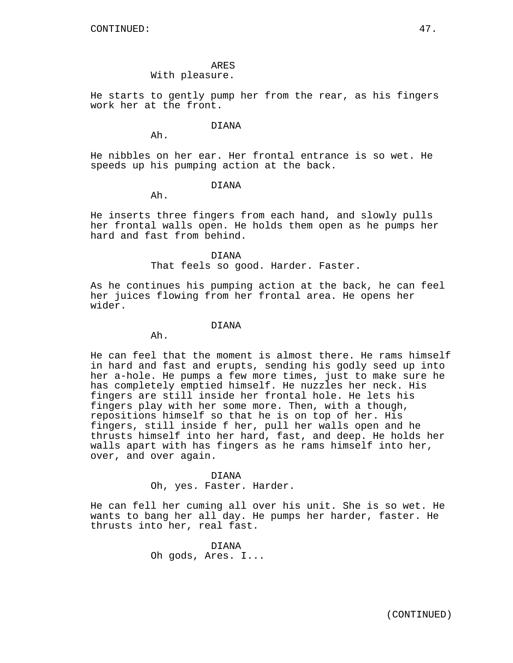ARES

# With pleasure.

He starts to gently pump her from the rear, as his fingers work her at the front.

#### DIANA

Ah.

He nibbles on her ear. Her frontal entrance is so wet. He speeds up his pumping action at the back.

## DIANA

Ah.

He inserts three fingers from each hand, and slowly pulls her frontal walls open. He holds them open as he pumps her hard and fast from behind.

#### DIANA

That feels so good. Harder. Faster.

As he continues his pumping action at the back, he can feel her juices flowing from her frontal area. He opens her wider.

#### DIANA

Ah.

He can feel that the moment is almost there. He rams himself in hard and fast and erupts, sending his godly seed up into her a-hole. He pumps a few more times, just to make sure he has completely emptied himself. He nuzzles her neck. His fingers are still inside her frontal hole. He lets his fingers play with her some more. Then, with a though, repositions himself so that he is on top of her. His fingers, still inside f her, pull her walls open and he thrusts himself into her hard, fast, and deep. He holds her walls apart with has fingers as he rams himself into her, over, and over again.

## DIANA

Oh, yes. Faster. Harder.

He can fell her cuming all over his unit. She is so wet. He wants to bang her all day. He pumps her harder, faster. He thrusts into her, real fast.

> DIANA Oh gods, Ares. I...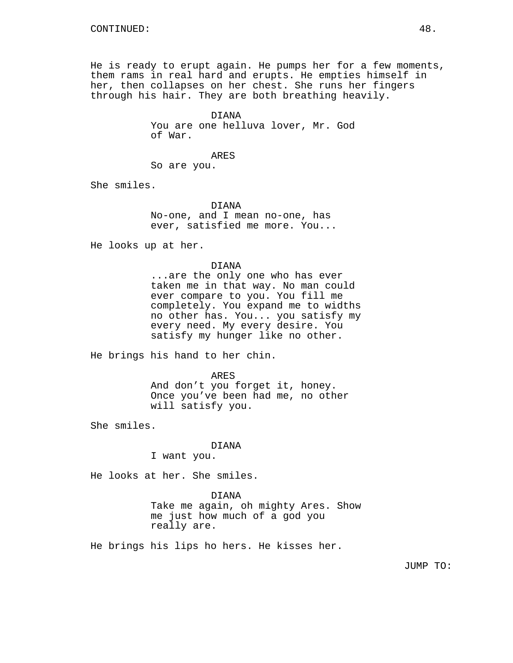He is ready to erupt again. He pumps her for a few moments, them rams in real hard and erupts. He empties himself in her, then collapses on her chest. She runs her fingers through his hair. They are both breathing heavily.

> DIANA You are one helluva lover, Mr. God of War.

> > ARES

So are you.

She smiles.

DIANA No-one, and I mean no-one, has ever, satisfied me more. You...

He looks up at her.

DIANA

...are the only one who has ever taken me in that way. No man could ever compare to you. You fill me completely. You expand me to widths no other has. You... you satisfy my every need. My every desire. You satisfy my hunger like no other.

He brings his hand to her chin.

ARES And don't you forget it, honey. Once you've been had me, no other will satisfy you.

She smiles.

#### DIANA

I want you.

He looks at her. She smiles.

## DIANA

Take me again, oh mighty Ares. Show me just how much of a god you really are.

He brings his lips ho hers. He kisses her.

JUMP TO: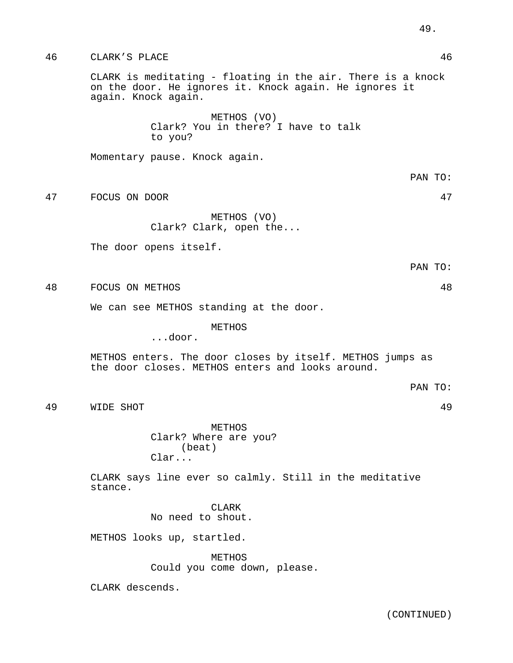46 CLARK'S PLACE 46 CLARK is meditating - floating in the air. There is a knock on the door. He ignores it. Knock again. He ignores it again. Knock again. METHOS (VO) Clark? You in there? I have to talk to you? Momentary pause. Knock again. PAN TO: 47 FOCUS ON DOOR 47 METHOS (VO) Clark? Clark, open the... The door opens itself. PAN TO: 48 FOCUS ON METHOS 48 We can see METHOS standing at the door. METHOS ...door. METHOS enters. The door closes by itself. METHOS jumps as the door closes. METHOS enters and looks around. PAN TO: 49 WIDE SHOT 49 METHOS Clark? Where are you? (beat) Clar... CLARK says line ever so calmly. Still in the meditative stance. CLARK No need to shout. METHOS looks up, startled. METHOS Could you come down, please.

CLARK descends.

(CONTINUED)

49.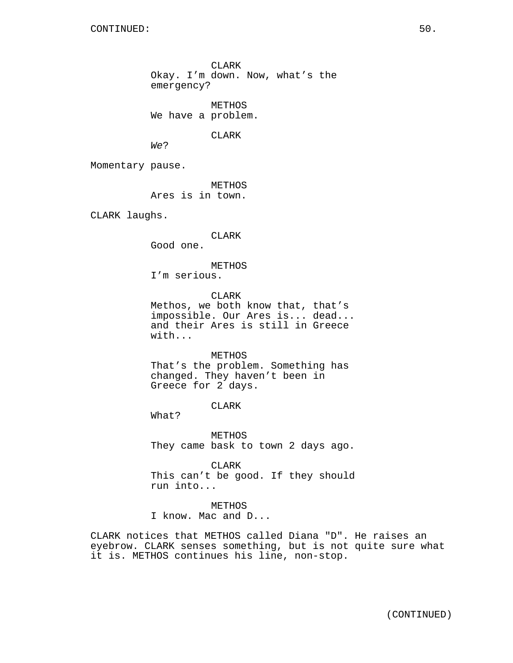CLARK Okay. I'm down. Now, what's the emergency?

METHOS We have a problem.

CLARK

We?

Momentary pause.

METHOS Ares is in town.

CLARK laughs.

CLARK

Good one.

METHOS I'm serious.

CLARK

Methos, we both know that, that's impossible. Our Ares is... dead... and their Ares is still in Greece with...

METHOS That's the problem. Something has changed. They haven't been in Greece for 2 days.

CLARK

What?

METHOS They came bask to town 2 days ago.

CLARK This can't be good. If they should run into...

METHOS I know. Mac and D...

CLARK notices that METHOS called Diana "D". He raises an eyebrow. CLARK senses something, but is not quite sure what it is. METHOS continues his line, non-stop.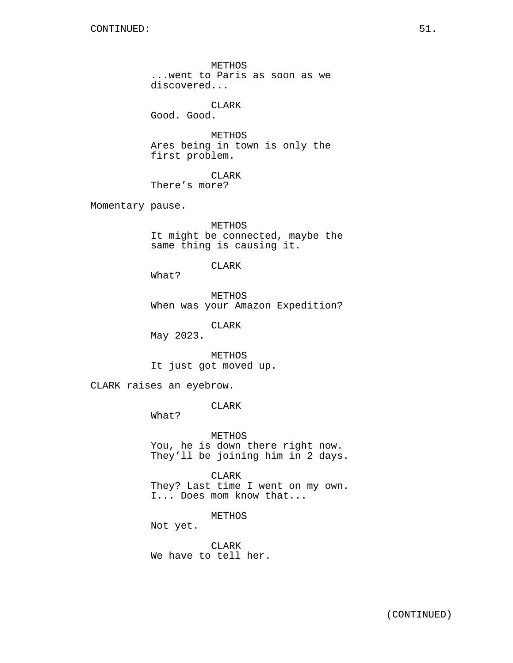METHOS ...went to Paris as soon as we discovered...

CLARK

Good. Good.

METHOS Ares being in town is only the first problem.

CLARK There's more?

Momentary pause.

METHOS It might be connected, maybe the same thing is causing it.

# CLARK

What?

METHOS When was your Amazon Expedition?

CLARK

May 2023.

METHOS It just got moved up.

CLARK raises an eyebrow.

CLARK

What?

METHOS You, he is down there right now. They'll be joining him in 2 days.

CLARK They? Last time I went on my own. I... Does mom know that...

METHOS

Not yet.

CLARK We have to tell her.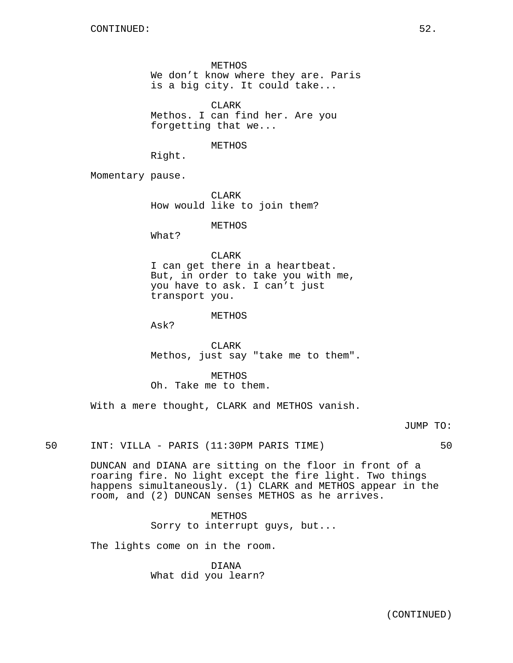METHOS We don't know where they are. Paris is a big city. It could take...

CLARK Methos. I can find her. Are you forgetting that we...

METHOS

Right.

Momentary pause.

CLARK How would like to join them?

# METHOS

What?

# CLARK

I can get there in a heartbeat. But, in order to take you with me, you have to ask. I can't just transport you.

#### METHOS

Ask?

CLARK Methos, just say "take me to them".

METHOS Oh. Take me to them.

With a mere thought, CLARK and METHOS vanish.

JUMP TO:

50 INT: VILLA - PARIS (11:30PM PARIS TIME) 50

DUNCAN and DIANA are sitting on the floor in front of a roaring fire. No light except the fire light. Two things happens simultaneously. (1) CLARK and METHOS appear in the room, and (2) DUNCAN senses METHOS as he arrives.

> METHOS Sorry to interrupt guys, but...

The lights come on in the room.

DIANA What did you learn?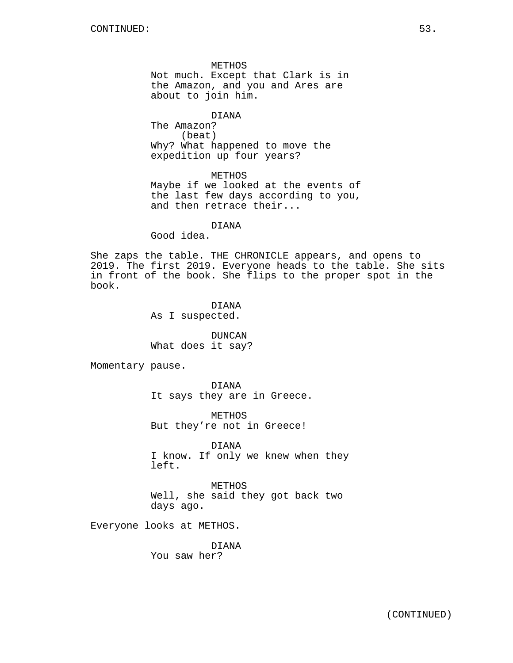METHOS Not much. Except that Clark is in the Amazon, and you and Ares are about to join him.

DIANA The Amazon? (beat) Why? What happened to move the expedition up four years?

METHOS Maybe if we looked at the events of the last few days according to you, and then retrace their...

# DIANA

Good idea.

She zaps the table. THE CHRONICLE appears, and opens to 2019. The first 2019. Everyone heads to the table. She sits in front of the book. She flips to the proper spot in the book.

> DIANA As I suspected.

DUNCAN What does it say?

Momentary pause.

DIANA It says they are in Greece.

METHOS But they're not in Greece!

DIANA I know. If only we knew when they left.

METHOS Well, she said they got back two days ago.

Everyone looks at METHOS.

DIANA You saw her?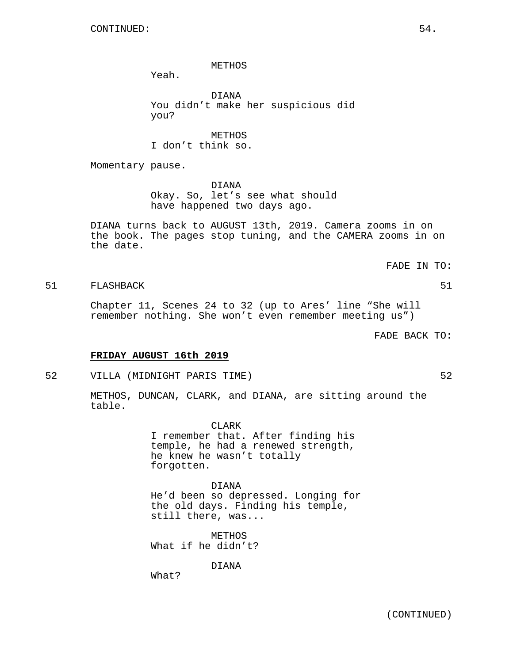## METHOS

Yeah.

DIANA You didn't make her suspicious did you?

**METHOS** I don't think so.

Momentary pause.

DIANA Okay. So, let's see what should have happened two days ago.

DIANA turns back to AUGUST 13th, 2019. Camera zooms in on the book. The pages stop tuning, and the CAMERA zooms in on the date.

FADE IN TO:

# 51 FLASHBACK 51

Chapter 11, Scenes 24 to 32 (up to Ares' line "She will remember nothing. She won't even remember meeting us")

FADE BACK TO:

# **FRIDAY AUGUST 16th 2019**

52 VILLA (MIDNIGHT PARIS TIME) 52

METHOS, DUNCAN, CLARK, and DIANA, are sitting around the table.

> CLARK I remember that. After finding his temple, he had a renewed strength, he knew he wasn't totally forgotten.

DIANA He'd been so depressed. Longing for the old days. Finding his temple, still there, was...

METHOS What if he didn't?

DIANA

What?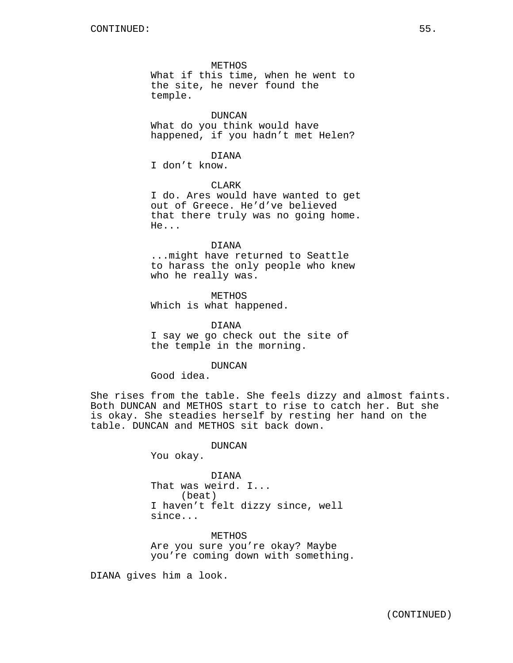# METHOS

What if this time, when he went to the site, he never found the temple.

# DUNCAN

What do you think would have happened, if you hadn't met Helen?

## DIANA

I don't know.

# CLARK

I do. Ares would have wanted to get out of Greece. He'd've believed that there truly was no going home. He...

#### DIANA

...might have returned to Seattle to harass the only people who knew who he really was.

METHOS Which is what happened.

DIANA I say we go check out the site of the temple in the morning.

# DUNCAN

Good idea.

She rises from the table. She feels dizzy and almost faints. Both DUNCAN and METHOS start to rise to catch her. But she is okay. She steadies herself by resting her hand on the table. DUNCAN and METHOS sit back down.

DUNCAN

You okay.

DIANA That was weird. I... (beat) I haven't felt dizzy since, well since...

METHOS Are you sure you're okay? Maybe you're coming down with something.

DIANA gives him a look.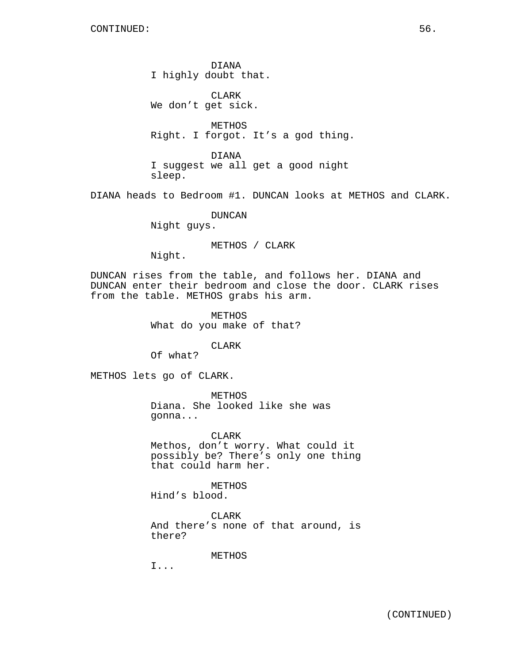DIANA I highly doubt that.

CLARK We don't get sick.

METHOS Right. I forgot. It's a god thing.

DIANA I suggest we all get a good night sleep.

DIANA heads to Bedroom #1. DUNCAN looks at METHOS and CLARK.

DUNCAN

Night guys.

METHOS / CLARK

Night.

DUNCAN rises from the table, and follows her. DIANA and DUNCAN enter their bedroom and close the door. CLARK rises from the table. METHOS grabs his arm.

> METHOS What do you make of that?

> > CLARK

Of what?

METHOS lets go of CLARK.

METHOS Diana. She looked like she was gonna...

CLARK Methos, don't worry. What could it possibly be? There's only one thing that could harm her.

METHOS

Hind's blood.

CLARK And there's none of that around, is there?

METHOS

I...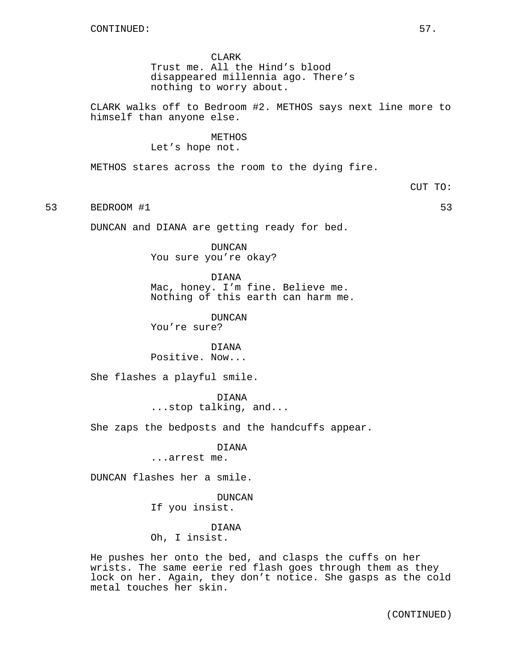CLARK Trust me. All the Hind's blood disappeared millennia ago. There's nothing to worry about.

CLARK walks off to Bedroom #2. METHOS says next line more to himself than anyone else.

> METHOS Let's hope not.

METHOS stares across the room to the dying fire.

CUT TO:

53 BEDROOM #1 53

DUNCAN and DIANA are getting ready for bed.

DUNCAN You sure you're okay?

DIANA Mac, honey. I'm fine. Believe me. Nothing of this earth can harm me.

DUNCAN You're sure?

DIANA Positive. Now...

She flashes a playful smile.

DIANA ...stop talking, and...

She zaps the bedposts and the handcuffs appear.

DIANA

...arrest me.

DUNCAN flashes her a smile.

DUNCAN If you insist.

DIANA Oh, I insist.

He pushes her onto the bed, and clasps the cuffs on her wrists. The same eerie red flash goes through them as they lock on her. Again, they don't notice. She gasps as the cold metal touches her skin.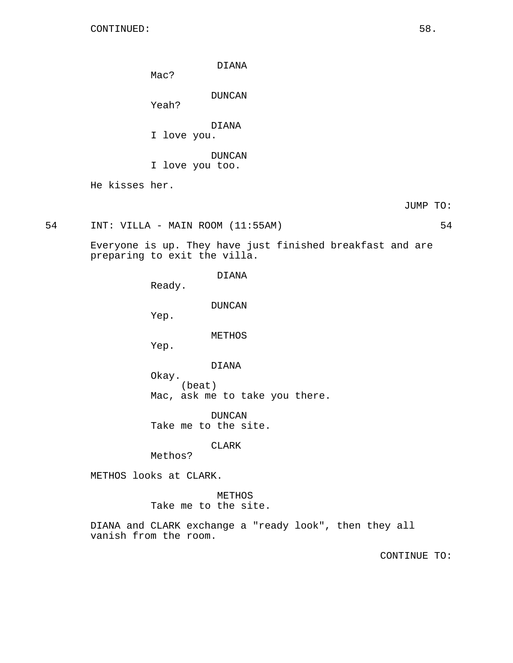DIANA

Mac?

DUNCAN

Yeah?

DIANA

I love you.

DUNCAN I love you too.

He kisses her.

JUMP TO:

54 INT: VILLA - MAIN ROOM (11:55AM) 54

Everyone is up. They have just finished breakfast and are preparing to exit the villa.

DIANA

Ready.

DUNCAN

Yep.

# METHOS

Yep.

# DIANA

Okay. (beat) Mac, ask me to take you there.

DUNCAN Take me to the site.

## CLARK

Methos?

METHOS looks at CLARK.

METHOS Take me to the site.

DIANA and CLARK exchange a "ready look", then they all vanish from the room.

CONTINUE TO: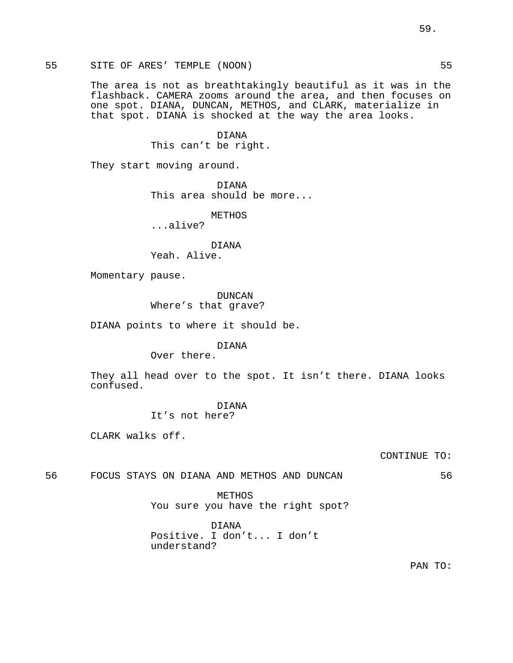55 SITE OF ARES' TEMPLE (NOON) 55

The area is not as breathtakingly beautiful as it was in the flashback. CAMERA zooms around the area, and then focuses on one spot. DIANA, DUNCAN, METHOS, and CLARK, materialize in that spot. DIANA is shocked at the way the area looks.

> DIANA This can't be right.

They start moving around.

DIANA This area should be more...

METHOS

...alive?

DIANA

Yeah. Alive.

Momentary pause.

DUNCAN Where's that grave?

DIANA points to where it should be.

DIANA

Over there.

They all head over to the spot. It isn't there. DIANA looks confused.

> DIANA It's not here?

CLARK walks off.

CONTINUE TO:

56 FOCUS STAYS ON DIANA AND METHOS AND DUNCAN 56

METHOS You sure you have the right spot?

DIANA Positive. I don't... I don't understand?

PAN TO: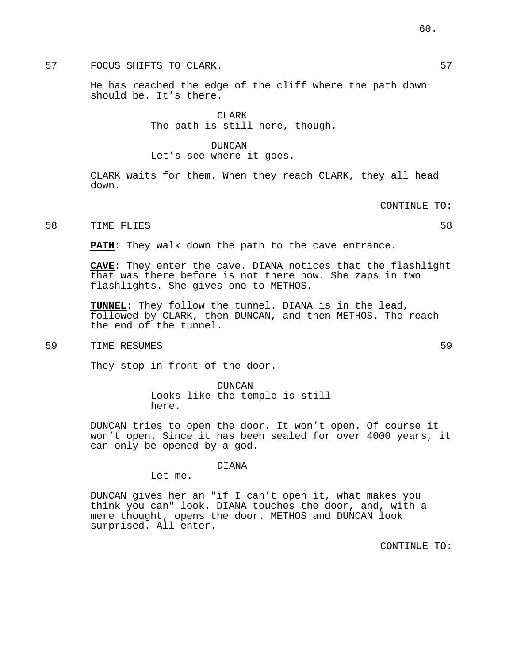57 FOCUS SHIFTS TO CLARK.

He has reached the edge of the cliff where the path down should be. It's there.

> CLARK The path is still here, though.

#### DUNCAN

Let's see where it goes.

CLARK waits for them. When they reach CLARK, they all head down.

CONTINUE TO:

#### 58 TIME FLIES 58

**PATH**: They walk down the path to the cave entrance.

**CAVE**: They enter the cave. DIANA notices that the flashlight that was there before is not there now. She zaps in two flashlights. She gives one to METHOS.

**TUNNEL**: They follow the tunnel. DIANA is in the lead, followed by CLARK, then DUNCAN, and then METHOS. The reach the end of the tunnel.

59 TIME RESUMES 59

They stop in front of the door.

DUNCAN Looks like the temple is still here.

DUNCAN tries to open the door. It won't open. Of course it won't open. Since it has been sealed for over 4000 years, it can only be opened by a god.

#### DIANA

Let me.

DUNCAN gives her an "if I can't open it, what makes you think you can" look. DIANA touches the door, and, with a mere thought, opens the door. METHOS and DUNCAN look surprised. All enter.

CONTINUE TO: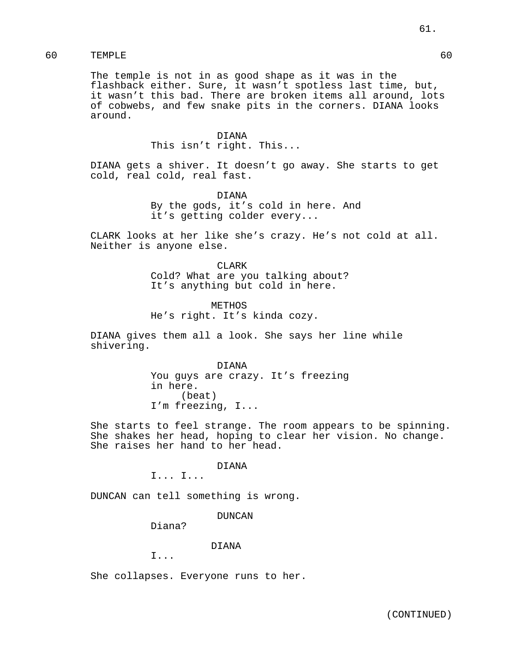The temple is not in as good shape as it was in the flashback either. Sure, it wasn't spotless last time, but, it wasn't this bad. There are broken items all around, lots of cobwebs, and few snake pits in the corners. DIANA looks around.

> DIANA This isn't right. This...

DIANA gets a shiver. It doesn't go away. She starts to get cold, real cold, real fast.

> DIANA By the gods, it's cold in here. And it's getting colder every...

CLARK looks at her like she's crazy. He's not cold at all. Neither is anyone else.

> CLARK Cold? What are you talking about? It's anything but cold in here.

METHOS He's right. It's kinda cozy.

DIANA gives them all a look. She says her line while shivering.

> DIANA You guys are crazy. It's freezing in here. (beat) I'm freezing, I...

She starts to feel strange. The room appears to be spinning. She shakes her head, hoping to clear her vision. No change. She raises her hand to her head.

DIANA

I... I...

DUNCAN can tell something is wrong.

DUNCAN

Diana?

## DIANA

I...

She collapses. Everyone runs to her.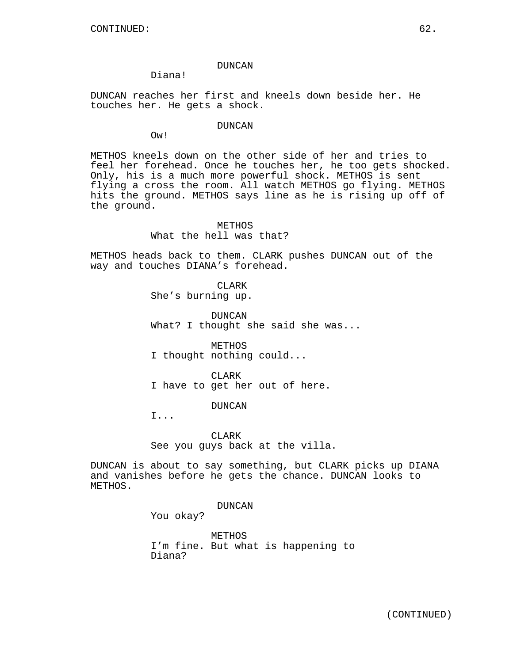## DUNCAN

# Diana!

DUNCAN reaches her first and kneels down beside her. He touches her. He gets a shock.

## DUNCAN

Ow!

METHOS kneels down on the other side of her and tries to feel her forehead. Once he touches her, he too gets shocked. Only, his is a much more powerful shock. METHOS is sent flying a cross the room. All watch METHOS go flying. METHOS hits the ground. METHOS says line as he is rising up off of the ground.

# METHOS What the hell was that?

METHOS heads back to them. CLARK pushes DUNCAN out of the way and touches DIANA's forehead.

> CLAR<sub>K</sub> She's burning up.

DUNCAN What? I thought she said she was...

METHOS I thought nothing could...

CLARK I have to get her out of here.

DUNCAN

I...

**CLARK** See you guys back at the villa.

DUNCAN is about to say something, but CLARK picks up DIANA and vanishes before he gets the chance. DUNCAN looks to METHOS.

# DUNCAN

You okay?

METHOS I'm fine. But what is happening to Diana?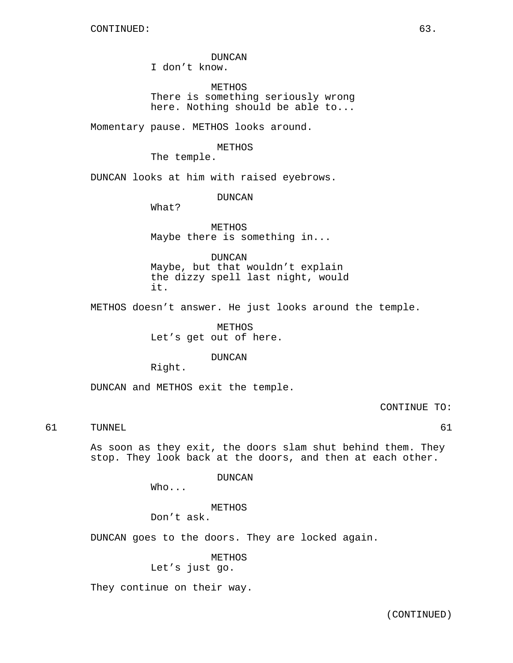# DUNCAN

I don't know.

METHOS There is something seriously wrong here. Nothing should be able to...

Momentary pause. METHOS looks around.

## METHOS

The temple.

DUNCAN looks at him with raised eyebrows.

DUNCAN

What?

METHOS Maybe there is something in...

DUNCAN

Maybe, but that wouldn't explain the dizzy spell last night, would it.

METHOS doesn't answer. He just looks around the temple.

METHOS Let's get out of here.

DUNCAN

Right.

DUNCAN and METHOS exit the temple.

CONTINUE TO:

# 61 TUNNEL 61

As soon as they exit, the doors slam shut behind them. They stop. They look back at the doors, and then at each other.

DUNCAN

Who...

METHOS

Don't ask.

DUNCAN goes to the doors. They are locked again.

METHOS

Let's just go.

They continue on their way.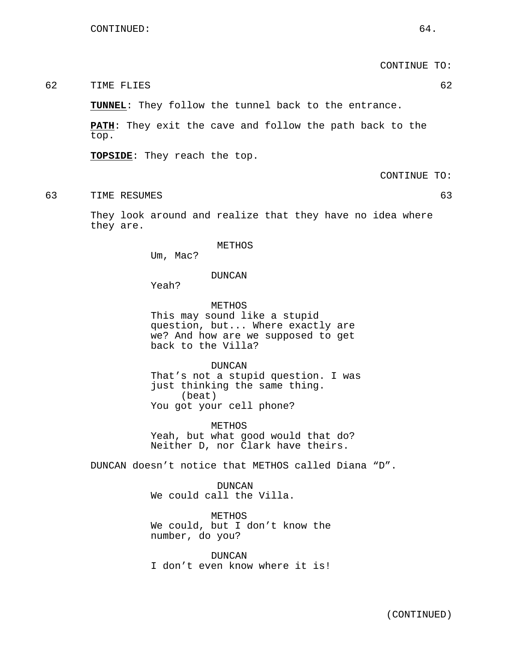CONTINUE TO:

62 TIME FLIES 62

**TUNNEL**: They follow the tunnel back to the entrance.

**PATH**: They exit the cave and follow the path back to the top.

**TOPSIDE**: They reach the top.

CONTINUE TO:

63 TIME RESUMES 63

They look around and realize that they have no idea where they are.

#### METHOS

Um, Mac?

DUNCAN

Yeah?

METHOS This may sound like a stupid question, but... Where exactly are we? And how are we supposed to get back to the Villa?

DUNCAN That's not a stupid question. I was just thinking the same thing. (beat) You got your cell phone?

METHOS Yeah, but what good would that do? Neither D, nor Clark have theirs.

DUNCAN doesn't notice that METHOS called Diana "D".

DUNCAN We could call the Villa.

METHOS We could, but I don't know the number, do you?

DUNCAN I don't even know where it is!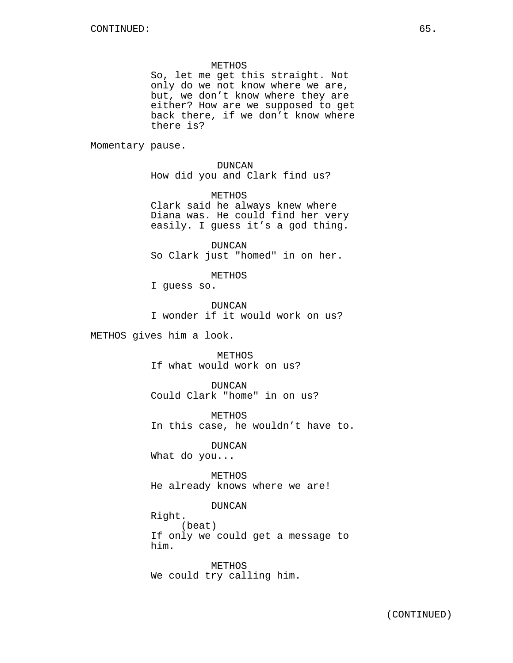METHOS

So, let me get this straight. Not only do we not know where we are, but, we don't know where they are either? How are we supposed to get back there, if we don't know where there is?

Momentary pause.

DUNCAN How did you and Clark find us?

METHOS Clark said he always knew where Diana was. He could find her very easily. I guess it's a god thing.

DUNCAN So Clark just "homed" in on her.

METHOS

I guess so.

DUNCAN I wonder if it would work on us?

METHOS gives him a look.

METHOS If what would work on us?

DUNCAN Could Clark "home" in on us?

METHOS In this case, he wouldn't have to.

DUNCAN

What do you...

METHOS He already knows where we are!

DUNCAN

Right. (beat) If only we could get a message to him.

METHOS We could try calling him.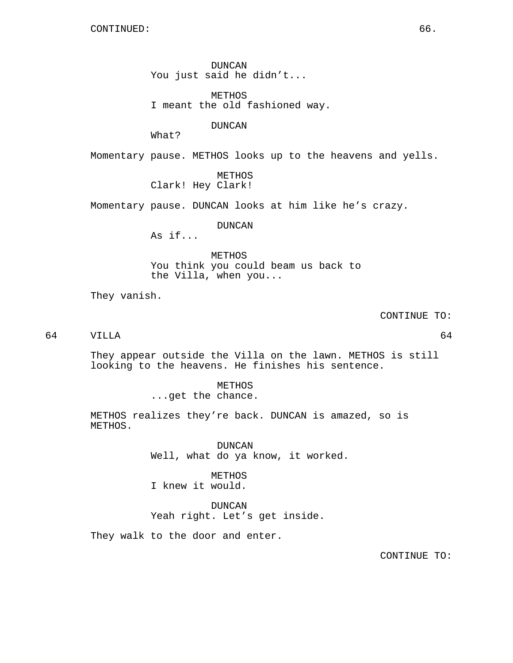DUNCAN You just said he didn't...

METHOS I meant the old fashioned way.

DUNCAN

What?

Momentary pause. METHOS looks up to the heavens and yells.

METHOS Clark! Hey Clark!

Momentary pause. DUNCAN looks at him like he's crazy.

DUNCAN

As if...

METHOS You think you could beam us back to the Villa, when you...

They vanish.

CONTINUE TO:

64 VILLA 64

They appear outside the Villa on the lawn. METHOS is still looking to the heavens. He finishes his sentence.

> METHOS ...get the chance.

METHOS realizes they're back. DUNCAN is amazed, so is METHOS.

> DUNCAN Well, what do ya know, it worked.

METHOS I knew it would.

DUNCAN Yeah right. Let's get inside.

They walk to the door and enter.

CONTINUE TO: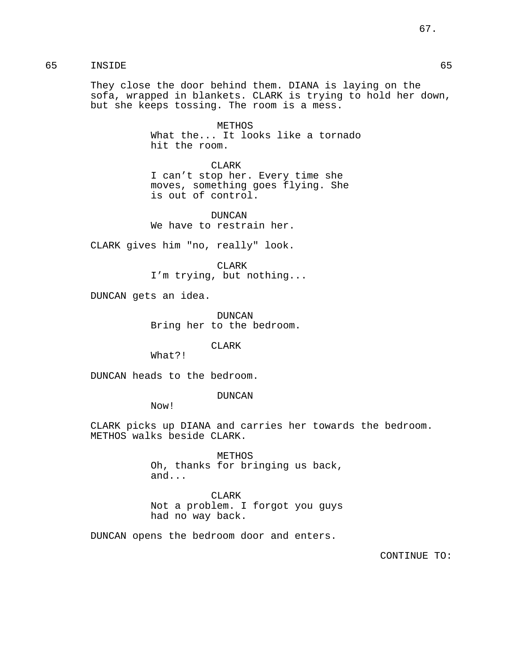They close the door behind them. DIANA is laying on the sofa, wrapped in blankets. CLARK is trying to hold her down, but she keeps tossing. The room is a mess.

> METHOS What the... It looks like a tornado hit the room.

CLARK I can't stop her. Every time she moves, something goes flying. She is out of control.

DUNCAN We have to restrain her.

CLARK gives him "no, really" look.

CLARK I'm trying, but nothing...

DUNCAN gets an idea.

DUNCAN Bring her to the bedroom.

CLARK

What?!

DUNCAN heads to the bedroom.

DUNCAN

Now!

CLARK picks up DIANA and carries her towards the bedroom. METHOS walks beside CLARK.

> METHOS Oh, thanks for bringing us back, and...

> CLARK Not a problem. I forgot you guys had no way back.

DUNCAN opens the bedroom door and enters.

CONTINUE TO: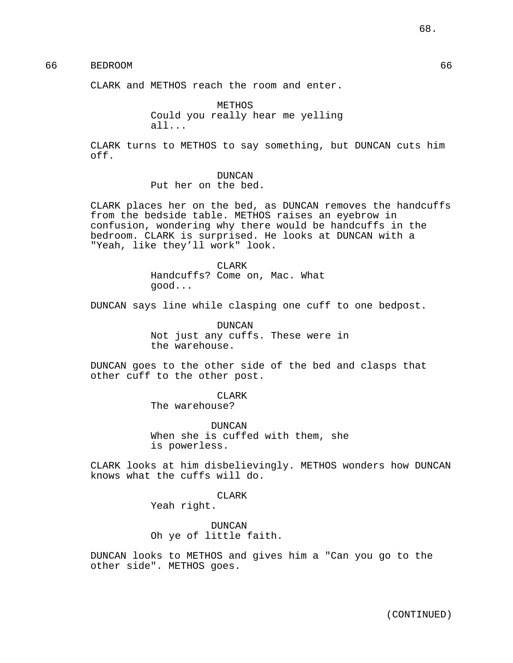# 66 BEDROOM 66

CLARK and METHOS reach the room and enter.

METHOS Could you really hear me yelling all...

CLARK turns to METHOS to say something, but DUNCAN cuts him off.

## DUNCAN Put her on the bed.

CLARK places her on the bed, as DUNCAN removes the handcuffs from the bedside table. METHOS raises an eyebrow in confusion, wondering why there would be handcuffs in the bedroom. CLARK is surprised. He looks at DUNCAN with a "Yeah, like they'll work" look.

> CLAR<sub>K</sub> Handcuffs? Come on, Mac. What good...

DUNCAN says line while clasping one cuff to one bedpost.

DUNCAN Not just any cuffs. These were in the warehouse.

DUNCAN goes to the other side of the bed and clasps that other cuff to the other post.

> CLARK The warehouse?

DUNCAN When she is cuffed with them, she is powerless.

CLARK looks at him disbelievingly. METHOS wonders how DUNCAN knows what the cuffs will do.

CLARK

Yeah right.

DUNCAN Oh ye of little faith.

DUNCAN looks to METHOS and gives him a "Can you go to the other side". METHOS goes.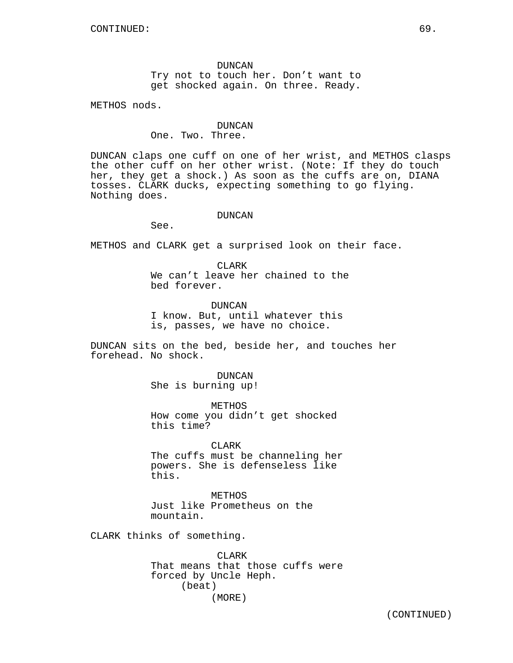DUNCAN Try not to touch her. Don't want to get shocked again. On three. Ready.

METHOS nods.

## DUNCAN

One. Two. Three.

DUNCAN claps one cuff on one of her wrist, and METHOS clasps the other cuff on her other wrist. (Note: If they do touch her, they get a shock.) As soon as the cuffs are on, DIANA tosses. CLARK ducks, expecting something to go flying. Nothing does.

## DUNCAN

See.

METHOS and CLARK get a surprised look on their face.

CLARK We can't leave her chained to the bed forever.

DUNCAN I know. But, until whatever this is, passes, we have no choice.

DUNCAN sits on the bed, beside her, and touches her forehead. No shock.

> DUNCAN She is burning up!

METHOS How come you didn't get shocked this time?

CLARK The cuffs must be channeling her powers. She is defenseless like this.

METHOS Just like Prometheus on the mountain.

CLARK thinks of something.

CLARK That means that those cuffs were forced by Uncle Heph. (beat) (MORE)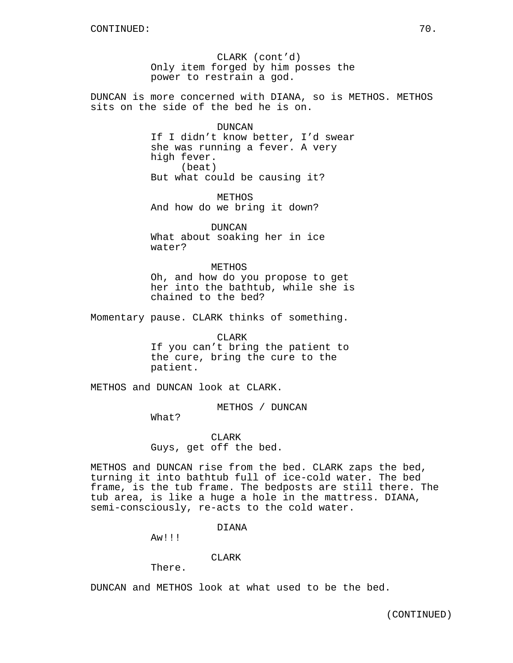CLARK (cont'd) Only item forged by him posses the power to restrain a god.

DUNCAN is more concerned with DIANA, so is METHOS. METHOS sits on the side of the bed he is on.

#### DUNCAN

If I didn't know better, I'd swear she was running a fever. A very high fever. (beat) But what could be causing it?

**METHOS** And how do we bring it down?

DUNCAN What about soaking her in ice water?

METHOS Oh, and how do you propose to get her into the bathtub, while she is chained to the bed?

Momentary pause. CLARK thinks of something.

CLARK If you can't bring the patient to the cure, bring the cure to the patient.

METHOS and DUNCAN look at CLARK.

METHOS / DUNCAN

What?

CLARK Guys, get off the bed.

METHOS and DUNCAN rise from the bed. CLARK zaps the bed, turning it into bathtub full of ice-cold water. The bed frame, is the tub frame. The bedposts are still there. The tub area, is like a huge a hole in the mattress. DIANA, semi-consciously, re-acts to the cold water.

#### DIANA

Aw!!!

# CLARK

There.

DUNCAN and METHOS look at what used to be the bed.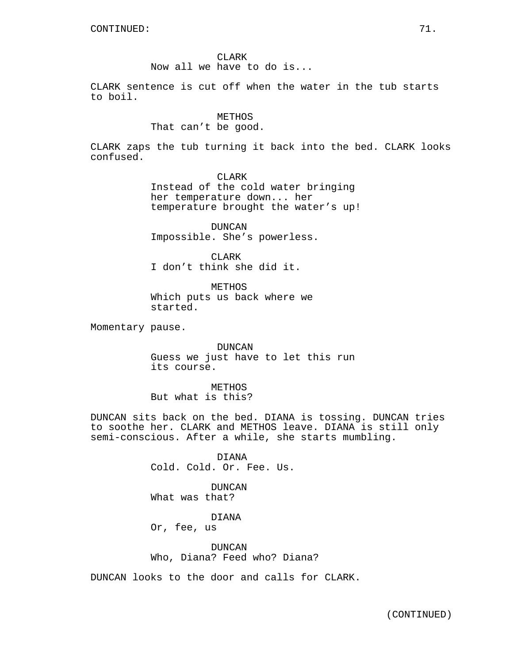CLARK Now all we have to do is...

CLARK sentence is cut off when the water in the tub starts to boil.

# METHOS

# That can't be good.

CLARK zaps the tub turning it back into the bed. CLARK looks confused.

CLARK

Instead of the cold water bringing her temperature down... her temperature brought the water's up!

DUNCAN Impossible. She's powerless.

CLARK I don't think she did it.

METHOS Which puts us back where we started.

Momentary pause.

DUNCAN Guess we just have to let this run its course.

METHOS But what is this?

DUNCAN sits back on the bed. DIANA is tossing. DUNCAN tries to soothe her. CLARK and METHOS leave. DIANA is still only semi-conscious. After a while, she starts mumbling.

> DIANA Cold. Cold. Or. Fee. Us.

DUNCAN What was that?

DIANA Or, fee, us

DUNCAN Who, Diana? Feed who? Diana?

DUNCAN looks to the door and calls for CLARK.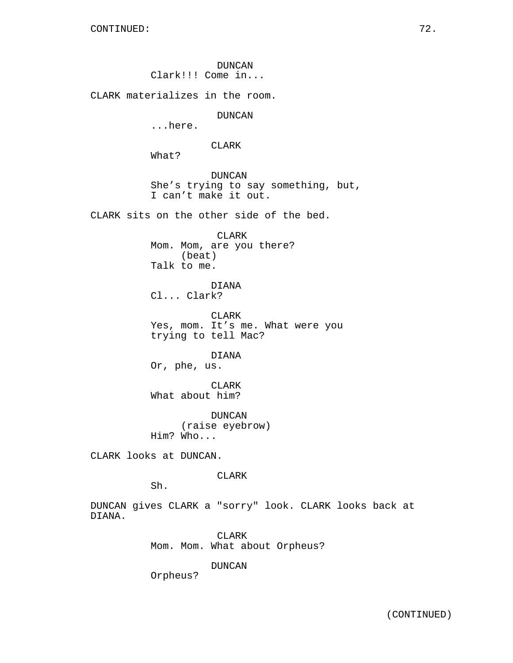DUNCAN Clark!!! Come in...

CLARK materializes in the room.

DUNCAN

...here.

CLARK

What?

DUNCAN She's trying to say something, but, I can't make it out.

CLARK sits on the other side of the bed.

CLARK Mom. Mom, are you there? (beat) Talk to me.

DIANA Cl... Clark?

CLARK Yes, mom. It's me. What were you trying to tell Mac?

DIANA Or, phe, us.

CLARK What about him?

DUNCAN (raise eyebrow) Him? Who...

CLARK looks at DUNCAN.

CLARK

Sh.

DUNCAN gives CLARK a "sorry" look. CLARK looks back at DIANA.

> CLARK Mom. Mom. What about Orpheus?

> > DUNCAN

Orpheus?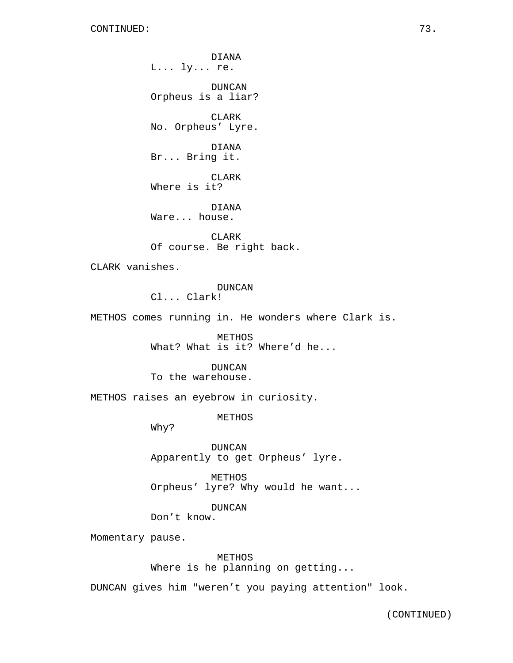DIANA L... ly... re. DUNCAN Orpheus is a liar? CLARK No. Orpheus' Lyre. DIANA Br... Bring it. CLARK Where is it? DIANA Ware... house.

CLARK Of course. Be right back.

CLARK vanishes.

## DUNCAN

Cl... Clark!

METHOS comes running in. He wonders where Clark is.

METHOS What? What is it? Where'd he...

DUNCAN

To the warehouse.

METHOS raises an eyebrow in curiosity.

METHOS

Why?

DUNCAN Apparently to get Orpheus' lyre.

METHOS Orpheus' lyre? Why would he want...

DUNCAN

Don't know.

Momentary pause.

METHOS Where is he planning on getting...

DUNCAN gives him "weren't you paying attention" look.

(CONTINUED)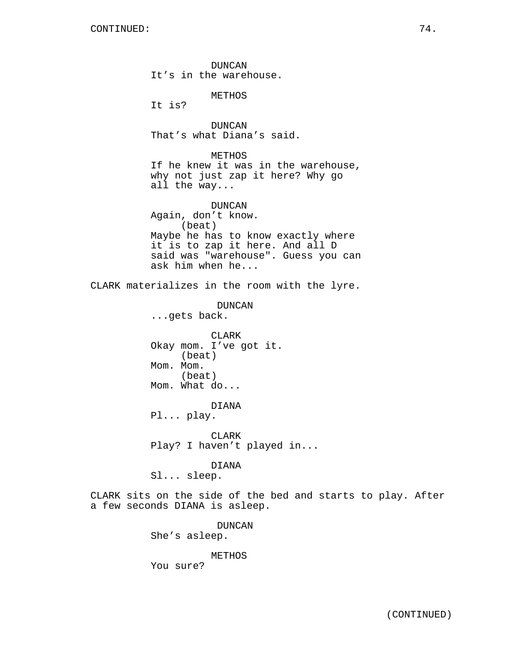DUNCAN It's in the warehouse. METHOS It is? DUNCAN That's what Diana's said. METHOS If he knew it was in the warehouse, why not just zap it here? Why go all the way... DUNCAN Again, don't know. (beat) Maybe he has to know exactly where it is to zap it here. And all D said was "warehouse". Guess you can ask him when he... CLARK materializes in the room with the lyre. DUNCAN ...gets back. CLARK Okay mom. I've got it. (beat) Mom. Mom. (beat) Mom. What do... DIANA Pl... play. CLARK Play? I haven't played in... DIANA Sl... sleep. CLARK sits on the side of the bed and starts to play. After a few seconds DIANA is asleep. DUNCAN She's asleep. METHOS

You sure?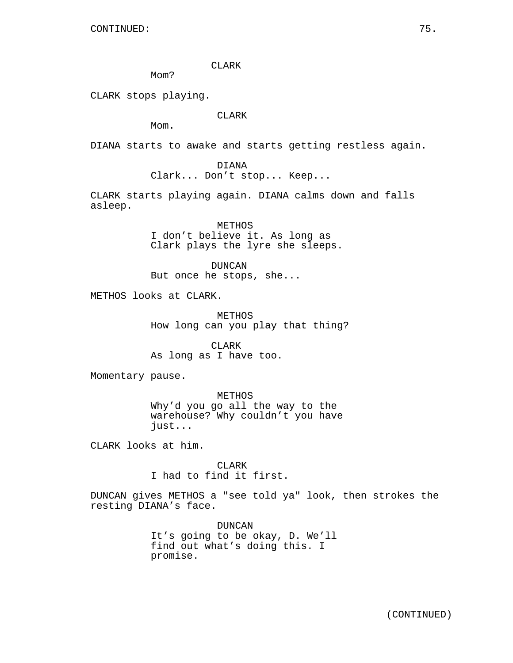CLARK

M<sub>O</sub>m?

CLARK stops playing.

CLARK

Mom.

DIANA starts to awake and starts getting restless again.

DIANA Clark... Don't stop... Keep...

CLARK starts playing again. DIANA calms down and falls asleep.

> METHOS I don't believe it. As long as Clark plays the lyre she sleeps.

DUNCAN But once he stops, she...

METHOS looks at CLARK.

METHOS How long can you play that thing?

CLARK As long as I have too.

Momentary pause.

METHOS Why'd you go all the way to the warehouse? Why couldn't you have just...

CLARK looks at him.

CLARK I had to find it first.

DUNCAN gives METHOS a "see told ya" look, then strokes the resting DIANA's face.

> DUNCAN It's going to be okay, D. We'll find out what's doing this. I promise.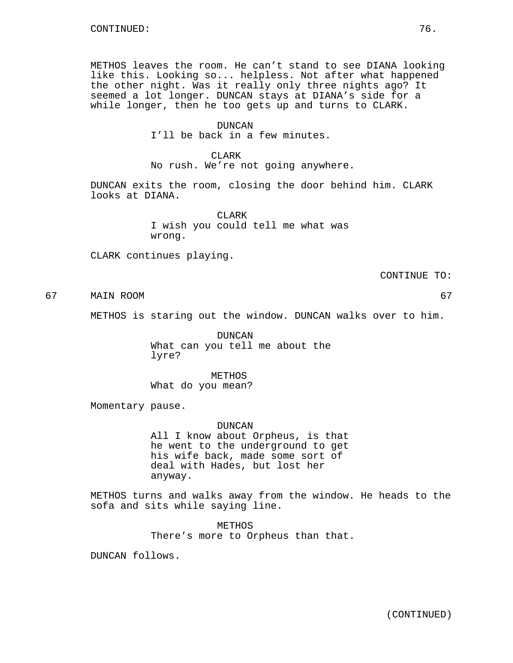METHOS leaves the room. He can't stand to see DIANA looking like this. Looking so... helpless. Not after what happened the other night. Was it really only three nights ago? It seemed a lot longer. DUNCAN stays at DIANA's side for a while longer, then he too gets up and turns to CLARK.

#### DUNCAN

I'll be back in a few minutes.

#### CLARK

No rush. We're not going anywhere.

DUNCAN exits the room, closing the door behind him. CLARK looks at DIANA.

> CLARK I wish you could tell me what was wrong.

CLARK continues playing.

CONTINUE TO:

67 MAIN ROOM 67

METHOS is staring out the window. DUNCAN walks over to him.

DUNCAN What can you tell me about the lyre?

METHOS What do you mean?

Momentary pause.

DUNCAN

All I know about Orpheus, is that he went to the underground to get his wife back, made some sort of deal with Hades, but lost her anyway.

METHOS turns and walks away from the window. He heads to the sofa and sits while saying line.

> METHOS There's more to Orpheus than that.

DUNCAN follows.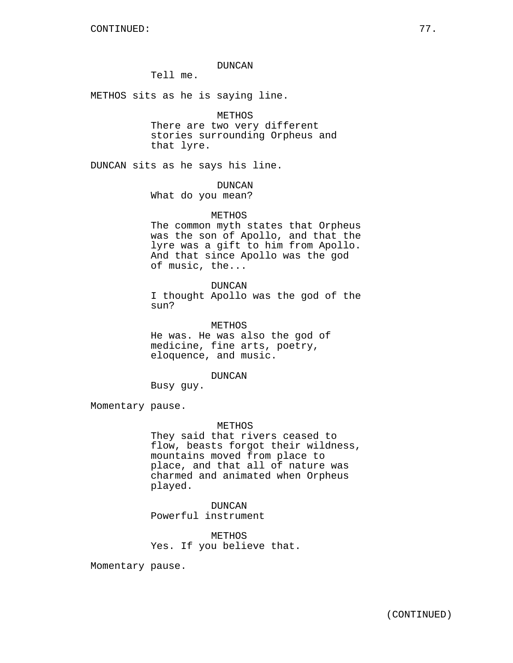# DUNCAN

Tell me.

METHOS sits as he is saying line.

#### METHOS

There are two very different stories surrounding Orpheus and that lyre.

DUNCAN sits as he says his line.

# DUNCAN

What do you mean?

# METHOS

The common myth states that Orpheus was the son of Apollo, and that the lyre was a gift to him from Apollo. And that since Apollo was the god of music, the...

# DUNCAN

I thought Apollo was the god of the sun?

METHOS He was. He was also the god of medicine, fine arts, poetry, eloquence, and music.

#### DUNCAN

Busy guy.

Momentary pause.

#### METHOS

They said that rivers ceased to flow, beasts forgot their wildness, mountains moved from place to place, and that all of nature was charmed and animated when Orpheus played.

DUNCAN Powerful instrument

METHOS Yes. If you believe that.

Momentary pause.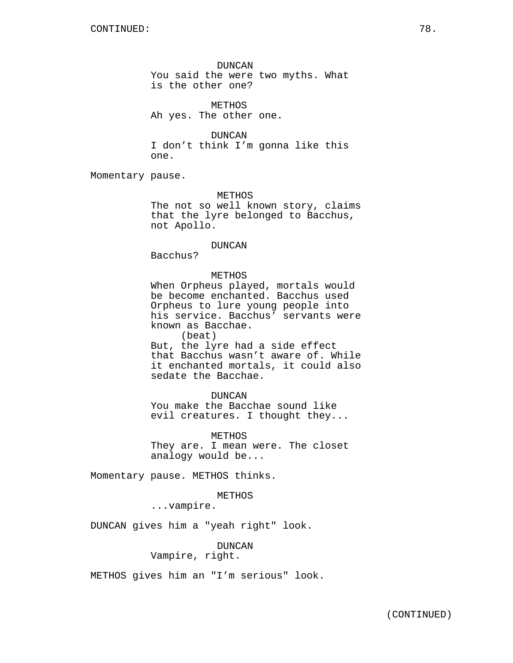DUNCAN You said the were two myths. What is the other one?

METHOS Ah yes. The other one.

DUNCAN I don't think I'm gonna like this one.

Momentary pause.

METHOS

The not so well known story, claims that the lyre belonged to Bacchus, not Apollo.

#### DUNCAN

Bacchus?

# METHOS

When Orpheus played, mortals would be become enchanted. Bacchus used Orpheus to lure young people into his service. Bacchus' servants were known as Bacchae. (beat)

But, the lyre had a side effect that Bacchus wasn't aware of. While it enchanted mortals, it could also sedate the Bacchae.

# DUNCAN

You make the Bacchae sound like evil creatures. I thought they...

METHOS They are. I mean were. The closet analogy would be...

Momentary pause. METHOS thinks.

#### METHOS

...vampire.

DUNCAN gives him a "yeah right" look.

DUNCAN

Vampire, right.

METHOS gives him an "I'm serious" look.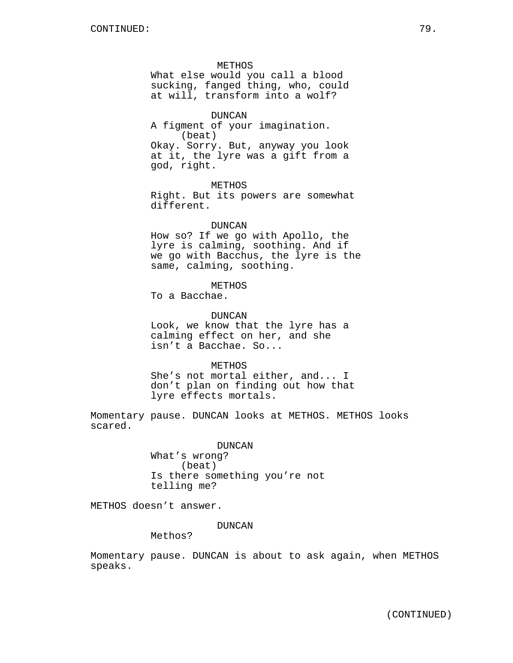METHOS What else would you call a blood sucking, fanged thing, who, could at will, transform into a wolf?

DUNCAN A figment of your imagination. (beat) Okay. Sorry. But, anyway you look at it, the lyre was a gift from a god, right.

METHOS Right. But its powers are somewhat different.

#### DUNCAN

How so? If we go with Apollo, the lyre is calming, soothing. And if we go with Bacchus, the lyre is the same, calming, soothing.

**METHOS** 

To a Bacchae.

DUNCAN Look, we know that the lyre has a calming effect on her, and she isn't a Bacchae. So...

**METHOS** She's not mortal either, and... I don't plan on finding out how that lyre effects mortals.

Momentary pause. DUNCAN looks at METHOS. METHOS looks scared.

> DUNCAN What's wrong? (beat) Is there something you're not

METHOS doesn't answer.

DUNCAN

Methos?

telling me?

Momentary pause. DUNCAN is about to ask again, when METHOS speaks.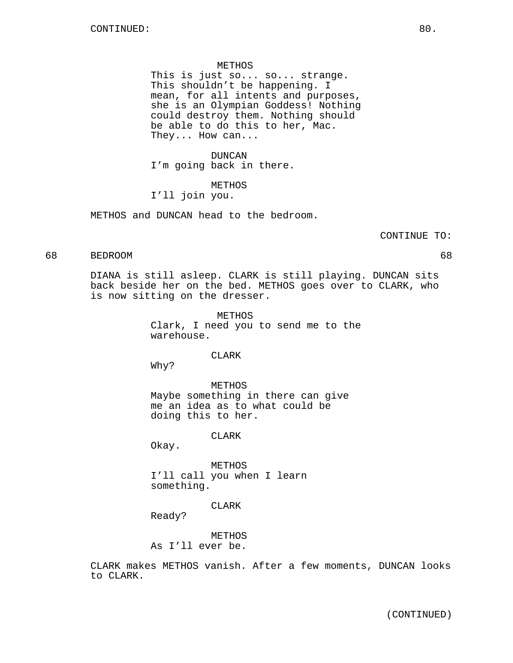#### METHOS

This is just so... so... strange. This shouldn't be happening. I mean, for all intents and purposes, she is an Olympian Goddess! Nothing could destroy them. Nothing should be able to do this to her, Mac. They... How can...

#### DUNCAN

I'm going back in there.

# METHOS

# I'll join you.

METHOS and DUNCAN head to the bedroom.

#### CONTINUE TO:

# 68 BEDROOM 68

DIANA is still asleep. CLARK is still playing. DUNCAN sits back beside her on the bed. METHOS goes over to CLARK, who is now sitting on the dresser.

> METHOS Clark, I need you to send me to the warehouse.

#### CLARK

Why?

METHOS Maybe something in there can give me an idea as to what could be doing this to her.

CLARK

Okay.

METHOS I'll call you when I learn something.

#### CLARK

Ready?

METHOS As I'll ever be.

CLARK makes METHOS vanish. After a few moments, DUNCAN looks to CLARK.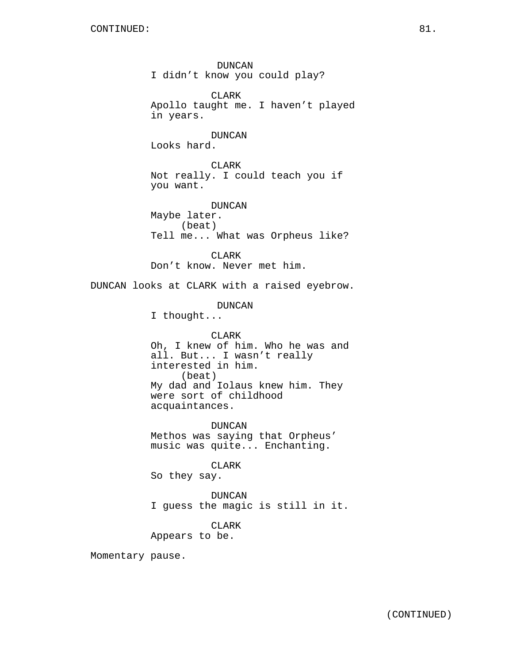DUNCAN I didn't know you could play? **CLARK** Apollo taught me. I haven't played in years. DUNCAN Looks hard. CLARK Not really. I could teach you if you want. DUNCAN Maybe later. (beat) Tell me... What was Orpheus like? CLARK Don't know. Never met him. DUNCAN looks at CLARK with a raised eyebrow. DUNCAN I thought... CLARK Oh, I knew of him. Who he was and all. But... I wasn't really interested in him. (beat) My dad and Iolaus knew him. They were sort of childhood acquaintances. DUNCAN Methos was saying that Orpheus' music was quite... Enchanting. CLARK So they say. DUNCAN I guess the magic is still in it. CLARK Appears to be. Momentary pause.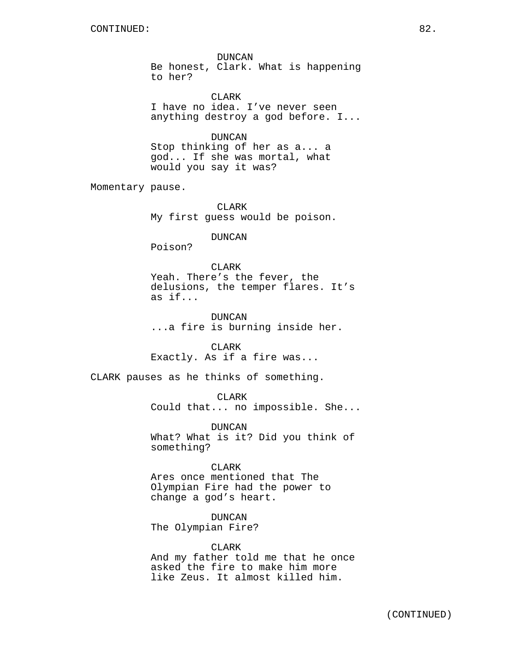DUNCAN Be honest, Clark. What is happening to her?

CLARK I have no idea. I've never seen anything destroy a god before. I...

DUNCAN Stop thinking of her as a... a god... If she was mortal, what would you say it was?

Momentary pause.

CLARK My first guess would be poison.

DUNCAN

Poison?

CLARK Yeah. There's the fever, the delusions, the temper flares. It's as if...

DUNCAN ...a fire is burning inside her.

**CLARK** Exactly. As if a fire was...

CLARK pauses as he thinks of something.

CLARK

Could that... no impossible. She...

DUNCAN What? What is it? Did you think of something?

# CLARK

Ares once mentioned that The Olympian Fire had the power to change a god's heart.

DUNCAN

The Olympian Fire?

CLARK

And my father told me that he once asked the fire to make him more like Zeus. It almost killed him.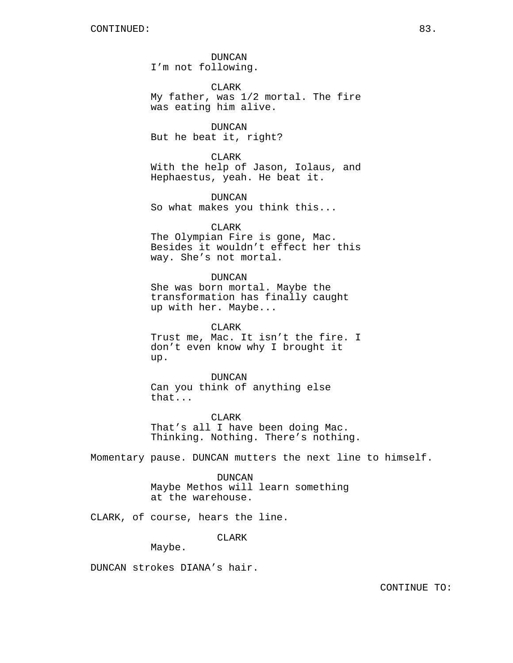DUNCAN I'm not following.

CLARK My father, was 1/2 mortal. The fire was eating him alive.

DUNCAN But he beat it, right?

CLARK With the help of Jason, Iolaus, and Hephaestus, yeah. He beat it.

DUNCAN So what makes you think this...

CLARK The Olympian Fire is gone, Mac. Besides it wouldn't effect her this way. She's not mortal.

DUNCAN She was born mortal. Maybe the transformation has finally caught up with her. Maybe...

CLARK Trust me, Mac. It isn't the fire. I don't even know why I brought it up.

DUNCAN Can you think of anything else that...

CLARK That's all I have been doing Mac. Thinking. Nothing. There's nothing.

Momentary pause. DUNCAN mutters the next line to himself.

DUNCAN Maybe Methos will learn something at the warehouse.

CLARK, of course, hears the line.

CLARK

Maybe.

DUNCAN strokes DIANA's hair.

CONTINUE TO: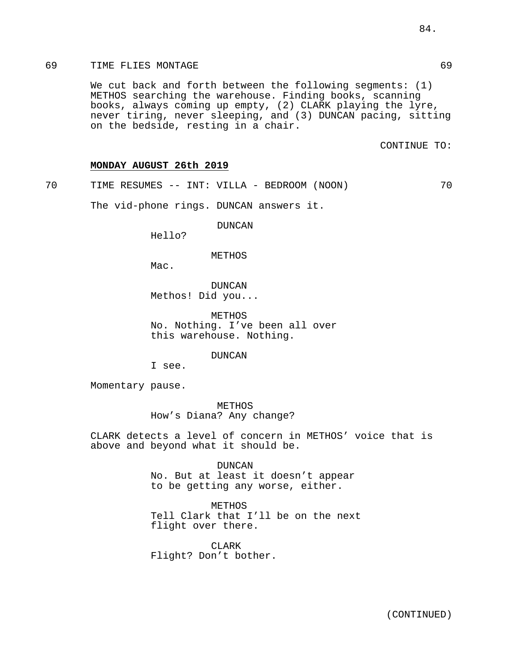# 69 TIME FLIES MONTAGE 69

We cut back and forth between the following segments: (1) METHOS searching the warehouse. Finding books, scanning books, always coming up empty, (2) CLARK playing the lyre, never tiring, never sleeping, and (3) DUNCAN pacing, sitting on the bedside, resting in a chair.

CONTINUE TO:

# **MONDAY AUGUST 26th 2019**

70 TIME RESUMES -- INT: VILLA - BEDROOM (NOON) 70

The vid-phone rings. DUNCAN answers it.

DUNCAN

Hello?

#### METHOS

Mac.

DUNCAN Methos! Did you...

METHOS No. Nothing. I've been all over this warehouse. Nothing.

DUNCAN

I see.

Momentary pause.

METHOS How's Diana? Any change?

CLARK detects a level of concern in METHOS' voice that is above and beyond what it should be.

> DUNCAN No. But at least it doesn't appear to be getting any worse, either.

METHOS Tell Clark that I'll be on the next flight over there.

CLARK Flight? Don't bother.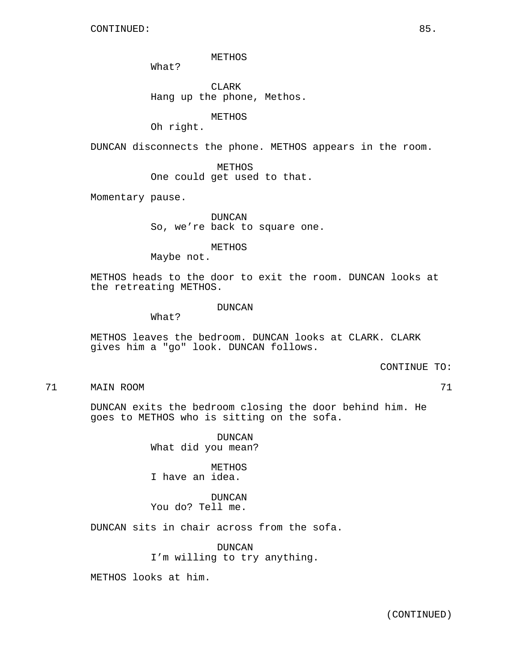METHOS

What?

CLARK Hang up the phone, Methos.

METHOS

Oh right.

DUNCAN disconnects the phone. METHOS appears in the room.

METHOS One could get used to that.

Momentary pause.

DUNCAN So, we're back to square one.

METHOS

Maybe not.

METHOS heads to the door to exit the room. DUNCAN looks at the retreating METHOS.

#### DUNCAN

What?

METHOS leaves the bedroom. DUNCAN looks at CLARK. CLARK gives him a "go" look. DUNCAN follows.

CONTINUE TO:

71 MAIN ROOM 71

DUNCAN exits the bedroom closing the door behind him. He goes to METHOS who is sitting on the sofa.

> DUNCAN What did you mean?

METHOS I have an idea.

DUNCAN You do? Tell me.

DUNCAN sits in chair across from the sofa.

DUNCAN I'm willing to try anything.

METHOS looks at him.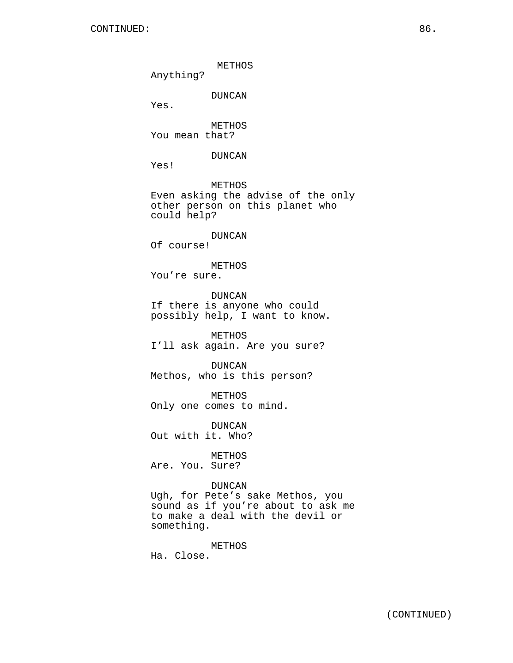METHOS Anything? DUNCAN Yes. METHOS You mean that? DUNCAN Yes! METHOS Even asking the advise of the only other person on this planet who could help? DUNCAN Of course! METHOS You're sure. DUNCAN If there is anyone who could possibly help, I want to know. METHOS I'll ask again. Are you sure? DUNCAN Methos, who is this person? METHOS Only one comes to mind. DUNCAN Out with it. Who? METHOS Are. You. Sure? DUNCAN Ugh, for Pete's sake Methos, you sound as if you're about to ask me to make a deal with the devil or something. METHOS Ha. Close.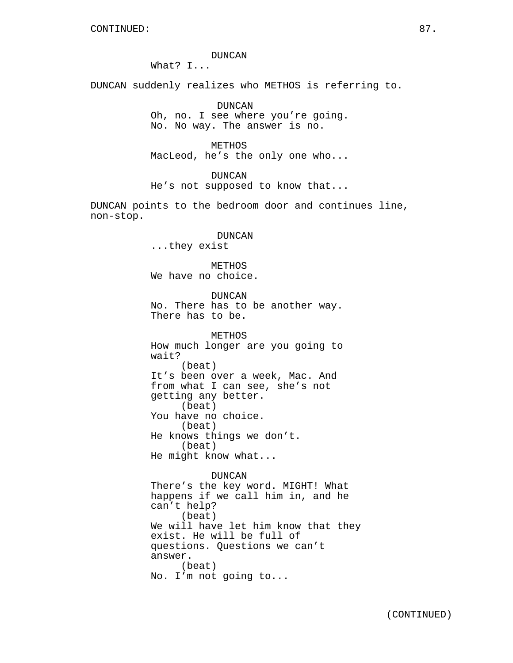# DUNCAN

What? I...

DUNCAN suddenly realizes who METHOS is referring to.

DUNCAN Oh, no. I see where you're going. No. No way. The answer is no.

METHOS MacLeod, he's the only one who...

DUNCAN

He's not supposed to know that...

DUNCAN points to the bedroom door and continues line, non-stop.

> DUNCAN ...they exist

METHOS We have no choice.

DUNCAN No. There has to be another way. There has to be.

METHOS How much longer are you going to wait? (beat) It's been over a week, Mac. And from what I can see, she's not getting any better. (beat) You have no choice. (beat) He knows things we don't. (beat) He might know what...

# DUNCAN

There's the key word. MIGHT! What happens if we call him in, and he can't help? (beat) We will have let him know that they exist. He will be full of questions. Questions we can't answer. (beat) No. I'm not going to...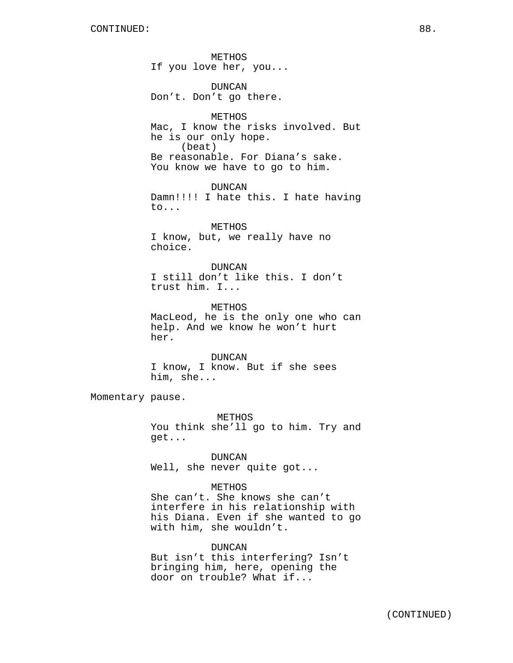METHOS If you love her, you...

DUNCAN Don't. Don't go there.

METHOS Mac, I know the risks involved. But he is our only hope. (beat) Be reasonable. For Diana's sake. You know we have to go to him.

DUNCAN Damn!!!! I hate this. I hate having to...

METHOS I know, but, we really have no choice.

DUNCAN I still don't like this. I don't trust him. I...

METHOS MacLeod, he is the only one who can help. And we know he won't hurt her.

DUNCAN I know, I know. But if she sees him, she...

Momentary pause.

METHOS You think she'll go to him. Try and get...

DUNCAN Well, she never quite got...

METHOS She can't. She knows she can't interfere in his relationship with his Diana. Even if she wanted to go with him, she wouldn't.

DUNCAN But isn't this interfering? Isn't bringing him, here, opening the door on trouble? What if...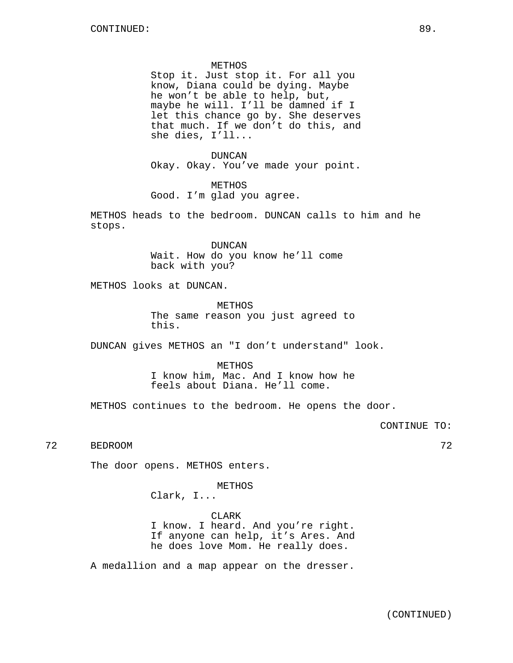#### METHOS

Stop it. Just stop it. For all you know, Diana could be dying. Maybe he won't be able to help, but, maybe he will. I'll be damned if I let this chance go by. She deserves that much. If we don't do this, and she dies, I'll...

DUNCAN Okay. Okay. You've made your point.

METHOS Good. I'm glad you agree.

METHOS heads to the bedroom. DUNCAN calls to him and he stops.

> DUNCAN Wait. How do you know he'll come back with you?

METHOS looks at DUNCAN.

METHOS The same reason you just agreed to this.

DUNCAN gives METHOS an "I don't understand" look.

METHOS I know him, Mac. And I know how he feels about Diana. He'll come.

METHOS continues to the bedroom. He opens the door.

CONTINUE TO:

72 BEDROOM 72

The door opens. METHOS enters.

METHOS

Clark, I...

CLARK I know. I heard. And you're right. If anyone can help, it's Ares. And he does love Mom. He really does.

A medallion and a map appear on the dresser.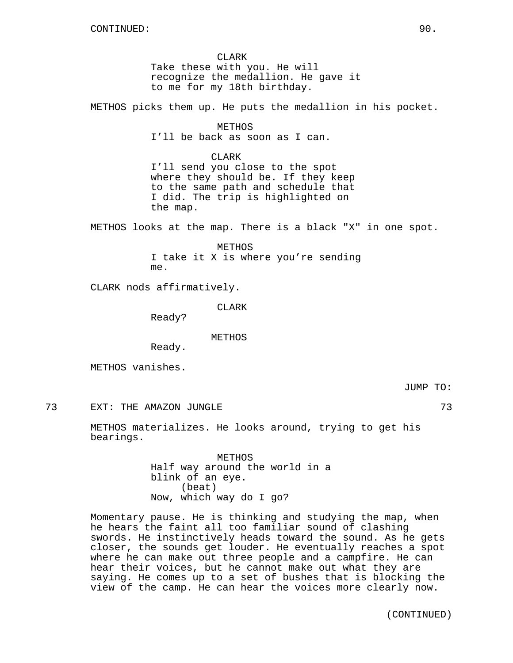CLARK Take these with you. He will recognize the medallion. He gave it to me for my 18th birthday.

METHOS picks them up. He puts the medallion in his pocket.

METHOS I'll be back as soon as I can.

# CLARK

I'll send you close to the spot where they should be. If they keep to the same path and schedule that I did. The trip is highlighted on the map.

METHOS looks at the map. There is a black "X" in one spot.

METHOS I take it X is where you're sending me.

CLARK nods affirmatively.

CLARK

Ready?

METHOS

Ready.

METHOS vanishes.

The Taurus of the AMAZON JUNGLE 2008 and the contract of the Contract of the Contract of the Contract of the Contract of the Contract of the Contract of the Contract of the Contract of the Contract of the Contract of the C

METHOS materializes. He looks around, trying to get his bearings.

> METHOS Half way around the world in a blink of an eye. (beat) Now, which way do I go?

Momentary pause. He is thinking and studying the map, when he hears the faint all too familiar sound of clashing swords. He instinctively heads toward the sound. As he gets closer, the sounds get louder. He eventually reaches a spot where he can make out three people and a campfire. He can hear their voices, but he cannot make out what they are saying. He comes up to a set of bushes that is blocking the view of the camp. He can hear the voices more clearly now.

(CONTINUED)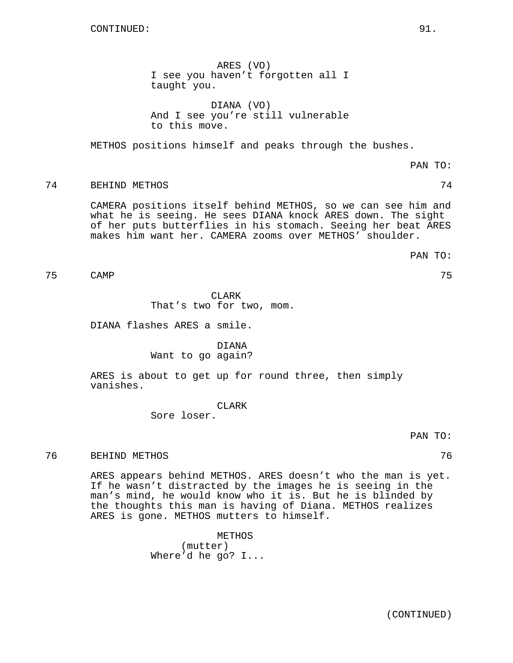ARES (VO) I see you haven't forgotten all I taught you.

DIANA (VO) And I see you're still vulnerable to this move.

METHOS positions himself and peaks through the bushes.

# 74 BEHIND METHOS 74

CAMERA positions itself behind METHOS, so we can see him and what he is seeing. He sees DIANA knock ARES down. The sight of her puts butterflies in his stomach. Seeing her beat ARES makes him want her. CAMERA zooms over METHOS' shoulder.

PAN TO:

PAN TO:

75 CAMP 75

CLARK That's two for two, mom.

DIANA flashes ARES a smile.

# DIANA Want to go again?

ARES is about to get up for round three, then simply vanishes.

CLARK

Sore loser.

# 76 BEHIND METHOS 76

ARES appears behind METHOS. ARES doesn't who the man is yet. If he wasn't distracted by the images he is seeing in the man's mind, he would know who it is. But he is blinded by the thoughts this man is having of Diana. METHOS realizes ARES is gone. METHOS mutters to himself.

> METHOS (mutter) Where'd he go? I...

PAN TO: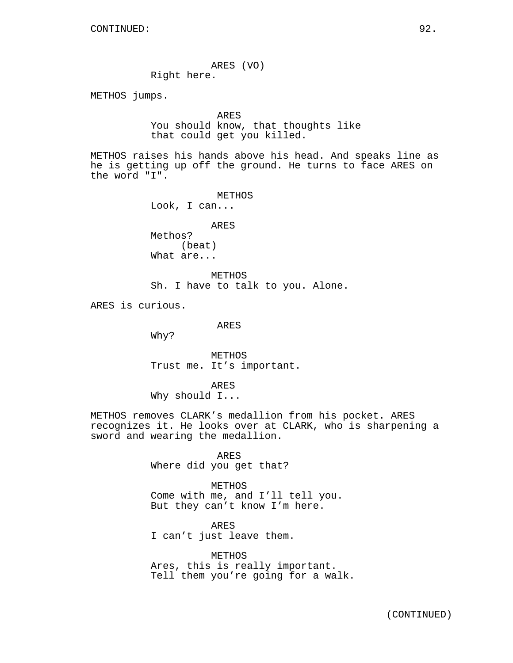ARES (VO)

Right here.

METHOS jumps.

# ARES

You should know, that thoughts like that could get you killed.

METHOS raises his hands above his head. And speaks line as he is getting up off the ground. He turns to face ARES on the word "I".

> METHOS Look, I can... ARES

Methos? (beat) What are...

METHOS Sh. I have to talk to you. Alone.

ARES is curious.

ARES

Why?

METHOS Trust me. It's important.

ARES Why should I...

METHOS removes CLARK's medallion from his pocket. ARES recognizes it. He looks over at CLARK, who is sharpening a sword and wearing the medallion.

> ARES Where did you get that?

METHOS Come with me, and I'll tell you. But they can't know I'm here.

ARES I can't just leave them.

METHOS Ares, this is really important. Tell them you're going for a walk.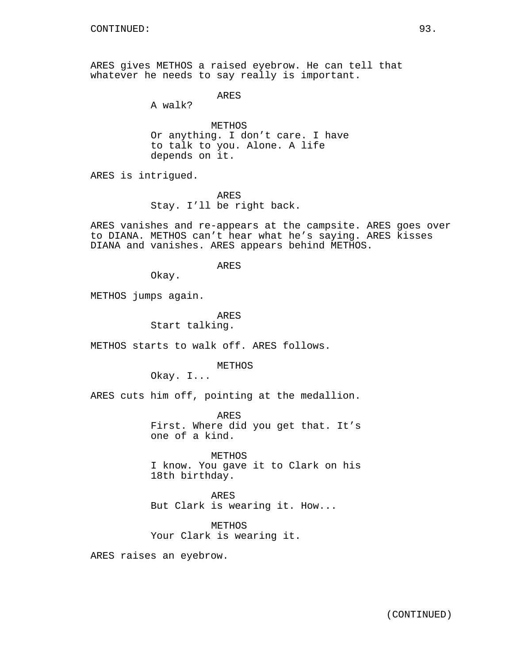ARES gives METHOS a raised eyebrow. He can tell that whatever he needs to say really is important.

ARES

A walk?

METHOS Or anything. I don't care. I have to talk to you. Alone. A life depends on it.

ARES is intrigued.

ARES Stay. I'll be right back.

ARES vanishes and re-appears at the campsite. ARES goes over to DIANA. METHOS can't hear what he's saying. ARES kisses DIANA and vanishes. ARES appears behind METHOS.

ARES

Okay.

METHOS jumps again.

ARES Start talking.

METHOS starts to walk off. ARES follows.

METHOS

Okay. I...

ARES cuts him off, pointing at the medallion.

ARES First. Where did you get that. It's one of a kind.

METHOS

I know. You gave it to Clark on his 18th birthday.

ARES But Clark is wearing it. How...

METHOS Your Clark is wearing it.

ARES raises an eyebrow.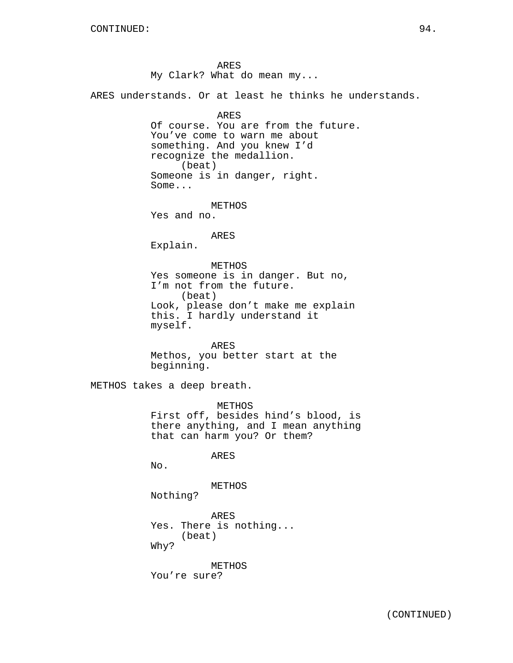ARES My Clark? What do mean my...

ARES understands. Or at least he thinks he understands.

ARES Of course. You are from the future. You've come to warn me about something. And you knew I'd recognize the medallion. (beat) Someone is in danger, right. Some...

METHOS Yes and no.

ARES

Explain.

METHOS Yes someone is in danger. But no, I'm not from the future. (beat) Look, please don't make me explain this. I hardly understand it myself.

ARES Methos, you better start at the beginning.

METHOS takes a deep breath.

METHOS First off, besides hind's blood, is there anything, and I mean anything that can harm you? Or them?

ARES

No.

METHOS

Nothing?

ARES Yes. There is nothing... (beat) Why?

METHOS You're sure?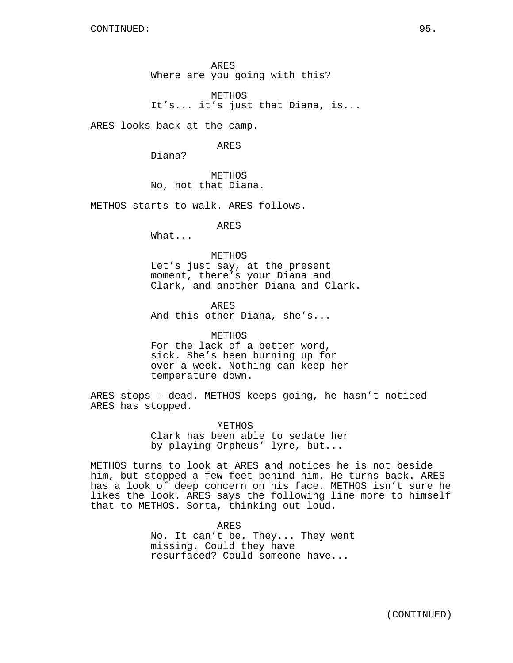ARES Where are you going with this?

METHOS It's... it's just that Diana, is...

ARES looks back at the camp.

ARES

Diana?

METHOS No, not that Diana.

METHOS starts to walk. ARES follows.

ARES

What...

# METHOS

Let's just say, at the present moment, there's your Diana and Clark, and another Diana and Clark.

ARES And this other Diana, she's...

# METHOS For the lack of a better word,

sick. She's been burning up for over a week. Nothing can keep her temperature down.

ARES stops - dead. METHOS keeps going, he hasn't noticed ARES has stopped.

> METHOS Clark has been able to sedate her by playing Orpheus' lyre, but...

METHOS turns to look at ARES and notices he is not beside him, but stopped a few feet behind him. He turns back. ARES has a look of deep concern on his face. METHOS isn't sure he likes the look. ARES says the following line more to himself that to METHOS. Sorta, thinking out loud.

> ARES No. It can't be. They... They went missing. Could they have resurfaced? Could someone have...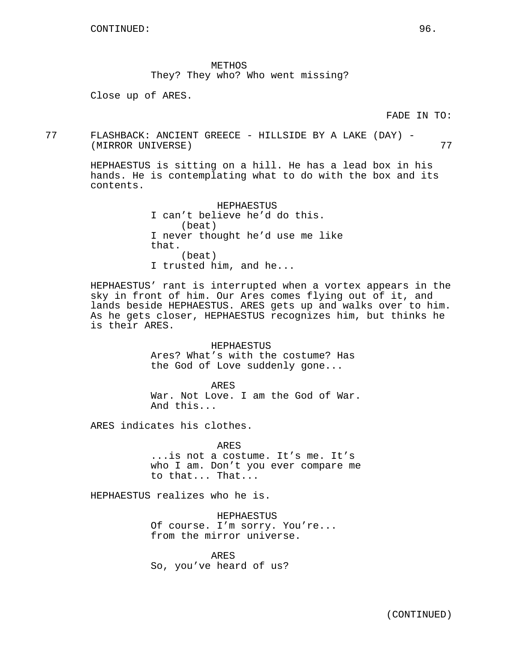METHOS They? They who? Who went missing?

Close up of ARES.

77 FLASHBACK: ANCIENT GREECE - HILLSIDE BY A LAKE (DAY) - (MIRROR UNIVERSE) 77

HEPHAESTUS is sitting on a hill. He has a lead box in his hands. He is contemplating what to do with the box and its contents.

> HEPHAESTUS I can't believe he'd do this. (beat) I never thought he'd use me like that. (beat) I trusted him, and he...

HEPHAESTUS' rant is interrupted when a vortex appears in the sky in front of him. Our Ares comes flying out of it, and lands beside HEPHAESTUS. ARES gets up and walks over to him. As he gets closer, HEPHAESTUS recognizes him, but thinks he is their ARES.

> HEPHAESTUS Ares? What's with the costume? Has the God of Love suddenly gone...

ARES War. Not Love. I am the God of War. And this...

ARES indicates his clothes.

ARES ...is not a costume. It's me. It's who I am. Don't you ever compare me to that... That...

HEPHAESTUS realizes who he is.

HEPHAESTUS Of course. I'm sorry. You're... from the mirror universe.

ARES So, you've heard of us?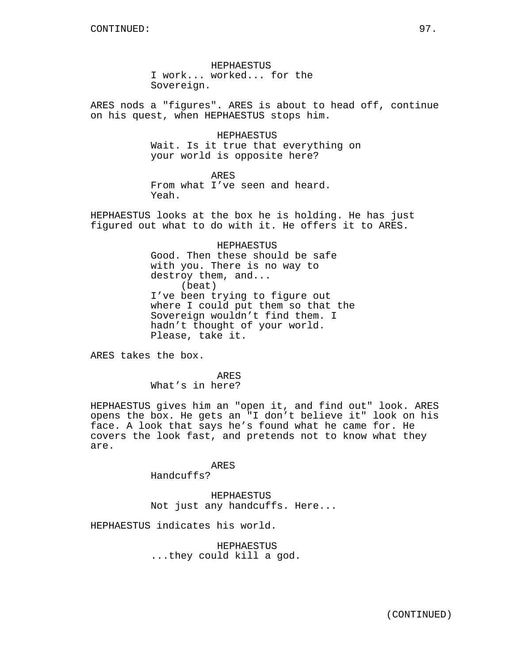HEPHAESTUS I work... worked... for the Sovereign.

ARES nods a "figures". ARES is about to head off, continue on his quest, when HEPHAESTUS stops him.

> HEPHAESTUS Wait. Is it true that everything on your world is opposite here?

ARES From what I've seen and heard. Yeah.

HEPHAESTUS looks at the box he is holding. He has just figured out what to do with it. He offers it to ARES.

> HEPHAESTUS Good. Then these should be safe with you. There is no way to destroy them, and... (beat) I've been trying to figure out where I could put them so that the Sovereign wouldn't find them. I hadn't thought of your world. Please, take it.

ARES takes the box.

ARES What's in here?

HEPHAESTUS gives him an "open it, and find out" look. ARES opens the box. He gets an "I don't believe it" look on his face. A look that says he's found what he came for. He covers the look fast, and pretends not to know what they are.

ARES

Handcuffs?

HEPHAESTUS Not just any handcuffs. Here...

HEPHAESTUS indicates his world.

HEPHAESTUS ...they could kill a god.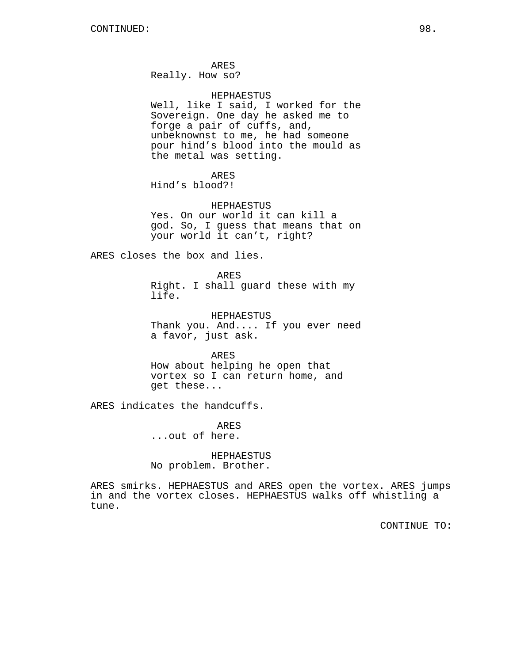ARES

Really. How so?

#### HEPHAESTUS

Well, like I said, I worked for the Sovereign. One day he asked me to forge a pair of cuffs, and, unbeknownst to me, he had someone pour hind's blood into the mould as the metal was setting.

ARES

Hind's blood?!

HEPHAESTUS Yes. On our world it can kill a god. So, I guess that means that on your world it can't, right?

ARES closes the box and lies.

ARES Right. I shall guard these with my life.

HEPHAESTUS Thank you. And.... If you ever need a favor, just ask.

ARES How about helping he open that vortex so I can return home, and get these...

ARES indicates the handcuffs.

ARES

...out of here.

HEPHAESTUS No problem. Brother.

ARES smirks. HEPHAESTUS and ARES open the vortex. ARES jumps in and the vortex closes. HEPHAESTUS walks off whistling a tune.

CONTINUE TO: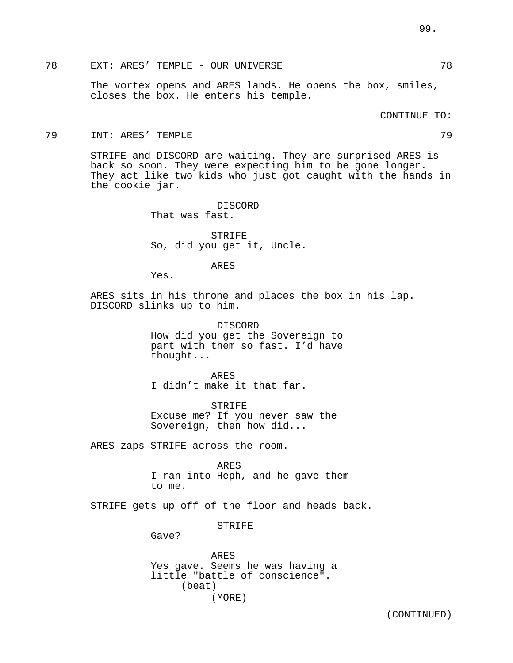# 78 EXT: ARES' TEMPLE - OUR UNIVERSE 78

The vortex opens and ARES lands. He opens the box, smiles, closes the box. He enters his temple.

CONTINUE TO:

#### 79 INT: ARES' TEMPLE 79

STRIFE and DISCORD are waiting. They are surprised ARES is back so soon. They were expecting him to be gone longer. They act like two kids who just got caught with the hands in the cookie jar.

> DISCORD That was fast.

STRIFE So, did you get it, Uncle.

ARES

Yes.

ARES sits in his throne and places the box in his lap. DISCORD slinks up to him.

> DISCORD How did you get the Sovereign to part with them so fast. I'd have thought...

ARES I didn't make it that far.

STRIFE Excuse me? If you never saw the Sovereign, then how did...

ARES zaps STRIFE across the room.

ARES I ran into Heph, and he gave them to me.

STRIFE gets up off of the floor and heads back.

STRIFE

Gave?

ARES Yes gave. Seems he was having a little "battle of conscience". (beat) (MORE)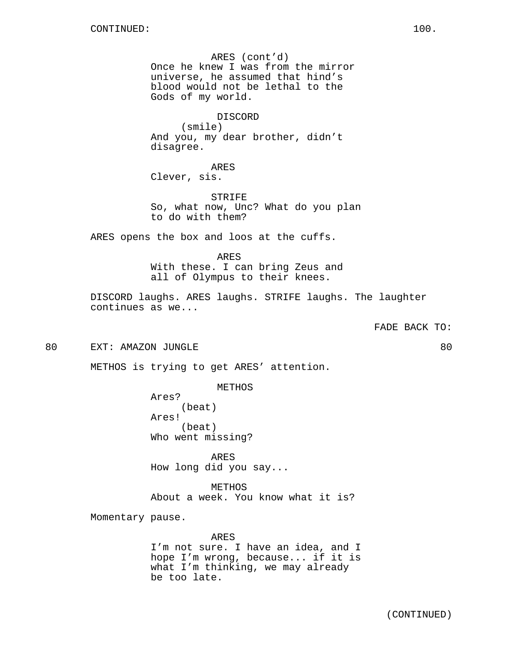ARES (cont'd) Once he knew I was from the mirror universe, he assumed that hind's blood would not be lethal to the Gods of my world.

DISCORD (smile) And you, my dear brother, didn't disagree.

ARES Clever, sis.

STRIFE So, what now, Unc? What do you plan to do with them?

ARES opens the box and loos at the cuffs.

ARES With these. I can bring Zeus and all of Olympus to their knees.

DISCORD laughs. ARES laughs. STRIFE laughs. The laughter continues as we...

FADE BACK TO:

80 EXT: AMAZON JUNGLE 80

METHOS is trying to get ARES' attention.

METHOS

Ares? (beat) Ares! (beat) Who went missing?

ARES How long did you say...

METHOS About a week. You know what it is?

Momentary pause.

ARES

I'm not sure. I have an idea, and I hope I'm wrong, because... if it is what I'm thinking, we may already be too late.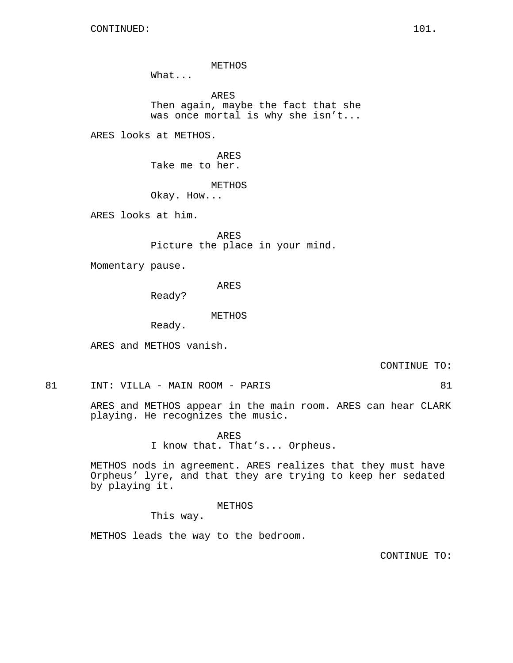METHOS

What...

ARES Then again, maybe the fact that she was once mortal is why she isn't...

ARES looks at METHOS.

ARES Take me to her.

METHOS

Okay. How...

ARES looks at him.

ARES Picture the place in your mind.

Momentary pause.

ARES

Ready?

METHOS

Ready.

ARES and METHOS vanish.

CONTINUE TO:

81 INT: VILLA - MAIN ROOM - PARIS 81

ARES and METHOS appear in the main room. ARES can hear CLARK playing. He recognizes the music.

> ARES I know that. That's... Orpheus.

METHOS nods in agreement. ARES realizes that they must have Orpheus' lyre, and that they are trying to keep her sedated by playing it.

METHOS

This way.

METHOS leads the way to the bedroom.

CONTINUE TO: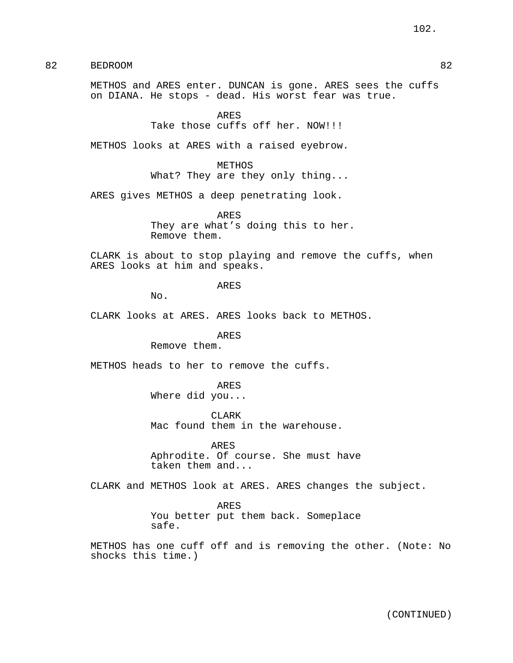82 BEDROOM 82

METHOS and ARES enter. DUNCAN is gone. ARES sees the cuffs on DIANA. He stops - dead. His worst fear was true.

> ARES Take those cuffs off her. NOW!!!

METHOS looks at ARES with a raised eyebrow.

METHOS

What? They are they only thing...

ARES gives METHOS a deep penetrating look.

ARES They are what's doing this to her. Remove them.

CLARK is about to stop playing and remove the cuffs, when ARES looks at him and speaks.

ARES

No.

CLARK looks at ARES. ARES looks back to METHOS.

ARES

Remove them.

METHOS heads to her to remove the cuffs.

ARES

Where did you...

CLARK Mac found them in the warehouse.

ARES Aphrodite. Of course. She must have taken them and...

CLARK and METHOS look at ARES. ARES changes the subject.

ARES

You better put them back. Someplace safe.

METHOS has one cuff off and is removing the other. (Note: No shocks this time.)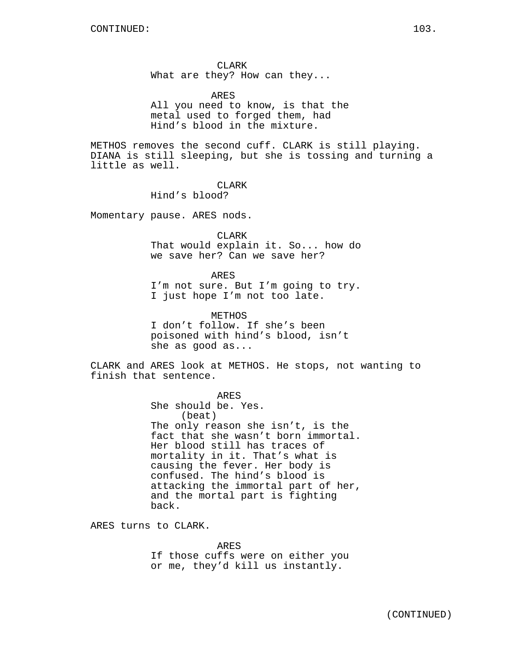CLARK What are they? How can they...

ARES

All you need to know, is that the metal used to forged them, had Hind's blood in the mixture.

METHOS removes the second cuff. CLARK is still playing. DIANA is still sleeping, but she is tossing and turning a little as well.

CLARK

Hind's blood?

Momentary pause. ARES nods.

CLARK That would explain it. So... how do we save her? Can we save her?

ARES

I'm not sure. But I'm going to try. I just hope I'm not too late.

METHOS

I don't follow. If she's been poisoned with hind's blood, isn't she as good as...

CLARK and ARES look at METHOS. He stops, not wanting to finish that sentence.

ARES

She should be. Yes. (beat) The only reason she isn't, is the fact that she wasn't born immortal. Her blood still has traces of mortality in it. That's what is causing the fever. Her body is confused. The hind's blood is attacking the immortal part of her, and the mortal part is fighting back.

ARES turns to CLARK.

ARES If those cuffs were on either you or me, they'd kill us instantly.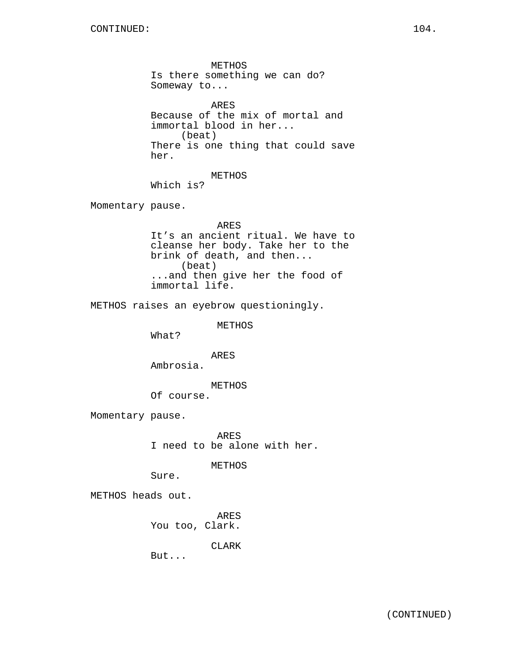METHOS Is there something we can do? Someway to... ARES Because of the mix of mortal and immortal blood in her... (beat) There is one thing that could save her. METHOS Which is? Momentary pause. ARES It's an ancient ritual. We have to cleanse her body. Take her to the brink of death, and then... (beat) ...and then give her the food of immortal life. METHOS raises an eyebrow questioningly. METHOS What? ARES Ambrosia. METHOS Of course. Momentary pause. ARES I need to be alone with her. METHOS Sure. METHOS heads out. ARES You too, Clark.

CLARK

But...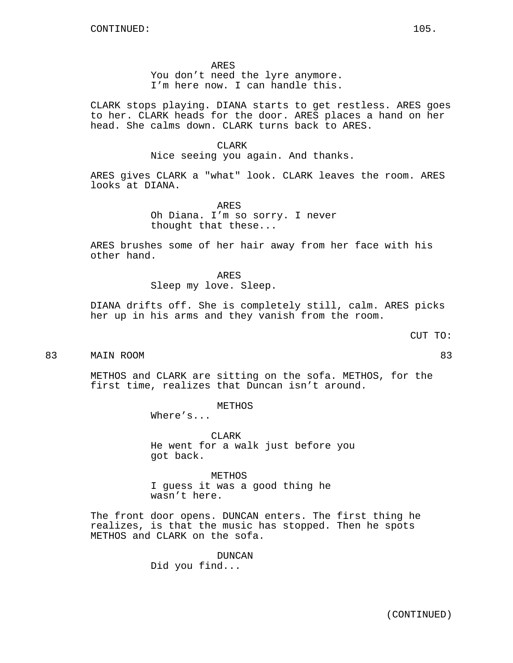ARES

You don't need the lyre anymore. I'm here now. I can handle this.

CLARK stops playing. DIANA starts to get restless. ARES goes to her. CLARK heads for the door. ARES places a hand on her head. She calms down. CLARK turns back to ARES.

#### CLARK

Nice seeing you again. And thanks.

ARES gives CLARK a "what" look. CLARK leaves the room. ARES looks at DIANA.

> ARES Oh Diana. I'm so sorry. I never thought that these...

ARES brushes some of her hair away from her face with his other hand.

> ARES Sleep my love. Sleep.

DIANA drifts off. She is completely still, calm. ARES picks her up in his arms and they vanish from the room.

# CUT TO:

83 MAIN ROOM 83

METHOS and CLARK are sitting on the sofa. METHOS, for the first time, realizes that Duncan isn't around.

METHOS

Where's...

CLARK He went for a walk just before you got back.

METHOS I guess it was a good thing he wasn't here.

The front door opens. DUNCAN enters. The first thing he realizes, is that the music has stopped. Then he spots METHOS and CLARK on the sofa.

> DUNCAN Did you find...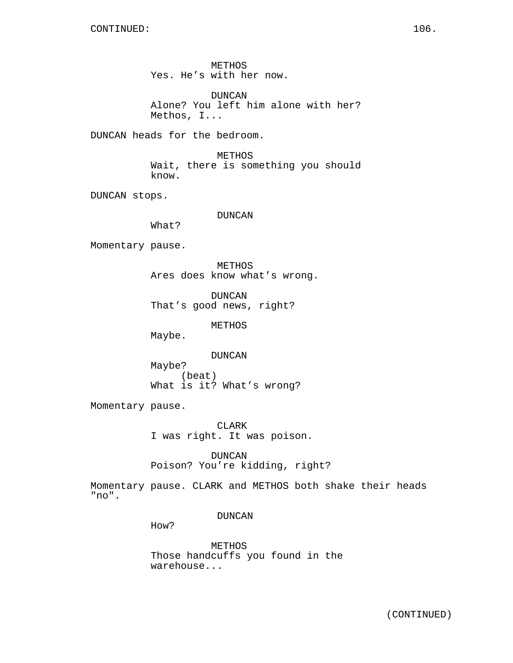METHOS Yes. He's with her now.

DUNCAN Alone? You left him alone with her? Methos, I...

DUNCAN heads for the bedroom.

METHOS Wait, there is something you should know.

DUNCAN stops.

DUNCAN

What?

Momentary pause.

METHOS Ares does know what's wrong.

DUNCAN That's good news, right?

METHOS

Maybe.

DUNCAN Maybe? (beat) What is it? What's wrong?

Momentary pause.

CLARK I was right. It was poison.

DUNCAN Poison? You're kidding, right?

Momentary pause. CLARK and METHOS both shake their heads "no".

DUNCAN

How?

METHOS Those handcuffs you found in the warehouse...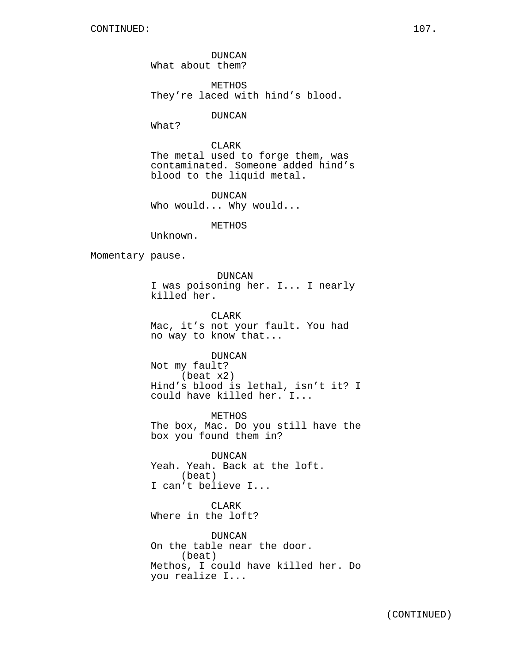DUNCAN What about them?

METHOS They're laced with hind's blood.

DUNCAN

What?

CLARK The metal used to forge them, was contaminated. Someone added hind's blood to the liquid metal.

DUNCAN Who would... Why would...

## METHOS

Unknown.

Momentary pause.

DUNCAN I was poisoning her. I... I nearly killed her.

CLARK Mac, it's not your fault. You had no way to know that...

DUNCAN

Not my fault? (beat x2) Hind's blood is lethal, isn't it? I could have killed her. I...

METHOS The box, Mac. Do you still have the box you found them in?

DUNCAN Yeah. Yeah. Back at the loft. (beat) I can't believe I...

CLARK Where in the loft?

DUNCAN On the table near the door. (beat) Methos, I could have killed her. Do you realize I...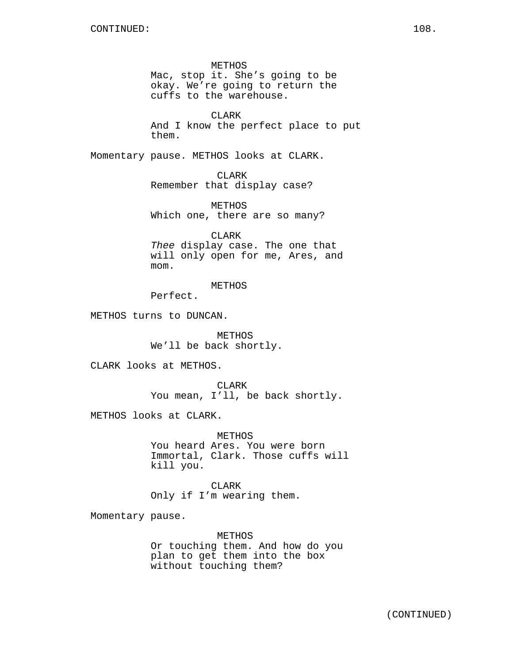METHOS Mac, stop it. She's going to be okay. We're going to return the cuffs to the warehouse.

CLARK And I know the perfect place to put them.

Momentary pause. METHOS looks at CLARK.

CLARK Remember that display case?

METHOS Which one, there are so many?

CLARK Thee display case. The one that will only open for me, Ares, and mom.

METHOS

Perfect.

METHOS turns to DUNCAN.

METHOS We'll be back shortly.

CLARK looks at METHOS.

CLARK You mean, I'll, be back shortly.

METHOS looks at CLARK.

METHOS You heard Ares. You were born Immortal, Clark. Those cuffs will kill you.

CLARK Only if I'm wearing them.

Momentary pause.

METHOS Or touching them. And how do you plan to get them into the box without touching them?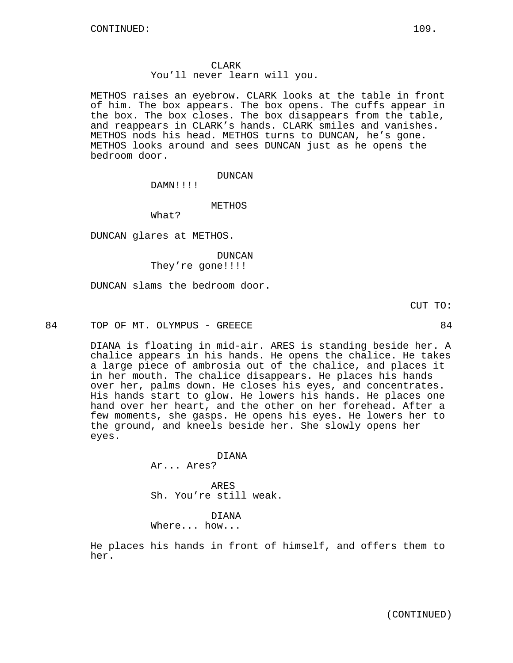# CLARK

You'll never learn will you.

METHOS raises an eyebrow. CLARK looks at the table in front of him. The box appears. The box opens. The cuffs appear in the box. The box closes. The box disappears from the table, and reappears in CLARK's hands. CLARK smiles and vanishes. METHOS nods his head. METHOS turns to DUNCAN, he's gone. METHOS looks around and sees DUNCAN just as he opens the bedroom door.

#### DUNCAN

DAMN!!!!

### METHOS

What?

DUNCAN glares at METHOS.

# DUNCAN They're gone!!!!

DUNCAN slams the bedroom door.

CUT TO:

84 TOP OF MT. OLYMPUS - GREECE SALL SOME ASSESSMENT ASSESSMENT ASSESSMENT ASSESSMENT ASSESSMENT ASSESSMENT ASSESSMENT ASSESSMENT ASSESSMENT ASSESSMENT ASSESSMENT ASSESSMENT ASSESSMENT ASSESSMENT ASSESSMENT ASSESSMENT ASSES

DIANA is floating in mid-air. ARES is standing beside her. A chalice appears in his hands. He opens the chalice. He takes a large piece of ambrosia out of the chalice, and places it in her mouth. The chalice disappears. He places his hands over her, palms down. He closes his eyes, and concentrates. His hands start to glow. He lowers his hands. He places one hand over her heart, and the other on her forehead. After a few moments, she gasps. He opens his eyes. He lowers her to the ground, and kneels beside her. She slowly opens her eyes.

#### DIANA

Ar... Ares?

ARES Sh. You're still weak.

DIANA Where... how...

He places his hands in front of himself, and offers them to her.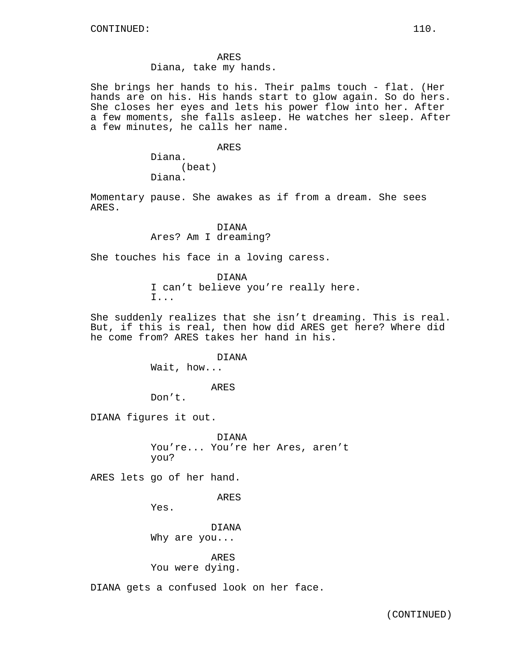ARES

Diana, take my hands.

She brings her hands to his. Their palms touch - flat. (Her hands are on his. His hands start to glow again. So do hers. She closes her eyes and lets his power flow into her. After a few moments, she falls asleep. He watches her sleep. After a few minutes, he calls her name.

## ARES

Diana. (beat) Diana.

Momentary pause. She awakes as if from a dream. She sees ARES.

> DIANA Ares? Am I dreaming?

She touches his face in a loving caress.

DIANA I can't believe you're really here. I...

She suddenly realizes that she isn't dreaming. This is real. But, if this is real, then how did ARES get here? Where did he come from? ARES takes her hand in his.

DIANA

Wait, how...

ARES

Don't.

DIANA figures it out.

DIANA You're... You're her Ares, aren't you?

ARES lets go of her hand.

ARES

Yes.

DIANA Why are you...

ARES

You were dying.

DIANA gets a confused look on her face.

(CONTINUED)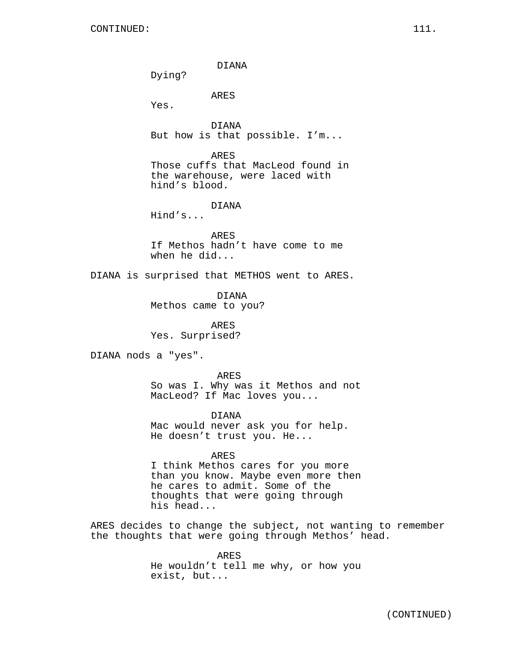DIANA Dying? ARES Yes. DIANA But how is that possible. I'm... ARES Those cuffs that MacLeod found in the warehouse, were laced with hind's blood. DIANA Hind's... ARES If Methos hadn't have come to me when he did... DIANA is surprised that METHOS went to ARES. DIANA Methos came to you? ARES Yes. Surprised? DIANA nods a "yes". ARES So was I. Why was it Methos and not MacLeod? If Mac loves you... DIANA Mac would never ask you for help.

He doesn't trust you. He... ARES

I think Methos cares for you more than you know. Maybe even more then he cares to admit. Some of the thoughts that were going through his head...

ARES decides to change the subject, not wanting to remember the thoughts that were going through Methos' head.

> ARES He wouldn't tell me why, or how you exist, but...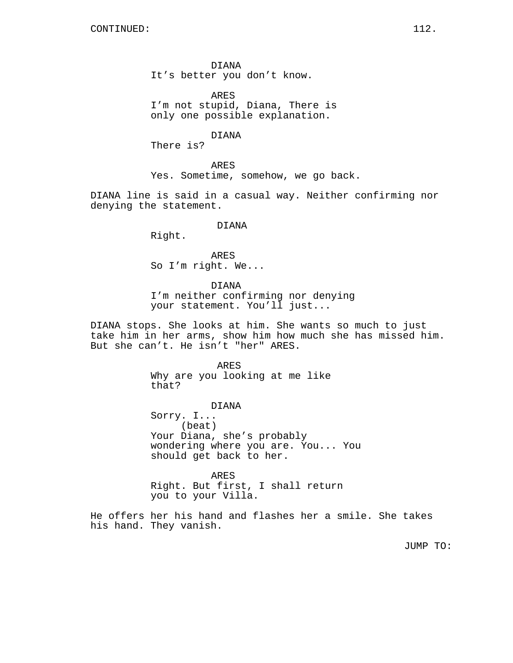DIANA It's better you don't know.

ARES I'm not stupid, Diana, There is only one possible explanation.

DIANA

There is?

ARES Yes. Sometime, somehow, we go back.

DIANA line is said in a casual way. Neither confirming nor denying the statement.

# DIANA

Right.

ARES So I'm right. We...

DIANA

I'm neither confirming nor denying your statement. You'll just...

DIANA stops. She looks at him. She wants so much to just take him in her arms, show him how much she has missed him. But she can't. He isn't "her" ARES.

#### ARES

Why are you looking at me like that?

DIANA

Sorry. I... (beat) Your Diana, she's probably wondering where you are. You... You should get back to her.

ARES Right. But first, I shall return you to your Villa.

He offers her his hand and flashes her a smile. She takes his hand. They vanish.

JUMP TO: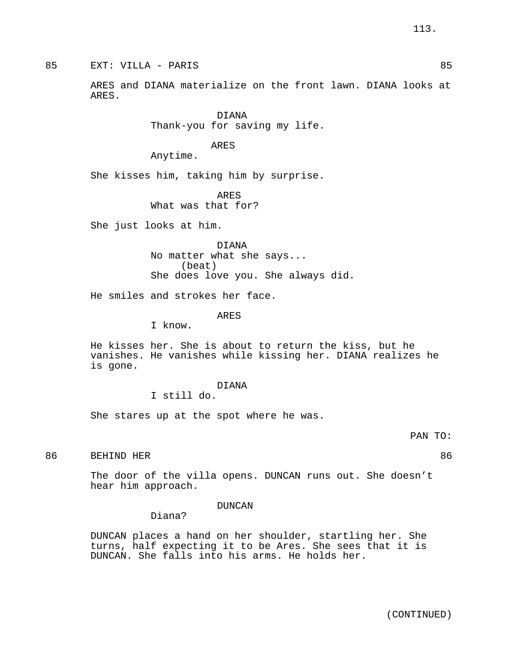85 EXT: VILLA - PARIS 85

ARES and DIANA materialize on the front lawn. DIANA looks at ARES.

> DIANA Thank-you for saving my life.

> > ARES

Anytime.

She kisses him, taking him by surprise.

ARES What was that for?

She just looks at him.

DIANA No matter what she says... (beat) She does love you. She always did.

He smiles and strokes her face.

ARES

I know.

He kisses her. She is about to return the kiss, but he vanishes. He vanishes while kissing her. DIANA realizes he is gone.

> DIANA I still do.

She stares up at the spot where he was.

PAN TO:

86 BEHIND HER 36 SOME 1999 STEEL BEER AND THE SERVICE SERVICE SERVICE SERVICE SERVICE SERVICE SERVICE SERVICE SERVICE SERVICE SERVICE SERVICE SERVICE SERVICE SERVICE SERVICE SERVICE SERVICE SERVICE SERVICE SERVICE SERVICE

The door of the villa opens. DUNCAN runs out. She doesn't hear him approach.

# DUNCAN

Diana?

DUNCAN places a hand on her shoulder, startling her. She turns, half expecting it to be Ares. She sees that it is DUNCAN. She falls into his arms. He holds her.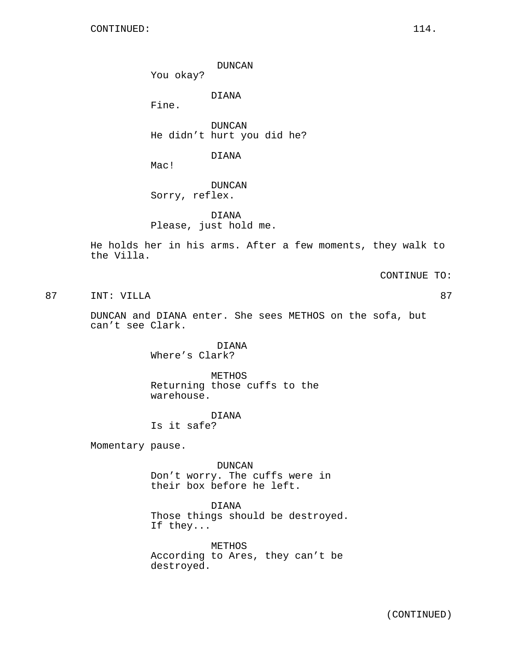DUNCAN

You okay?

DIANA

Fine.

DUNCAN He didn't hurt you did he?

DIANA

Mac!

DUNCAN Sorry, reflex.

DIANA Please, just hold me.

He holds her in his arms. After a few moments, they walk to the Villa.

CONTINUE TO:

87 INT: VILLA 87

DUNCAN and DIANA enter. She sees METHOS on the sofa, but can't see Clark.

> DIANA Where's Clark?

METHOS Returning those cuffs to the warehouse.

DIANA Is it safe?

Momentary pause.

DUNCAN Don't worry. The cuffs were in their box before he left.

DIANA Those things should be destroyed. If they...

METHOS According to Ares, they can't be destroyed.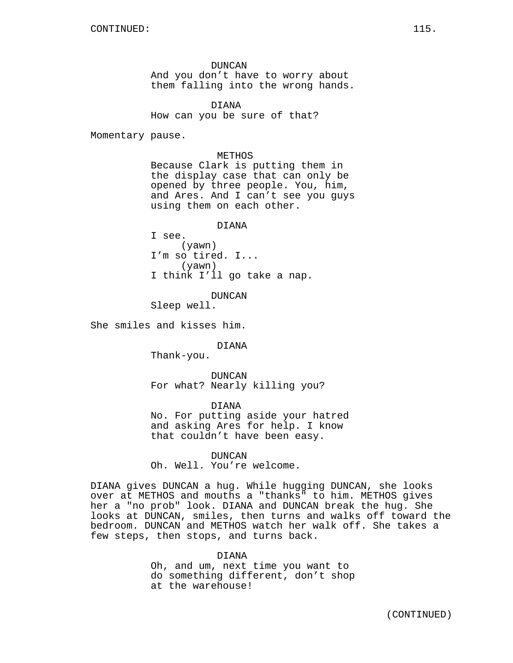DUNCAN And you don't have to worry about them falling into the wrong hands.

DIANA How can you be sure of that?

Momentary pause.

METHOS Because Clark is putting them in the display case that can only be opened by three people. You, him, and Ares. And I can't see you guys using them on each other.

DIANA

I see. (yawn) I'm so tired. I... (yawn) I think I'll go take a nap.

DUNCAN

Sleep well.

She smiles and kisses him.

DIANA

Thank-you.

DUNCAN For what? Nearly killing you?

DIANA No. For putting aside your hatred and asking Ares for help. I know that couldn't have been easy.

DUNCAN Oh. Well. You're welcome.

DIANA gives DUNCAN a hug. While hugging DUNCAN, she looks over at METHOS and mouths a "thanks" to him. METHOS gives her a "no prob" look. DIANA and DUNCAN break the hug. She looks at DUNCAN, smiles, then turns and walks off toward the bedroom. DUNCAN and METHOS watch her walk off. She takes a few steps, then stops, and turns back.

> DIANA Oh, and um, next time you want to do something different, don't shop at the warehouse!